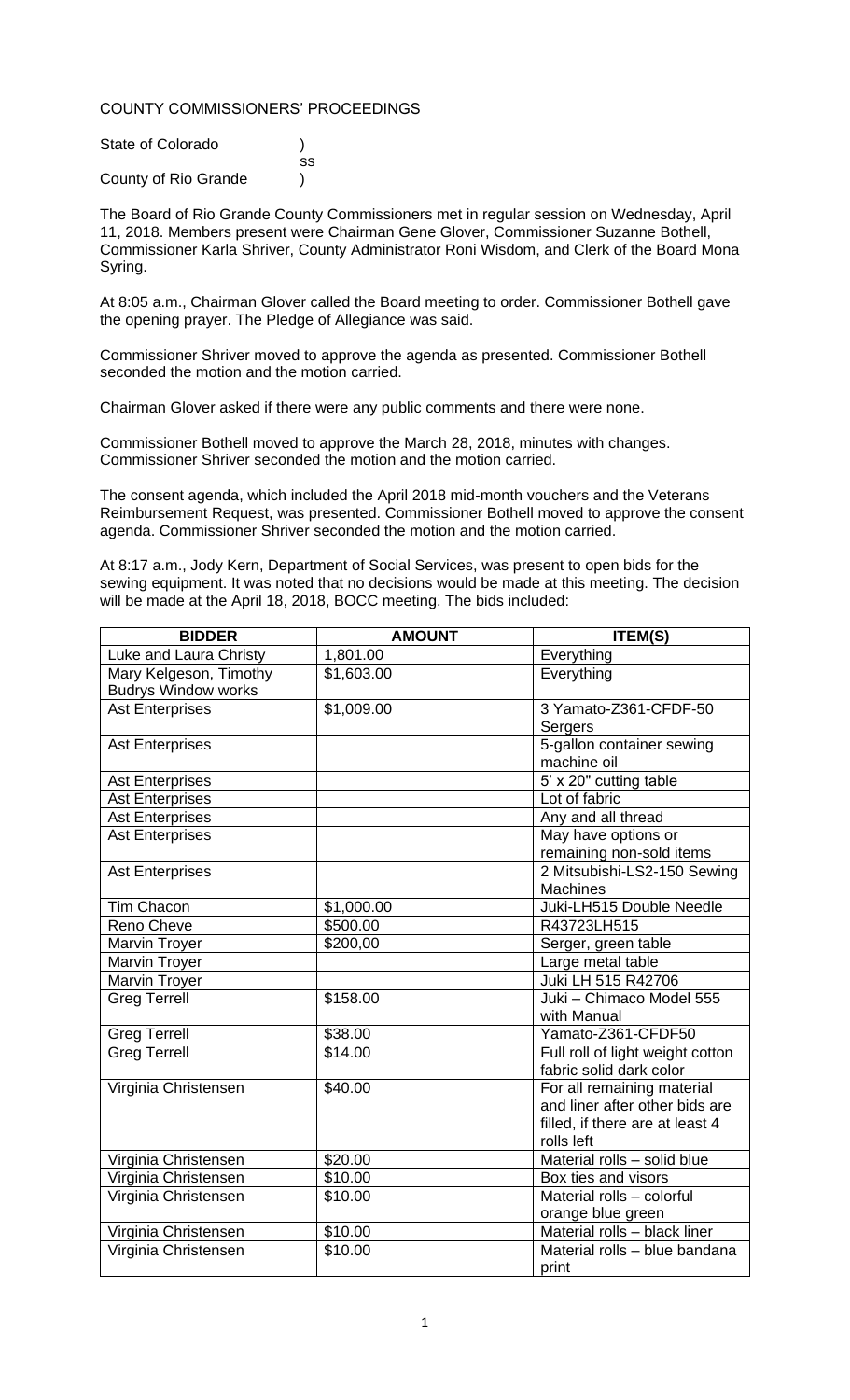## COUNTY COMMISSIONERS' PROCEEDINGS

| State of Colorado    |    |
|----------------------|----|
|                      | SS |
| County of Rio Grande |    |

The Board of Rio Grande County Commissioners met in regular session on Wednesday, April 11, 2018. Members present were Chairman Gene Glover, Commissioner Suzanne Bothell, Commissioner Karla Shriver, County Administrator Roni Wisdom, and Clerk of the Board Mona Syring.

At 8:05 a.m., Chairman Glover called the Board meeting to order. Commissioner Bothell gave the opening prayer. The Pledge of Allegiance was said.

Commissioner Shriver moved to approve the agenda as presented. Commissioner Bothell seconded the motion and the motion carried.

Chairman Glover asked if there were any public comments and there were none.

Commissioner Bothell moved to approve the March 28, 2018, minutes with changes. Commissioner Shriver seconded the motion and the motion carried.

The consent agenda, which included the April 2018 mid-month vouchers and the Veterans Reimbursement Request, was presented. Commissioner Bothell moved to approve the consent agenda. Commissioner Shriver seconded the motion and the motion carried.

At 8:17 a.m., Jody Kern, Department of Social Services, was present to open bids for the sewing equipment. It was noted that no decisions would be made at this meeting. The decision will be made at the April 18, 2018, BOCC meeting. The bids included:

| <b>BIDDER</b>              | <b>AMOUNT</b> | <b>ITEM(S)</b>                   |
|----------------------------|---------------|----------------------------------|
| Luke and Laura Christy     | 1,801.00      | Everything                       |
| Mary Kelgeson, Timothy     | \$1,603.00    | Everything                       |
| <b>Budrys Window works</b> |               |                                  |
| <b>Ast Enterprises</b>     | \$1,009.00    | 3 Yamato-Z361-CFDF-50            |
|                            |               | Sergers                          |
| <b>Ast Enterprises</b>     |               | 5-gallon container sewing        |
|                            |               | machine oil                      |
| <b>Ast Enterprises</b>     |               | 5' x 20" cutting table           |
| <b>Ast Enterprises</b>     |               | Lot of fabric                    |
| <b>Ast Enterprises</b>     |               | Any and all thread               |
| <b>Ast Enterprises</b>     |               | May have options or              |
|                            |               | remaining non-sold items         |
| <b>Ast Enterprises</b>     |               | 2 Mitsubishi-LS2-150 Sewing      |
|                            |               | <b>Machines</b>                  |
| Tim Chacon                 | \$1,000.00    | Juki-LH515 Double Needle         |
| Reno Cheve                 | \$500.00      | R43723LH515                      |
| <b>Marvin Troyer</b>       | \$200,00      | Serger, green table              |
| Marvin Troyer              |               | Large metal table                |
| <b>Marvin Troyer</b>       |               | Juki LH 515 R42706               |
| <b>Greg Terrell</b>        | \$158.00      | Juki - Chimaco Model 555         |
|                            |               | with Manual                      |
| Greg Terrell               | \$38.00       | Yamato-Z361-CFDF50               |
| <b>Greg Terrell</b>        | \$14.00       | Full roll of light weight cotton |
|                            |               | fabric solid dark color          |
| Virginia Christensen       | \$40.00       | For all remaining material       |
|                            |               | and liner after other bids are   |
|                            |               | filled, if there are at least 4  |
|                            |               | rolls left                       |
| Virginia Christensen       | \$20.00       | Material rolls - solid blue      |
| Virginia Christensen       | \$10.00       | Box ties and visors              |
| Virginia Christensen       | \$10.00       | Material rolls - colorful        |
|                            |               | orange blue green                |
| Virginia Christensen       | \$10.00       | Material rolls - black liner     |
| Virginia Christensen       | \$10.00       | Material rolls - blue bandana    |
|                            |               | print                            |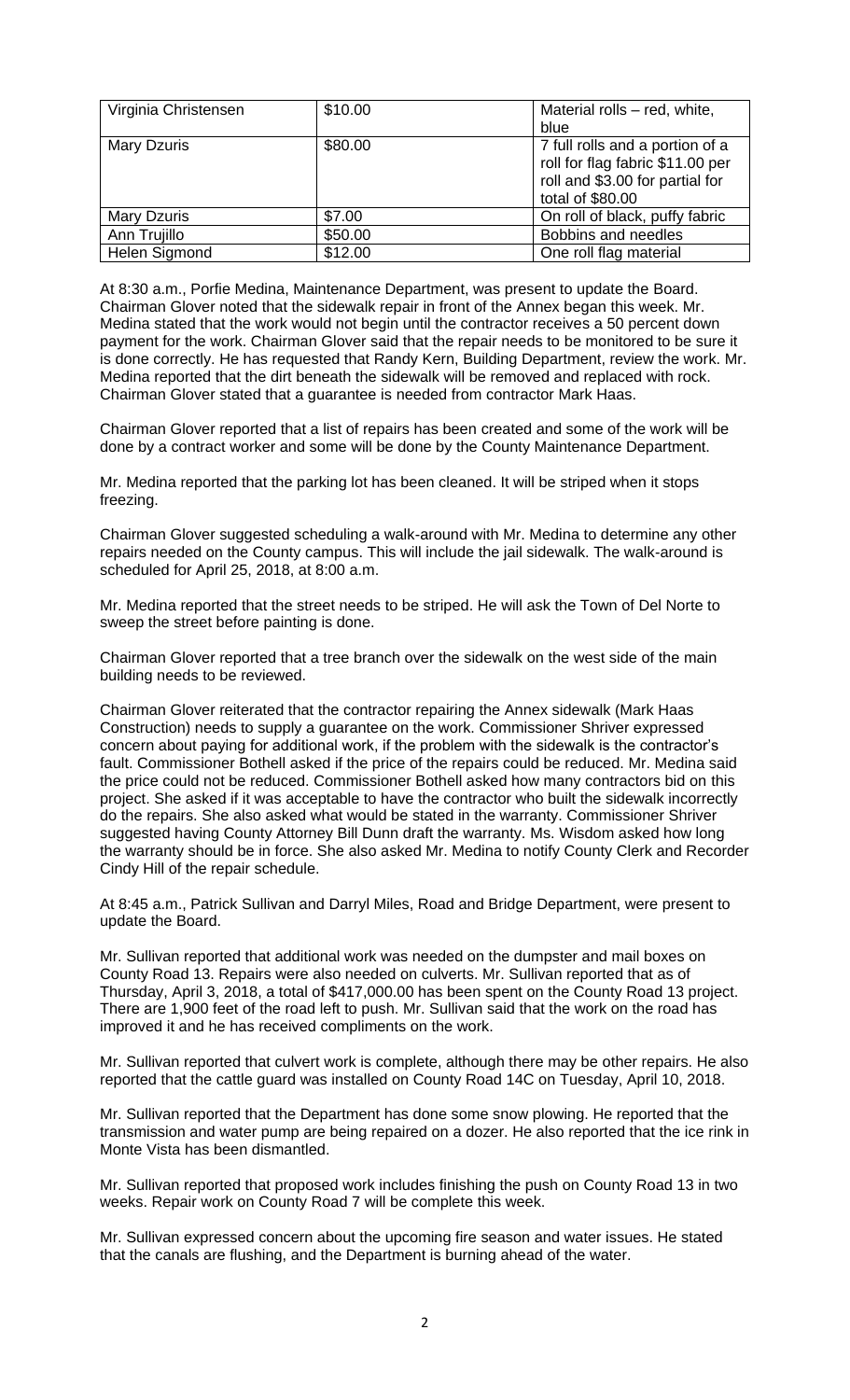| Virginia Christensen | \$10.00 | Material rolls - red, white,                                                                                               |
|----------------------|---------|----------------------------------------------------------------------------------------------------------------------------|
|                      |         | blue                                                                                                                       |
| <b>Mary Dzuris</b>   | \$80.00 | 7 full rolls and a portion of a<br>roll for flag fabric \$11.00 per<br>roll and \$3.00 for partial for<br>total of \$80.00 |
| <b>Mary Dzuris</b>   | \$7.00  | On roll of black, puffy fabric                                                                                             |
| Ann Trujillo         | \$50.00 | Bobbins and needles                                                                                                        |
| Helen Sigmond        | \$12.00 | One roll flag material                                                                                                     |

At 8:30 a.m., Porfie Medina, Maintenance Department, was present to update the Board. Chairman Glover noted that the sidewalk repair in front of the Annex began this week. Mr. Medina stated that the work would not begin until the contractor receives a 50 percent down payment for the work. Chairman Glover said that the repair needs to be monitored to be sure it is done correctly. He has requested that Randy Kern, Building Department, review the work. Mr. Medina reported that the dirt beneath the sidewalk will be removed and replaced with rock. Chairman Glover stated that a guarantee is needed from contractor Mark Haas.

Chairman Glover reported that a list of repairs has been created and some of the work will be done by a contract worker and some will be done by the County Maintenance Department.

Mr. Medina reported that the parking lot has been cleaned. It will be striped when it stops freezing.

Chairman Glover suggested scheduling a walk-around with Mr. Medina to determine any other repairs needed on the County campus. This will include the jail sidewalk. The walk-around is scheduled for April 25, 2018, at 8:00 a.m.

Mr. Medina reported that the street needs to be striped. He will ask the Town of Del Norte to sweep the street before painting is done.

Chairman Glover reported that a tree branch over the sidewalk on the west side of the main building needs to be reviewed.

Chairman Glover reiterated that the contractor repairing the Annex sidewalk (Mark Haas Construction) needs to supply a guarantee on the work. Commissioner Shriver expressed concern about paying for additional work, if the problem with the sidewalk is the contractor's fault. Commissioner Bothell asked if the price of the repairs could be reduced. Mr. Medina said the price could not be reduced. Commissioner Bothell asked how many contractors bid on this project. She asked if it was acceptable to have the contractor who built the sidewalk incorrectly do the repairs. She also asked what would be stated in the warranty. Commissioner Shriver suggested having County Attorney Bill Dunn draft the warranty. Ms. Wisdom asked how long the warranty should be in force. She also asked Mr. Medina to notify County Clerk and Recorder Cindy Hill of the repair schedule.

At 8:45 a.m., Patrick Sullivan and Darryl Miles, Road and Bridge Department, were present to update the Board.

Mr. Sullivan reported that additional work was needed on the dumpster and mail boxes on County Road 13. Repairs were also needed on culverts. Mr. Sullivan reported that as of Thursday, April 3, 2018, a total of \$417,000.00 has been spent on the County Road 13 project. There are 1,900 feet of the road left to push. Mr. Sullivan said that the work on the road has improved it and he has received compliments on the work.

Mr. Sullivan reported that culvert work is complete, although there may be other repairs. He also reported that the cattle guard was installed on County Road 14C on Tuesday, April 10, 2018.

Mr. Sullivan reported that the Department has done some snow plowing. He reported that the transmission and water pump are being repaired on a dozer. He also reported that the ice rink in Monte Vista has been dismantled.

Mr. Sullivan reported that proposed work includes finishing the push on County Road 13 in two weeks. Repair work on County Road 7 will be complete this week.

Mr. Sullivan expressed concern about the upcoming fire season and water issues. He stated that the canals are flushing, and the Department is burning ahead of the water.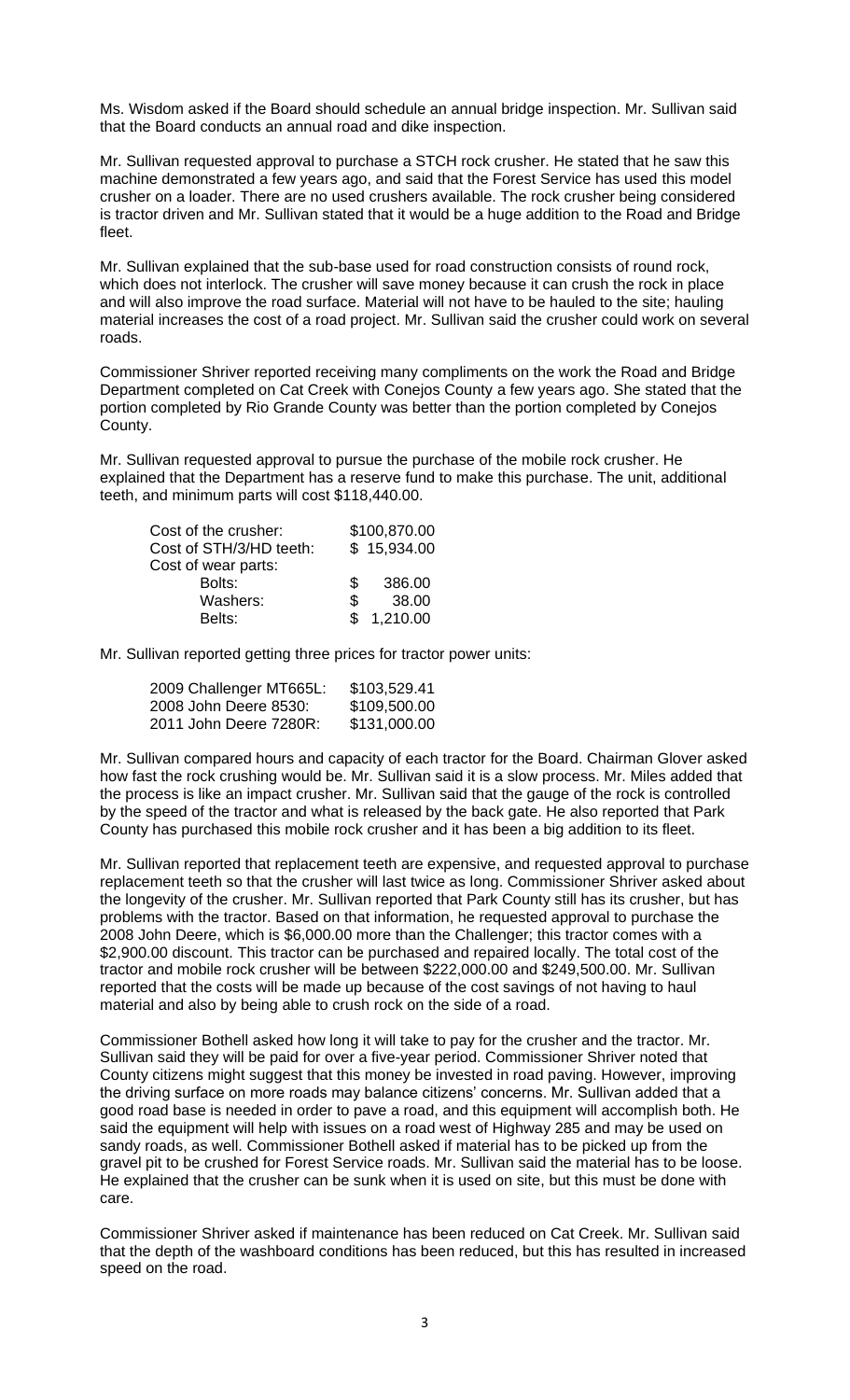Ms. Wisdom asked if the Board should schedule an annual bridge inspection. Mr. Sullivan said that the Board conducts an annual road and dike inspection.

Mr. Sullivan requested approval to purchase a STCH rock crusher. He stated that he saw this machine demonstrated a few years ago, and said that the Forest Service has used this model crusher on a loader. There are no used crushers available. The rock crusher being considered is tractor driven and Mr. Sullivan stated that it would be a huge addition to the Road and Bridge fleet.

Mr. Sullivan explained that the sub-base used for road construction consists of round rock, which does not interlock. The crusher will save money because it can crush the rock in place and will also improve the road surface. Material will not have to be hauled to the site; hauling material increases the cost of a road project. Mr. Sullivan said the crusher could work on several roads.

Commissioner Shriver reported receiving many compliments on the work the Road and Bridge Department completed on Cat Creek with Conejos County a few years ago. She stated that the portion completed by Rio Grande County was better than the portion completed by Conejos County.

Mr. Sullivan requested approval to pursue the purchase of the mobile rock crusher. He explained that the Department has a reserve fund to make this purchase. The unit, additional teeth, and minimum parts will cost \$118,440.00.

|     | \$100,870.00 |
|-----|--------------|
|     | \$15,934.00  |
|     |              |
| \$. | 386.00       |
| \$. | 38.00        |
|     | \$1,210.00   |
|     |              |

Mr. Sullivan reported getting three prices for tractor power units:

| 2009 Challenger MT665L: | \$103,529.41 |
|-------------------------|--------------|
| 2008 John Deere 8530:   | \$109,500.00 |
| 2011 John Deere 7280R:  | \$131,000.00 |

Mr. Sullivan compared hours and capacity of each tractor for the Board. Chairman Glover asked how fast the rock crushing would be. Mr. Sullivan said it is a slow process. Mr. Miles added that the process is like an impact crusher. Mr. Sullivan said that the gauge of the rock is controlled by the speed of the tractor and what is released by the back gate. He also reported that Park County has purchased this mobile rock crusher and it has been a big addition to its fleet.

Mr. Sullivan reported that replacement teeth are expensive, and requested approval to purchase replacement teeth so that the crusher will last twice as long. Commissioner Shriver asked about the longevity of the crusher. Mr. Sullivan reported that Park County still has its crusher, but has problems with the tractor. Based on that information, he requested approval to purchase the 2008 John Deere, which is \$6,000.00 more than the Challenger; this tractor comes with a \$2,900.00 discount. This tractor can be purchased and repaired locally. The total cost of the tractor and mobile rock crusher will be between \$222,000.00 and \$249,500.00. Mr. Sullivan reported that the costs will be made up because of the cost savings of not having to haul material and also by being able to crush rock on the side of a road.

Commissioner Bothell asked how long it will take to pay for the crusher and the tractor. Mr. Sullivan said they will be paid for over a five-year period. Commissioner Shriver noted that County citizens might suggest that this money be invested in road paving. However, improving the driving surface on more roads may balance citizens' concerns. Mr. Sullivan added that a good road base is needed in order to pave a road, and this equipment will accomplish both. He said the equipment will help with issues on a road west of Highway 285 and may be used on sandy roads, as well. Commissioner Bothell asked if material has to be picked up from the gravel pit to be crushed for Forest Service roads. Mr. Sullivan said the material has to be loose. He explained that the crusher can be sunk when it is used on site, but this must be done with care.

Commissioner Shriver asked if maintenance has been reduced on Cat Creek. Mr. Sullivan said that the depth of the washboard conditions has been reduced, but this has resulted in increased speed on the road.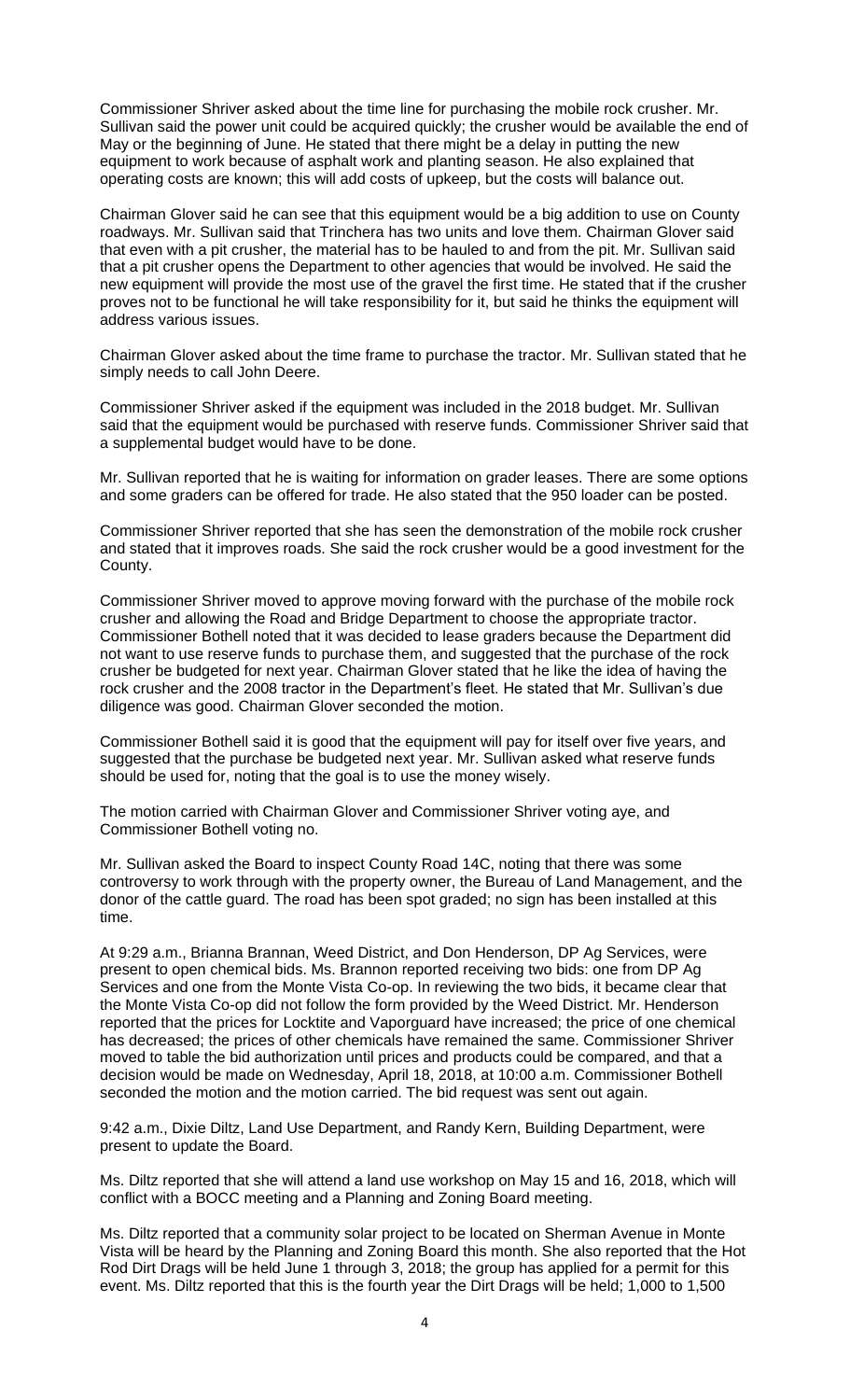Commissioner Shriver asked about the time line for purchasing the mobile rock crusher. Mr. Sullivan said the power unit could be acquired quickly; the crusher would be available the end of May or the beginning of June. He stated that there might be a delay in putting the new equipment to work because of asphalt work and planting season. He also explained that operating costs are known; this will add costs of upkeep, but the costs will balance out.

Chairman Glover said he can see that this equipment would be a big addition to use on County roadways. Mr. Sullivan said that Trinchera has two units and love them. Chairman Glover said that even with a pit crusher, the material has to be hauled to and from the pit. Mr. Sullivan said that a pit crusher opens the Department to other agencies that would be involved. He said the new equipment will provide the most use of the gravel the first time. He stated that if the crusher proves not to be functional he will take responsibility for it, but said he thinks the equipment will address various issues.

Chairman Glover asked about the time frame to purchase the tractor. Mr. Sullivan stated that he simply needs to call John Deere.

Commissioner Shriver asked if the equipment was included in the 2018 budget. Mr. Sullivan said that the equipment would be purchased with reserve funds. Commissioner Shriver said that a supplemental budget would have to be done.

Mr. Sullivan reported that he is waiting for information on grader leases. There are some options and some graders can be offered for trade. He also stated that the 950 loader can be posted.

Commissioner Shriver reported that she has seen the demonstration of the mobile rock crusher and stated that it improves roads. She said the rock crusher would be a good investment for the County.

Commissioner Shriver moved to approve moving forward with the purchase of the mobile rock crusher and allowing the Road and Bridge Department to choose the appropriate tractor. Commissioner Bothell noted that it was decided to lease graders because the Department did not want to use reserve funds to purchase them, and suggested that the purchase of the rock crusher be budgeted for next year. Chairman Glover stated that he like the idea of having the rock crusher and the 2008 tractor in the Department's fleet. He stated that Mr. Sullivan's due diligence was good. Chairman Glover seconded the motion.

Commissioner Bothell said it is good that the equipment will pay for itself over five years, and suggested that the purchase be budgeted next year. Mr. Sullivan asked what reserve funds should be used for, noting that the goal is to use the money wisely.

The motion carried with Chairman Glover and Commissioner Shriver voting aye, and Commissioner Bothell voting no.

Mr. Sullivan asked the Board to inspect County Road 14C, noting that there was some controversy to work through with the property owner, the Bureau of Land Management, and the donor of the cattle guard. The road has been spot graded; no sign has been installed at this time.

At 9:29 a.m., Brianna Brannan, Weed District, and Don Henderson, DP Ag Services, were present to open chemical bids. Ms. Brannon reported receiving two bids: one from DP Ag Services and one from the Monte Vista Co-op. In reviewing the two bids, it became clear that the Monte Vista Co-op did not follow the form provided by the Weed District. Mr. Henderson reported that the prices for Locktite and Vaporguard have increased; the price of one chemical has decreased; the prices of other chemicals have remained the same. Commissioner Shriver moved to table the bid authorization until prices and products could be compared, and that a decision would be made on Wednesday, April 18, 2018, at 10:00 a.m. Commissioner Bothell seconded the motion and the motion carried. The bid request was sent out again.

9:42 a.m., Dixie Diltz, Land Use Department, and Randy Kern, Building Department, were present to update the Board.

Ms. Diltz reported that she will attend a land use workshop on May 15 and 16, 2018, which will conflict with a BOCC meeting and a Planning and Zoning Board meeting.

Ms. Diltz reported that a community solar project to be located on Sherman Avenue in Monte Vista will be heard by the Planning and Zoning Board this month. She also reported that the Hot Rod Dirt Drags will be held June 1 through 3, 2018; the group has applied for a permit for this event. Ms. Diltz reported that this is the fourth year the Dirt Drags will be held; 1,000 to 1,500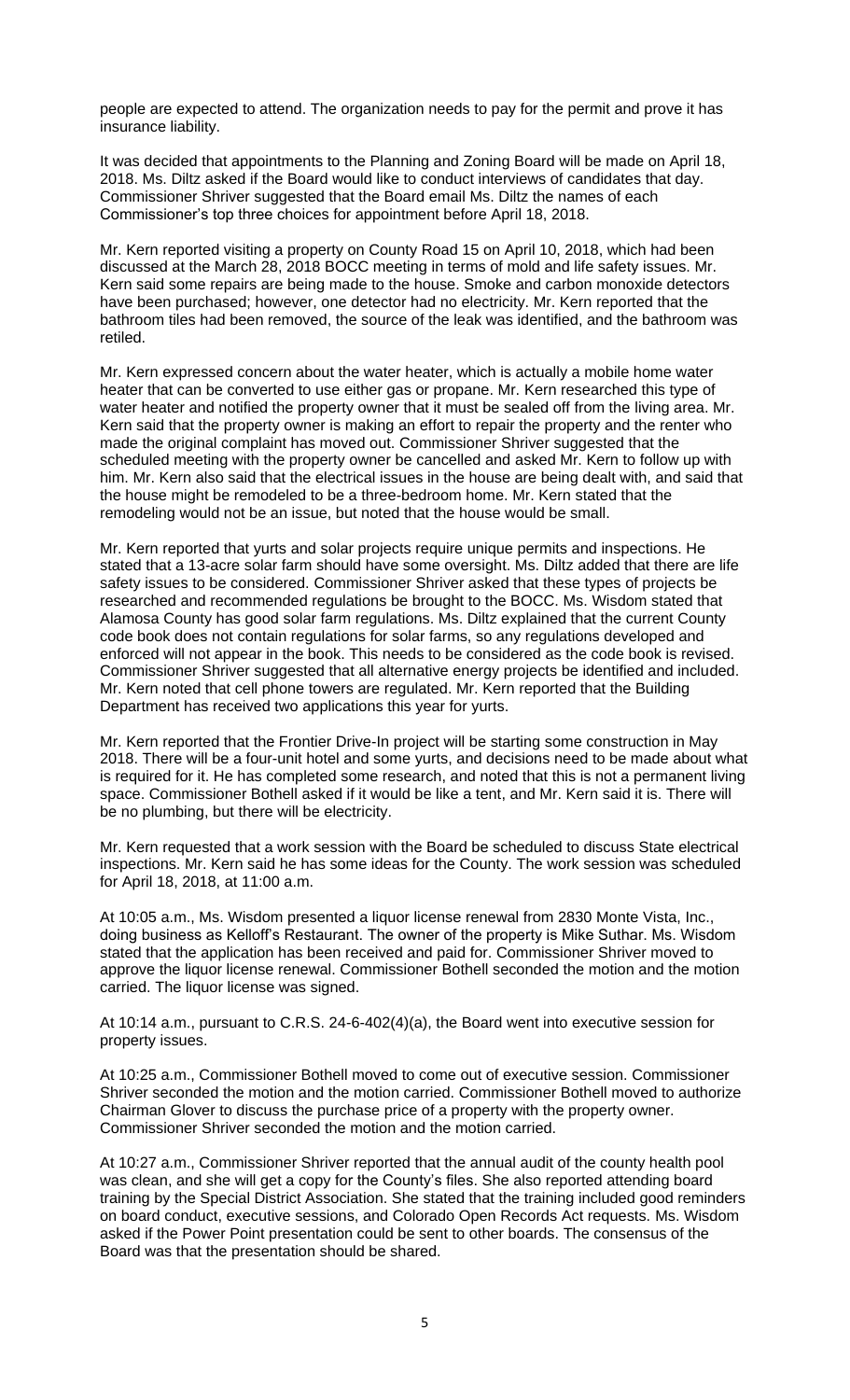people are expected to attend. The organization needs to pay for the permit and prove it has insurance liability.

It was decided that appointments to the Planning and Zoning Board will be made on April 18, 2018. Ms. Diltz asked if the Board would like to conduct interviews of candidates that day. Commissioner Shriver suggested that the Board email Ms. Diltz the names of each Commissioner's top three choices for appointment before April 18, 2018.

Mr. Kern reported visiting a property on County Road 15 on April 10, 2018, which had been discussed at the March 28, 2018 BOCC meeting in terms of mold and life safety issues. Mr. Kern said some repairs are being made to the house. Smoke and carbon monoxide detectors have been purchased; however, one detector had no electricity. Mr. Kern reported that the bathroom tiles had been removed, the source of the leak was identified, and the bathroom was retiled.

Mr. Kern expressed concern about the water heater, which is actually a mobile home water heater that can be converted to use either gas or propane. Mr. Kern researched this type of water heater and notified the property owner that it must be sealed off from the living area. Mr. Kern said that the property owner is making an effort to repair the property and the renter who made the original complaint has moved out. Commissioner Shriver suggested that the scheduled meeting with the property owner be cancelled and asked Mr. Kern to follow up with him. Mr. Kern also said that the electrical issues in the house are being dealt with, and said that the house might be remodeled to be a three-bedroom home. Mr. Kern stated that the remodeling would not be an issue, but noted that the house would be small.

Mr. Kern reported that yurts and solar projects require unique permits and inspections. He stated that a 13-acre solar farm should have some oversight. Ms. Diltz added that there are life safety issues to be considered. Commissioner Shriver asked that these types of projects be researched and recommended regulations be brought to the BOCC. Ms. Wisdom stated that Alamosa County has good solar farm regulations. Ms. Diltz explained that the current County code book does not contain regulations for solar farms, so any regulations developed and enforced will not appear in the book. This needs to be considered as the code book is revised. Commissioner Shriver suggested that all alternative energy projects be identified and included. Mr. Kern noted that cell phone towers are regulated. Mr. Kern reported that the Building Department has received two applications this year for yurts.

Mr. Kern reported that the Frontier Drive-In project will be starting some construction in May 2018. There will be a four-unit hotel and some yurts, and decisions need to be made about what is required for it. He has completed some research, and noted that this is not a permanent living space. Commissioner Bothell asked if it would be like a tent, and Mr. Kern said it is. There will be no plumbing, but there will be electricity.

Mr. Kern requested that a work session with the Board be scheduled to discuss State electrical inspections. Mr. Kern said he has some ideas for the County. The work session was scheduled for April 18, 2018, at 11:00 a.m.

At 10:05 a.m., Ms. Wisdom presented a liquor license renewal from 2830 Monte Vista, Inc., doing business as Kelloff's Restaurant. The owner of the property is Mike Suthar. Ms. Wisdom stated that the application has been received and paid for. Commissioner Shriver moved to approve the liquor license renewal. Commissioner Bothell seconded the motion and the motion carried. The liquor license was signed.

At 10:14 a.m., pursuant to C.R.S. 24-6-402(4)(a), the Board went into executive session for property issues.

At 10:25 a.m., Commissioner Bothell moved to come out of executive session. Commissioner Shriver seconded the motion and the motion carried. Commissioner Bothell moved to authorize Chairman Glover to discuss the purchase price of a property with the property owner. Commissioner Shriver seconded the motion and the motion carried.

At 10:27 a.m., Commissioner Shriver reported that the annual audit of the county health pool was clean, and she will get a copy for the County's files. She also reported attending board training by the Special District Association. She stated that the training included good reminders on board conduct, executive sessions, and Colorado Open Records Act requests. Ms. Wisdom asked if the Power Point presentation could be sent to other boards. The consensus of the Board was that the presentation should be shared.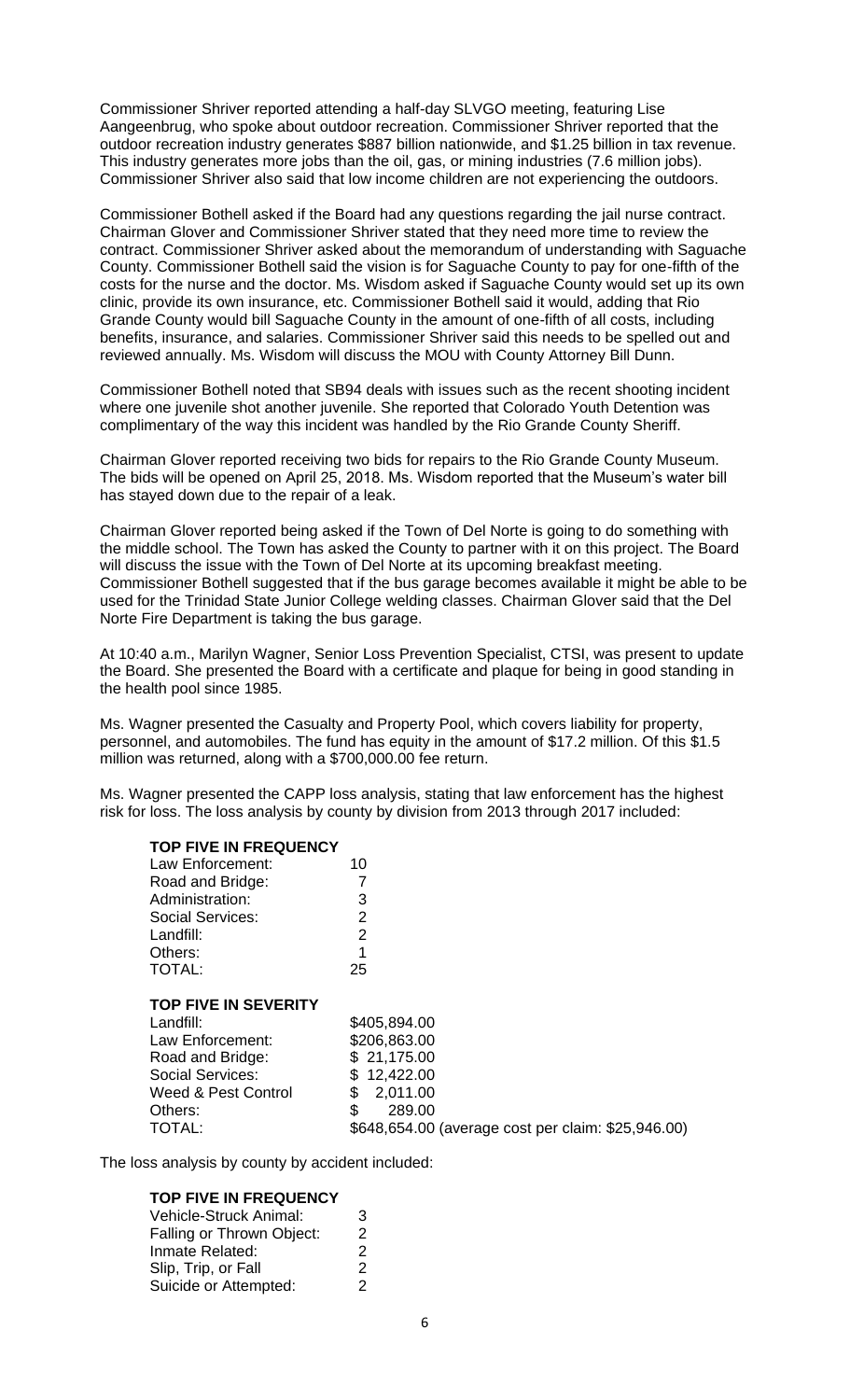Commissioner Shriver reported attending a half-day SLVGO meeting, featuring Lise Aangeenbrug, who spoke about outdoor recreation. Commissioner Shriver reported that the outdoor recreation industry generates \$887 billion nationwide, and \$1.25 billion in tax revenue. This industry generates more jobs than the oil, gas, or mining industries (7.6 million jobs). Commissioner Shriver also said that low income children are not experiencing the outdoors.

Commissioner Bothell asked if the Board had any questions regarding the jail nurse contract. Chairman Glover and Commissioner Shriver stated that they need more time to review the contract. Commissioner Shriver asked about the memorandum of understanding with Saguache County. Commissioner Bothell said the vision is for Saguache County to pay for one-fifth of the costs for the nurse and the doctor. Ms. Wisdom asked if Saguache County would set up its own clinic, provide its own insurance, etc. Commissioner Bothell said it would, adding that Rio Grande County would bill Saguache County in the amount of one-fifth of all costs, including benefits, insurance, and salaries. Commissioner Shriver said this needs to be spelled out and reviewed annually. Ms. Wisdom will discuss the MOU with County Attorney Bill Dunn.

Commissioner Bothell noted that SB94 deals with issues such as the recent shooting incident where one juvenile shot another juvenile. She reported that Colorado Youth Detention was complimentary of the way this incident was handled by the Rio Grande County Sheriff.

Chairman Glover reported receiving two bids for repairs to the Rio Grande County Museum. The bids will be opened on April 25, 2018. Ms. Wisdom reported that the Museum's water bill has stayed down due to the repair of a leak.

Chairman Glover reported being asked if the Town of Del Norte is going to do something with the middle school. The Town has asked the County to partner with it on this project. The Board will discuss the issue with the Town of Del Norte at its upcoming breakfast meeting. Commissioner Bothell suggested that if the bus garage becomes available it might be able to be used for the Trinidad State Junior College welding classes. Chairman Glover said that the Del Norte Fire Department is taking the bus garage.

At 10:40 a.m., Marilyn Wagner, Senior Loss Prevention Specialist, CTSI, was present to update the Board. She presented the Board with a certificate and plaque for being in good standing in the health pool since 1985.

Ms. Wagner presented the Casualty and Property Pool, which covers liability for property, personnel, and automobiles. The fund has equity in the amount of \$17.2 million. Of this \$1.5 million was returned, along with a \$700,000.00 fee return.

Ms. Wagner presented the CAPP loss analysis, stating that law enforcement has the highest risk for loss. The loss analysis by county by division from 2013 through 2017 included:

| Law Enforcement:                                                                                                                                               | 10                                                                                                                                                 |
|----------------------------------------------------------------------------------------------------------------------------------------------------------------|----------------------------------------------------------------------------------------------------------------------------------------------------|
| Road and Bridge:                                                                                                                                               |                                                                                                                                                    |
| Administration:                                                                                                                                                | 3                                                                                                                                                  |
| <b>Social Services:</b>                                                                                                                                        | 2                                                                                                                                                  |
| Landfill:                                                                                                                                                      | 2                                                                                                                                                  |
| Others:                                                                                                                                                        |                                                                                                                                                    |
| <b>TOTAL:</b>                                                                                                                                                  | 25                                                                                                                                                 |
| <b>TOP FIVE IN SEVERITY</b><br>Landfill:<br>Law Enforcement:<br>Road and Bridge:<br><b>Social Services:</b><br>Weed & Pest Control<br>Others:<br><b>TOTAL:</b> | \$405,894.00<br>\$206,863.00<br>\$21,175.00<br>\$12,422.00<br>\$<br>2,011.00<br>\$<br>289.00<br>\$648,654.00 (average cost per claim: \$25,946.00) |
|                                                                                                                                                                |                                                                                                                                                    |

The loss analysis by county by accident included:

#### **TOP FIVE IN FREQUENCY**

**TOP FIVE IN FREQUENCY**

| Vehicle-Struck Animal:    | 3 |
|---------------------------|---|
| Falling or Thrown Object: | 2 |
| Inmate Related:           | 2 |
| Slip, Trip, or Fall       | 2 |
| Suicide or Attempted:     | 2 |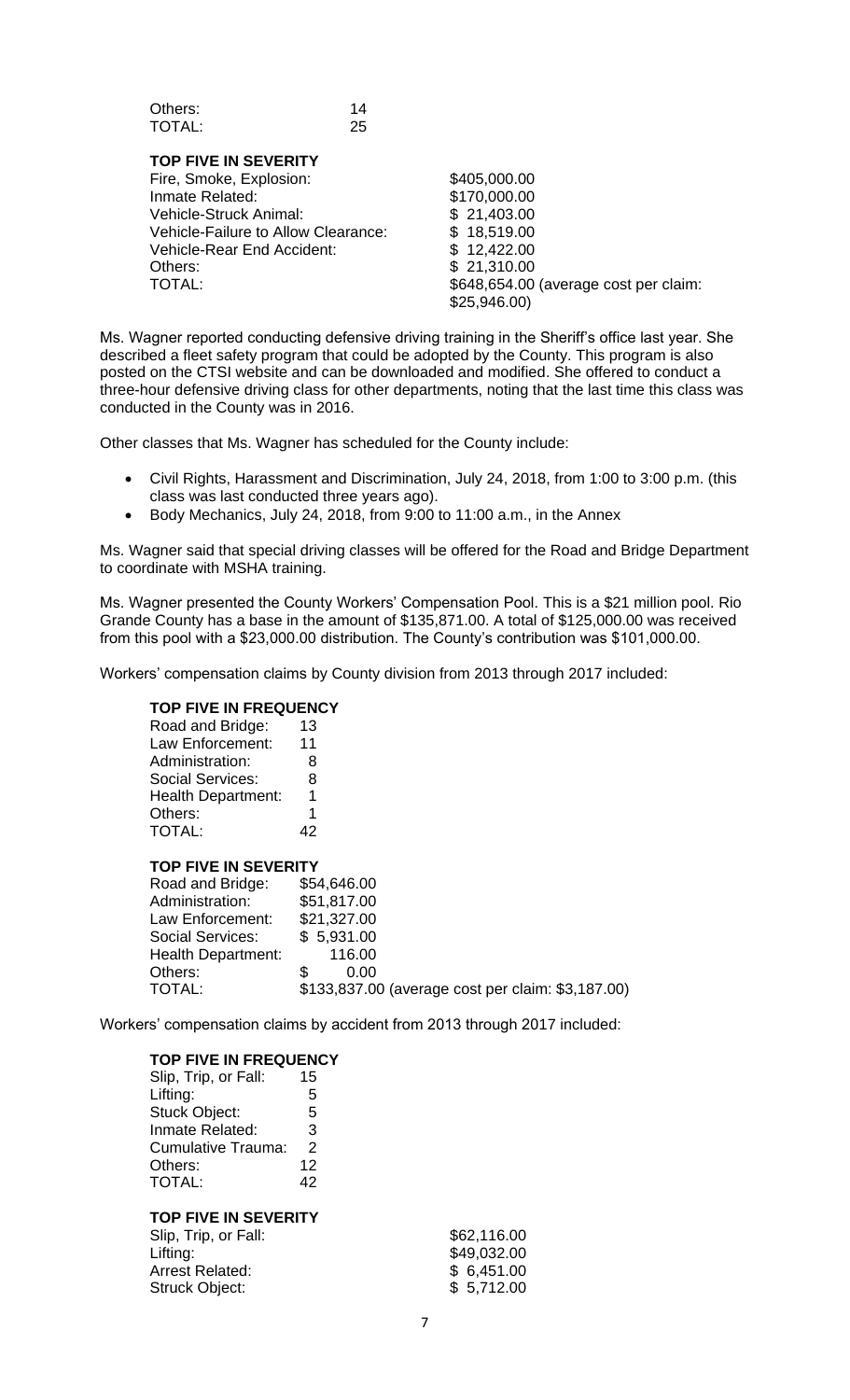| Others: | 14 |
|---------|----|
| TOTAL:  | 25 |

**TOP FIVE IN SEVERITY** Fire, Smoke, Explosion: \$405,000.00 Inmate Related: \$170,000.00 Vehicle-Struck Animal: \$ 21,403.00 Vehicle-Failure to Allow Clearance: \$ 18,519.00<br>Vehicle-Rear End Accident: \$ 12,422.00 Vehicle-Rear End Accident: Others: \$ 21,310.00 TOTAL:  $$648,654.00$  (average cost per claim: \$25,946.00)

Ms. Wagner reported conducting defensive driving training in the Sheriff's office last year. She described a fleet safety program that could be adopted by the County. This program is also posted on the CTSI website and can be downloaded and modified. She offered to conduct a three-hour defensive driving class for other departments, noting that the last time this class was conducted in the County was in 2016.

Other classes that Ms. Wagner has scheduled for the County include:

- Civil Rights, Harassment and Discrimination, July 24, 2018, from 1:00 to 3:00 p.m. (this class was last conducted three years ago).
- Body Mechanics, July 24, 2018, from 9:00 to 11:00 a.m., in the Annex

Ms. Wagner said that special driving classes will be offered for the Road and Bridge Department to coordinate with MSHA training.

Ms. Wagner presented the County Workers' Compensation Pool. This is a \$21 million pool. Rio Grande County has a base in the amount of \$135,871.00. A total of \$125,000.00 was received from this pool with a \$23,000.00 distribution. The County's contribution was \$101,000.00.

Workers' compensation claims by County division from 2013 through 2017 included:

# **TOP FIVE IN FREQUENCY**

| Road and Bridge:          | 13 |
|---------------------------|----|
| Law Enforcement:          | 11 |
| Administration:           | 8  |
| <b>Social Services:</b>   | 8  |
| <b>Health Department:</b> | 1  |
| Others:                   | 1  |
| TOTAL:                    | 42 |

#### **TOP FIVE IN SEVERITY**

| Road and Bridge:<br>Administration: | \$54,646.00<br>\$51,817.00                        |
|-------------------------------------|---------------------------------------------------|
| Law Enforcement:                    | \$21,327.00                                       |
| <b>Social Services:</b>             | \$5,931.00                                        |
| <b>Health Department:</b>           | 116.00                                            |
| Others:                             | 0.00                                              |
| TOTAL:                              | \$133,837.00 (average cost per claim: \$3,187.00) |

Workers' compensation claims by accident from 2013 through 2017 included:

#### **TOP FIVE IN FREQUENCY**

| .                    |    |
|----------------------|----|
| Slip, Trip, or Fall: | 15 |
| Lifting:             | 5  |
| <b>Stuck Object:</b> | 5  |
| Inmate Related:      | 3  |
| Cumulative Trauma:   | 2  |
| Others:              | 12 |
| <b>TOTAL:</b>        | 42 |

## **TOP FIVE IN SEVERITY**

| \$62,116.00 |
|-------------|
| \$49,032.00 |
| \$6,451.00  |
| \$5,712.00  |
|             |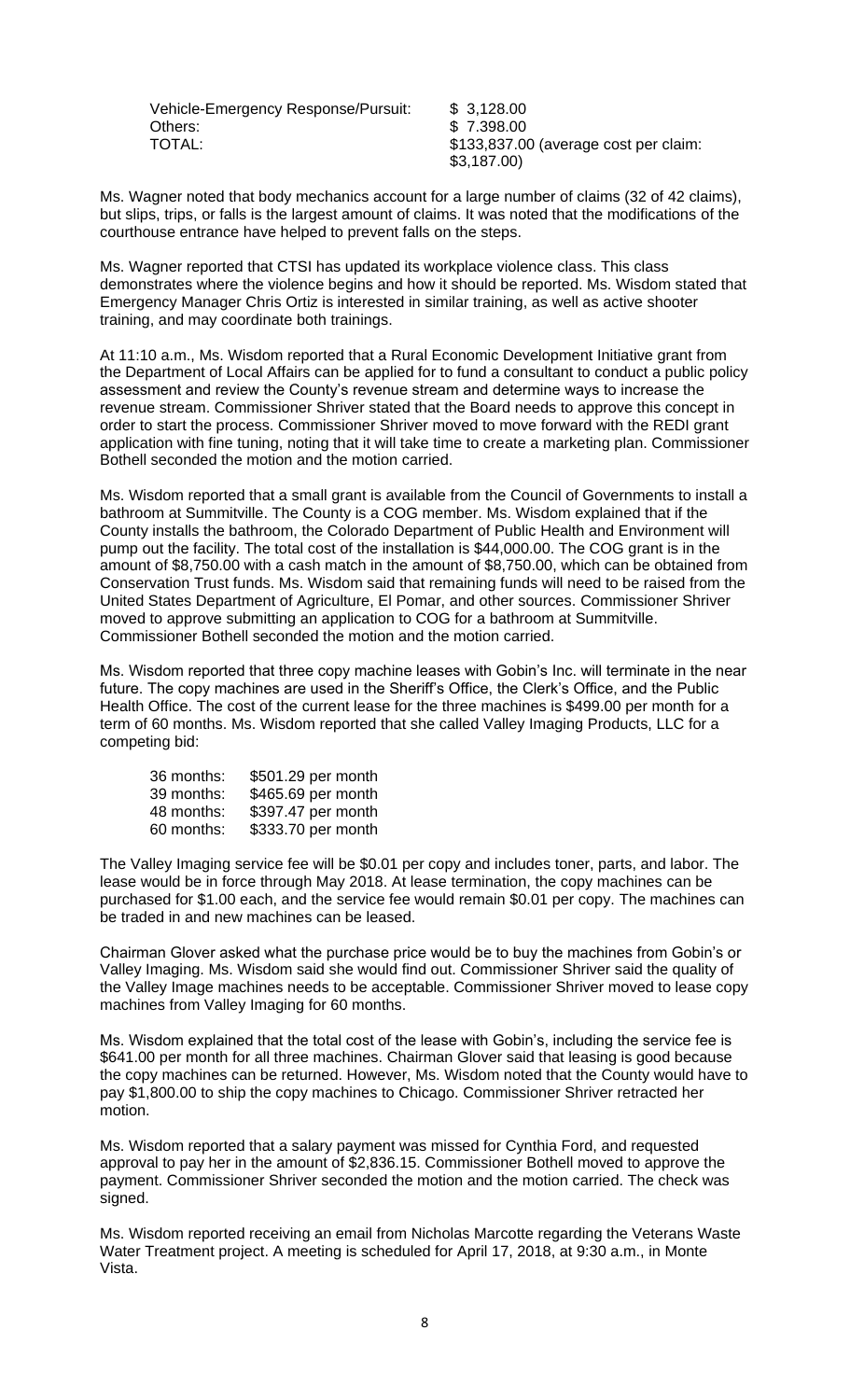Vehicle-Emergency Response/Pursuit: \$ 3,128.00 Others: \$ 7.398.00 TOTAL:  $$133,837.00$  (average cost per claim:

\$3,187.00)

Ms. Wagner noted that body mechanics account for a large number of claims (32 of 42 claims), but slips, trips, or falls is the largest amount of claims. It was noted that the modifications of the courthouse entrance have helped to prevent falls on the steps.

Ms. Wagner reported that CTSI has updated its workplace violence class. This class demonstrates where the violence begins and how it should be reported. Ms. Wisdom stated that Emergency Manager Chris Ortiz is interested in similar training, as well as active shooter training, and may coordinate both trainings.

At 11:10 a.m., Ms. Wisdom reported that a Rural Economic Development Initiative grant from the Department of Local Affairs can be applied for to fund a consultant to conduct a public policy assessment and review the County's revenue stream and determine ways to increase the revenue stream. Commissioner Shriver stated that the Board needs to approve this concept in order to start the process. Commissioner Shriver moved to move forward with the REDI grant application with fine tuning, noting that it will take time to create a marketing plan. Commissioner Bothell seconded the motion and the motion carried.

Ms. Wisdom reported that a small grant is available from the Council of Governments to install a bathroom at Summitville. The County is a COG member. Ms. Wisdom explained that if the County installs the bathroom, the Colorado Department of Public Health and Environment will pump out the facility. The total cost of the installation is \$44,000.00. The COG grant is in the amount of \$8,750.00 with a cash match in the amount of \$8,750.00, which can be obtained from Conservation Trust funds. Ms. Wisdom said that remaining funds will need to be raised from the United States Department of Agriculture, El Pomar, and other sources. Commissioner Shriver moved to approve submitting an application to COG for a bathroom at Summitville. Commissioner Bothell seconded the motion and the motion carried.

Ms. Wisdom reported that three copy machine leases with Gobin's Inc. will terminate in the near future. The copy machines are used in the Sheriff's Office, the Clerk's Office, and the Public Health Office. The cost of the current lease for the three machines is \$499.00 per month for a term of 60 months. Ms. Wisdom reported that she called Valley Imaging Products, LLC for a competing bid:

| 36 months: | \$501.29 per month |
|------------|--------------------|
| 39 months: | \$465.69 per month |
| 48 months: | \$397.47 per month |
| 60 months: | \$333.70 per month |

The Valley Imaging service fee will be \$0.01 per copy and includes toner, parts, and labor. The lease would be in force through May 2018. At lease termination, the copy machines can be purchased for \$1.00 each, and the service fee would remain \$0.01 per copy. The machines can be traded in and new machines can be leased.

Chairman Glover asked what the purchase price would be to buy the machines from Gobin's or Valley Imaging. Ms. Wisdom said she would find out. Commissioner Shriver said the quality of the Valley Image machines needs to be acceptable. Commissioner Shriver moved to lease copy machines from Valley Imaging for 60 months.

Ms. Wisdom explained that the total cost of the lease with Gobin's, including the service fee is \$641.00 per month for all three machines. Chairman Glover said that leasing is good because the copy machines can be returned. However, Ms. Wisdom noted that the County would have to pay \$1,800.00 to ship the copy machines to Chicago. Commissioner Shriver retracted her motion.

Ms. Wisdom reported that a salary payment was missed for Cynthia Ford, and requested approval to pay her in the amount of \$2,836.15. Commissioner Bothell moved to approve the payment. Commissioner Shriver seconded the motion and the motion carried. The check was signed.

Ms. Wisdom reported receiving an email from Nicholas Marcotte regarding the Veterans Waste Water Treatment project. A meeting is scheduled for April 17, 2018, at 9:30 a.m., in Monte Vista.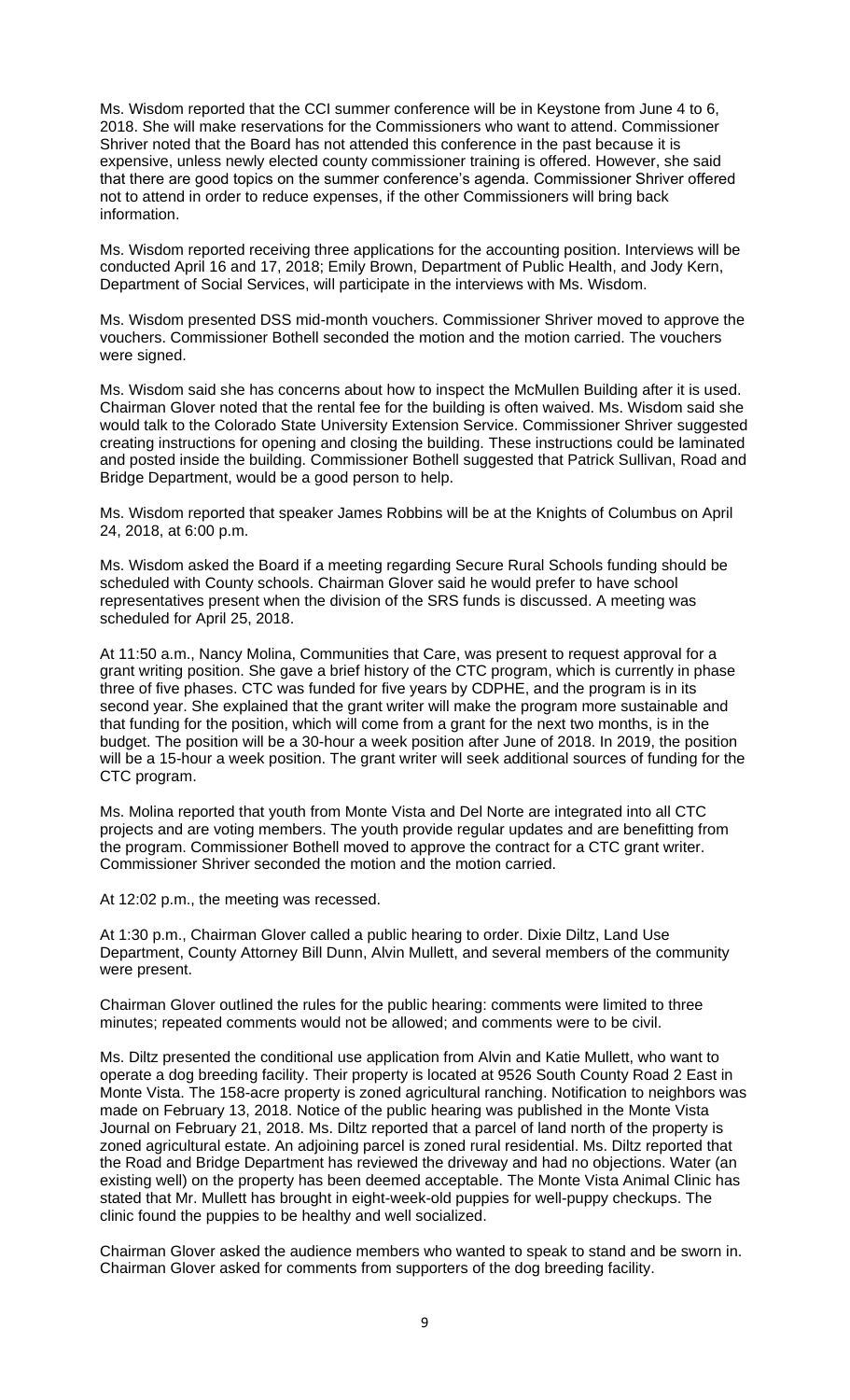Ms. Wisdom reported that the CCI summer conference will be in Keystone from June 4 to 6, 2018. She will make reservations for the Commissioners who want to attend. Commissioner Shriver noted that the Board has not attended this conference in the past because it is expensive, unless newly elected county commissioner training is offered. However, she said that there are good topics on the summer conference's agenda. Commissioner Shriver offered not to attend in order to reduce expenses, if the other Commissioners will bring back information.

Ms. Wisdom reported receiving three applications for the accounting position. Interviews will be conducted April 16 and 17, 2018; Emily Brown, Department of Public Health, and Jody Kern, Department of Social Services, will participate in the interviews with Ms. Wisdom.

Ms. Wisdom presented DSS mid-month vouchers. Commissioner Shriver moved to approve the vouchers. Commissioner Bothell seconded the motion and the motion carried. The vouchers were signed.

Ms. Wisdom said she has concerns about how to inspect the McMullen Building after it is used. Chairman Glover noted that the rental fee for the building is often waived. Ms. Wisdom said she would talk to the Colorado State University Extension Service. Commissioner Shriver suggested creating instructions for opening and closing the building. These instructions could be laminated and posted inside the building. Commissioner Bothell suggested that Patrick Sullivan, Road and Bridge Department, would be a good person to help.

Ms. Wisdom reported that speaker James Robbins will be at the Knights of Columbus on April 24, 2018, at 6:00 p.m.

Ms. Wisdom asked the Board if a meeting regarding Secure Rural Schools funding should be scheduled with County schools. Chairman Glover said he would prefer to have school representatives present when the division of the SRS funds is discussed. A meeting was scheduled for April 25, 2018.

At 11:50 a.m., Nancy Molina, Communities that Care, was present to request approval for a grant writing position. She gave a brief history of the CTC program, which is currently in phase three of five phases. CTC was funded for five years by CDPHE, and the program is in its second year. She explained that the grant writer will make the program more sustainable and that funding for the position, which will come from a grant for the next two months, is in the budget. The position will be a 30-hour a week position after June of 2018. In 2019, the position will be a 15-hour a week position. The grant writer will seek additional sources of funding for the CTC program.

Ms. Molina reported that youth from Monte Vista and Del Norte are integrated into all CTC projects and are voting members. The youth provide regular updates and are benefitting from the program. Commissioner Bothell moved to approve the contract for a CTC grant writer. Commissioner Shriver seconded the motion and the motion carried.

At 12:02 p.m., the meeting was recessed.

At 1:30 p.m., Chairman Glover called a public hearing to order. Dixie Diltz, Land Use Department, County Attorney Bill Dunn, Alvin Mullett, and several members of the community were present.

Chairman Glover outlined the rules for the public hearing: comments were limited to three minutes; repeated comments would not be allowed; and comments were to be civil.

Ms. Diltz presented the conditional use application from Alvin and Katie Mullett, who want to operate a dog breeding facility. Their property is located at 9526 South County Road 2 East in Monte Vista. The 158-acre property is zoned agricultural ranching. Notification to neighbors was made on February 13, 2018. Notice of the public hearing was published in the Monte Vista Journal on February 21, 2018. Ms. Diltz reported that a parcel of land north of the property is zoned agricultural estate. An adjoining parcel is zoned rural residential. Ms. Diltz reported that the Road and Bridge Department has reviewed the driveway and had no objections. Water (an existing well) on the property has been deemed acceptable. The Monte Vista Animal Clinic has stated that Mr. Mullett has brought in eight-week-old puppies for well-puppy checkups. The clinic found the puppies to be healthy and well socialized.

Chairman Glover asked the audience members who wanted to speak to stand and be sworn in. Chairman Glover asked for comments from supporters of the dog breeding facility.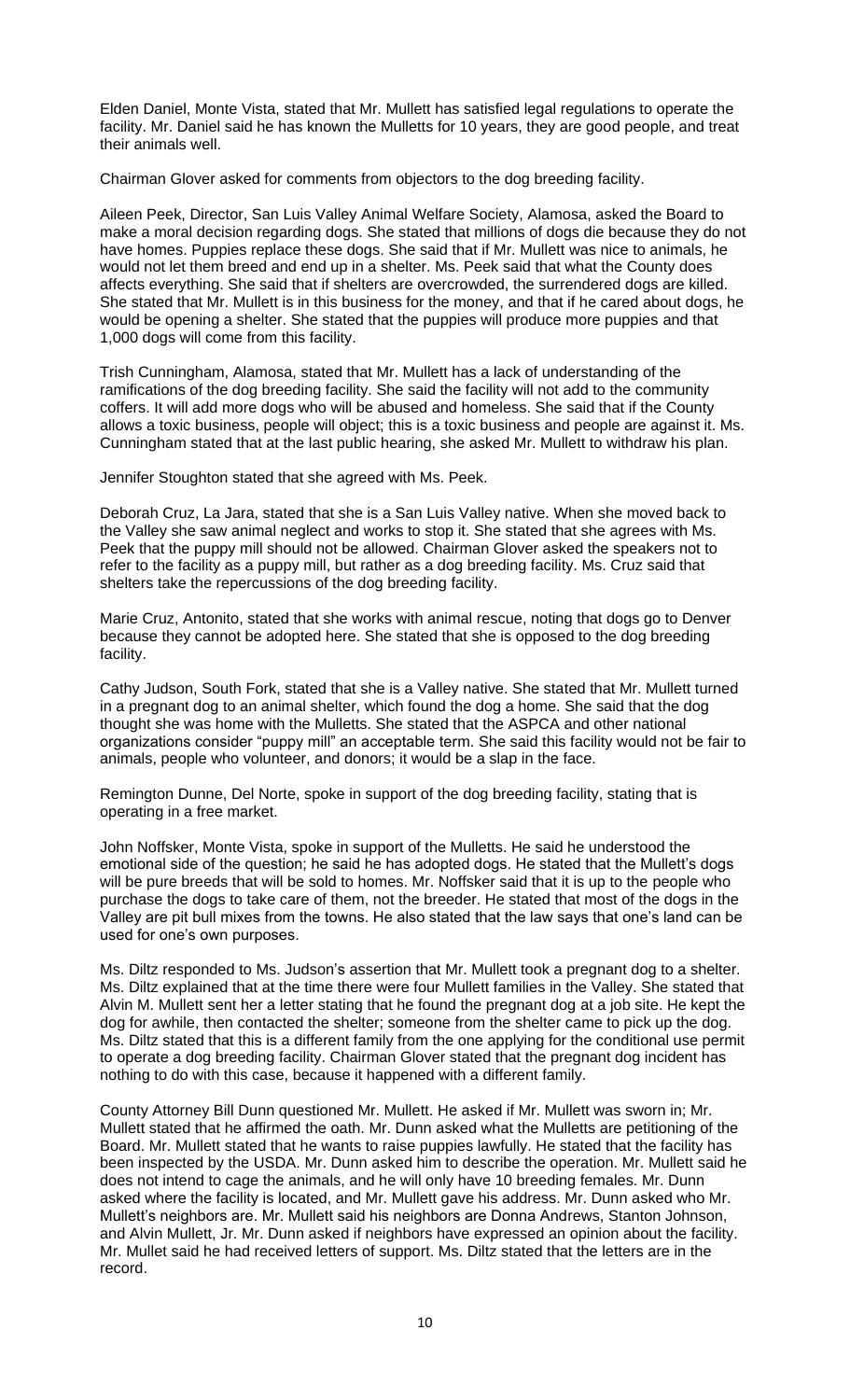Elden Daniel, Monte Vista, stated that Mr. Mullett has satisfied legal regulations to operate the facility. Mr. Daniel said he has known the Mulletts for 10 years, they are good people, and treat their animals well.

Chairman Glover asked for comments from objectors to the dog breeding facility.

Aileen Peek, Director, San Luis Valley Animal Welfare Society, Alamosa, asked the Board to make a moral decision regarding dogs. She stated that millions of dogs die because they do not have homes. Puppies replace these dogs. She said that if Mr. Mullett was nice to animals, he would not let them breed and end up in a shelter. Ms. Peek said that what the County does affects everything. She said that if shelters are overcrowded, the surrendered dogs are killed. She stated that Mr. Mullett is in this business for the money, and that if he cared about dogs, he would be opening a shelter. She stated that the puppies will produce more puppies and that 1,000 dogs will come from this facility.

Trish Cunningham, Alamosa, stated that Mr. Mullett has a lack of understanding of the ramifications of the dog breeding facility. She said the facility will not add to the community coffers. It will add more dogs who will be abused and homeless. She said that if the County allows a toxic business, people will object; this is a toxic business and people are against it. Ms. Cunningham stated that at the last public hearing, she asked Mr. Mullett to withdraw his plan.

Jennifer Stoughton stated that she agreed with Ms. Peek.

Deborah Cruz, La Jara, stated that she is a San Luis Valley native. When she moved back to the Valley she saw animal neglect and works to stop it. She stated that she agrees with Ms. Peek that the puppy mill should not be allowed. Chairman Glover asked the speakers not to refer to the facility as a puppy mill, but rather as a dog breeding facility. Ms. Cruz said that shelters take the repercussions of the dog breeding facility.

Marie Cruz, Antonito, stated that she works with animal rescue, noting that dogs go to Denver because they cannot be adopted here. She stated that she is opposed to the dog breeding facility.

Cathy Judson, South Fork, stated that she is a Valley native. She stated that Mr. Mullett turned in a pregnant dog to an animal shelter, which found the dog a home. She said that the dog thought she was home with the Mulletts. She stated that the ASPCA and other national organizations consider "puppy mill" an acceptable term. She said this facility would not be fair to animals, people who volunteer, and donors; it would be a slap in the face.

Remington Dunne, Del Norte, spoke in support of the dog breeding facility, stating that is operating in a free market.

John Noffsker, Monte Vista, spoke in support of the Mulletts. He said he understood the emotional side of the question; he said he has adopted dogs. He stated that the Mullett's dogs will be pure breeds that will be sold to homes. Mr. Noffsker said that it is up to the people who purchase the dogs to take care of them, not the breeder. He stated that most of the dogs in the Valley are pit bull mixes from the towns. He also stated that the law says that one's land can be used for one's own purposes.

Ms. Diltz responded to Ms. Judson's assertion that Mr. Mullett took a pregnant dog to a shelter. Ms. Diltz explained that at the time there were four Mullett families in the Valley. She stated that Alvin M. Mullett sent her a letter stating that he found the pregnant dog at a job site. He kept the dog for awhile, then contacted the shelter; someone from the shelter came to pick up the dog. Ms. Diltz stated that this is a different family from the one applying for the conditional use permit to operate a dog breeding facility. Chairman Glover stated that the pregnant dog incident has nothing to do with this case, because it happened with a different family.

County Attorney Bill Dunn questioned Mr. Mullett. He asked if Mr. Mullett was sworn in; Mr. Mullett stated that he affirmed the oath. Mr. Dunn asked what the Mulletts are petitioning of the Board. Mr. Mullett stated that he wants to raise puppies lawfully. He stated that the facility has been inspected by the USDA. Mr. Dunn asked him to describe the operation. Mr. Mullett said he does not intend to cage the animals, and he will only have 10 breeding females. Mr. Dunn asked where the facility is located, and Mr. Mullett gave his address. Mr. Dunn asked who Mr. Mullett's neighbors are. Mr. Mullett said his neighbors are Donna Andrews, Stanton Johnson, and Alvin Mullett, Jr. Mr. Dunn asked if neighbors have expressed an opinion about the facility. Mr. Mullet said he had received letters of support. Ms. Diltz stated that the letters are in the record.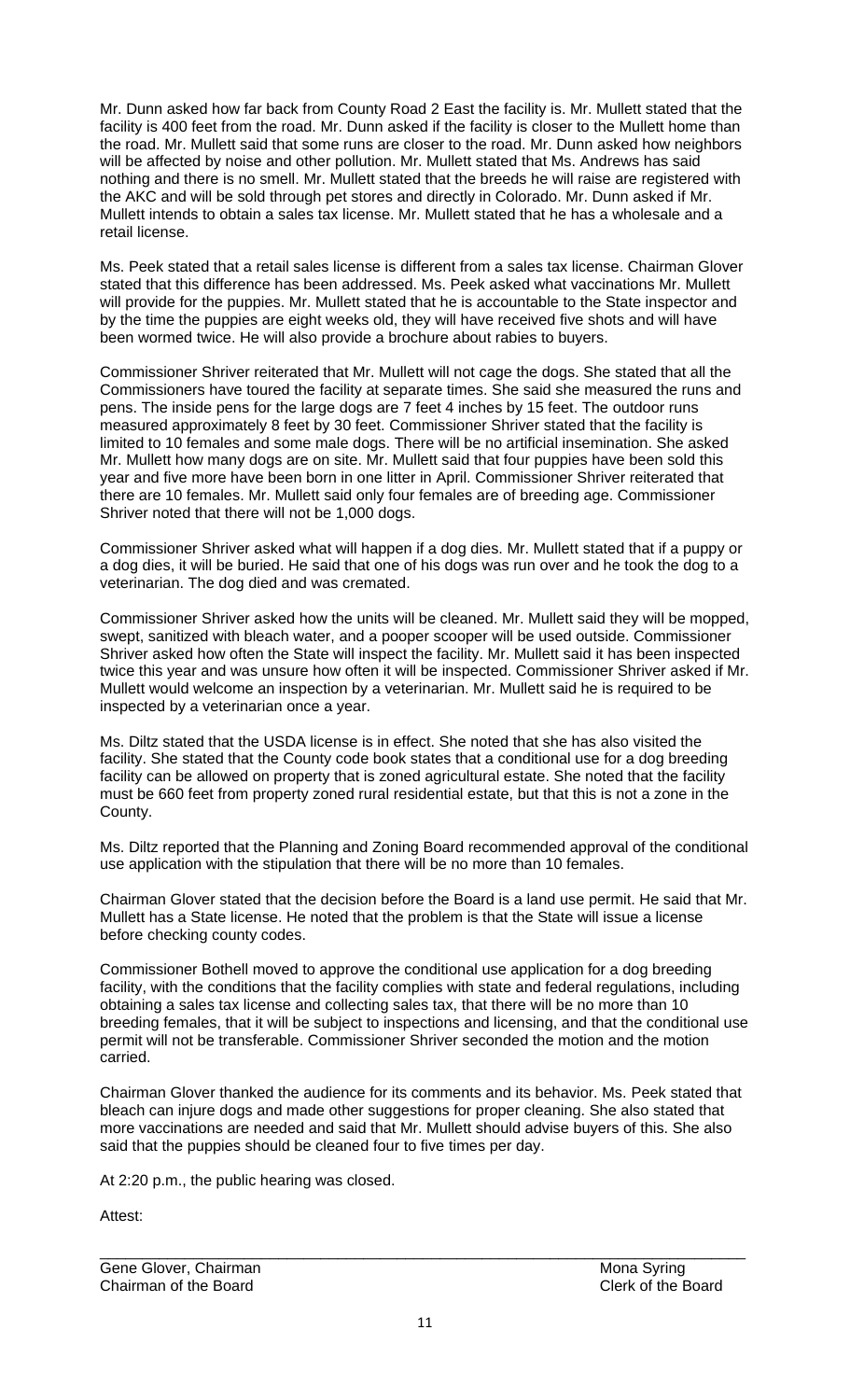Mr. Dunn asked how far back from County Road 2 East the facility is. Mr. Mullett stated that the facility is 400 feet from the road. Mr. Dunn asked if the facility is closer to the Mullett home than the road. Mr. Mullett said that some runs are closer to the road. Mr. Dunn asked how neighbors will be affected by noise and other pollution. Mr. Mullett stated that Ms. Andrews has said nothing and there is no smell. Mr. Mullett stated that the breeds he will raise are registered with the AKC and will be sold through pet stores and directly in Colorado. Mr. Dunn asked if Mr. Mullett intends to obtain a sales tax license. Mr. Mullett stated that he has a wholesale and a retail license.

Ms. Peek stated that a retail sales license is different from a sales tax license. Chairman Glover stated that this difference has been addressed. Ms. Peek asked what vaccinations Mr. Mullett will provide for the puppies. Mr. Mullett stated that he is accountable to the State inspector and by the time the puppies are eight weeks old, they will have received five shots and will have been wormed twice. He will also provide a brochure about rabies to buyers.

Commissioner Shriver reiterated that Mr. Mullett will not cage the dogs. She stated that all the Commissioners have toured the facility at separate times. She said she measured the runs and pens. The inside pens for the large dogs are 7 feet 4 inches by 15 feet. The outdoor runs measured approximately 8 feet by 30 feet. Commissioner Shriver stated that the facility is limited to 10 females and some male dogs. There will be no artificial insemination. She asked Mr. Mullett how many dogs are on site. Mr. Mullett said that four puppies have been sold this year and five more have been born in one litter in April. Commissioner Shriver reiterated that there are 10 females. Mr. Mullett said only four females are of breeding age. Commissioner Shriver noted that there will not be 1,000 dogs.

Commissioner Shriver asked what will happen if a dog dies. Mr. Mullett stated that if a puppy or a dog dies, it will be buried. He said that one of his dogs was run over and he took the dog to a veterinarian. The dog died and was cremated.

Commissioner Shriver asked how the units will be cleaned. Mr. Mullett said they will be mopped, swept, sanitized with bleach water, and a pooper scooper will be used outside. Commissioner Shriver asked how often the State will inspect the facility. Mr. Mullett said it has been inspected twice this year and was unsure how often it will be inspected. Commissioner Shriver asked if Mr. Mullett would welcome an inspection by a veterinarian. Mr. Mullett said he is required to be inspected by a veterinarian once a year.

Ms. Diltz stated that the USDA license is in effect. She noted that she has also visited the facility. She stated that the County code book states that a conditional use for a dog breeding facility can be allowed on property that is zoned agricultural estate. She noted that the facility must be 660 feet from property zoned rural residential estate, but that this is not a zone in the County.

Ms. Diltz reported that the Planning and Zoning Board recommended approval of the conditional use application with the stipulation that there will be no more than 10 females.

Chairman Glover stated that the decision before the Board is a land use permit. He said that Mr. Mullett has a State license. He noted that the problem is that the State will issue a license before checking county codes.

Commissioner Bothell moved to approve the conditional use application for a dog breeding facility, with the conditions that the facility complies with state and federal regulations, including obtaining a sales tax license and collecting sales tax, that there will be no more than 10 breeding females, that it will be subject to inspections and licensing, and that the conditional use permit will not be transferable. Commissioner Shriver seconded the motion and the motion carried.

Chairman Glover thanked the audience for its comments and its behavior. Ms. Peek stated that bleach can injure dogs and made other suggestions for proper cleaning. She also stated that more vaccinations are needed and said that Mr. Mullett should advise buyers of this. She also said that the puppies should be cleaned four to five times per day.

At 2:20 p.m., the public hearing was closed.

Attest<sup>.</sup>

Gene Glover, Chairman Mona Syring Chairman of the Board Clerk of the Board

\_\_\_\_\_\_\_\_\_\_\_\_\_\_\_\_\_\_\_\_\_\_\_\_\_\_\_\_\_\_\_\_\_\_\_\_\_\_\_\_\_\_\_\_\_\_\_\_\_\_\_\_\_\_\_\_\_\_\_\_\_\_\_\_\_\_\_\_\_\_\_\_\_\_\_\_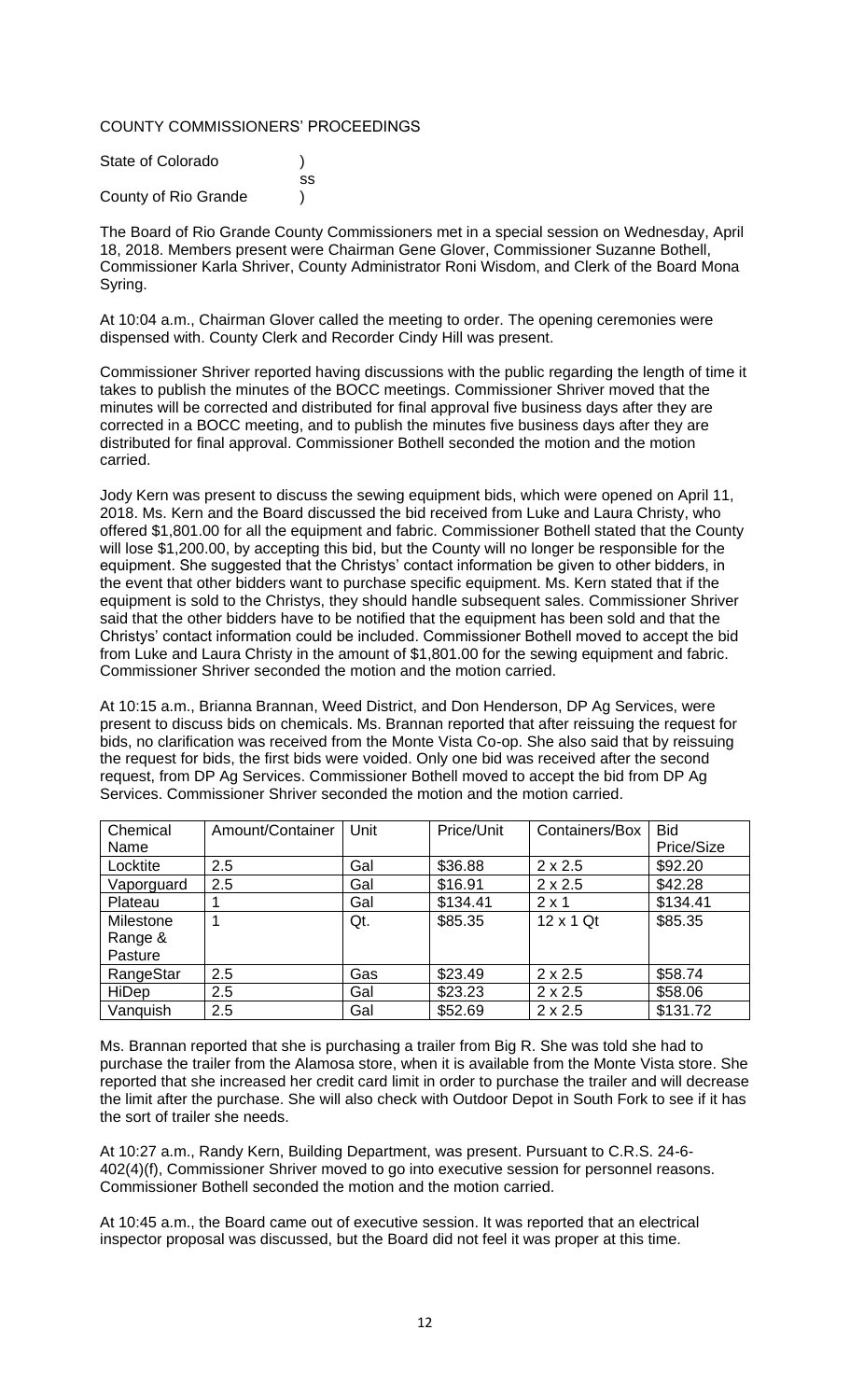### COUNTY COMMISSIONERS' PROCEEDINGS

| State of Colorado    |    |
|----------------------|----|
|                      | SS |
| County of Rio Grande |    |

The Board of Rio Grande County Commissioners met in a special session on Wednesday, April 18, 2018. Members present were Chairman Gene Glover, Commissioner Suzanne Bothell, Commissioner Karla Shriver, County Administrator Roni Wisdom, and Clerk of the Board Mona Syring.

At 10:04 a.m., Chairman Glover called the meeting to order. The opening ceremonies were dispensed with. County Clerk and Recorder Cindy Hill was present.

Commissioner Shriver reported having discussions with the public regarding the length of time it takes to publish the minutes of the BOCC meetings. Commissioner Shriver moved that the minutes will be corrected and distributed for final approval five business days after they are corrected in a BOCC meeting, and to publish the minutes five business days after they are distributed for final approval. Commissioner Bothell seconded the motion and the motion carried.

Jody Kern was present to discuss the sewing equipment bids, which were opened on April 11, 2018. Ms. Kern and the Board discussed the bid received from Luke and Laura Christy, who offered \$1,801.00 for all the equipment and fabric. Commissioner Bothell stated that the County will lose \$1,200.00, by accepting this bid, but the County will no longer be responsible for the equipment. She suggested that the Christys' contact information be given to other bidders, in the event that other bidders want to purchase specific equipment. Ms. Kern stated that if the equipment is sold to the Christys, they should handle subsequent sales. Commissioner Shriver said that the other bidders have to be notified that the equipment has been sold and that the Christys' contact information could be included. Commissioner Bothell moved to accept the bid from Luke and Laura Christy in the amount of \$1,801.00 for the sewing equipment and fabric. Commissioner Shriver seconded the motion and the motion carried.

At 10:15 a.m., Brianna Brannan, Weed District, and Don Henderson, DP Ag Services, were present to discuss bids on chemicals. Ms. Brannan reported that after reissuing the request for bids, no clarification was received from the Monte Vista Co-op. She also said that by reissuing the request for bids, the first bids were voided. Only one bid was received after the second request, from DP Ag Services. Commissioner Bothell moved to accept the bid from DP Ag Services. Commissioner Shriver seconded the motion and the motion carried.

| Chemical   | Amount/Container | Unit | Price/Unit | Containers/Box   | <b>Bid</b> |
|------------|------------------|------|------------|------------------|------------|
| Name       |                  |      |            |                  | Price/Size |
| Locktite   | 2.5              | Gal  | \$36.88    | $2 \times 2.5$   | \$92.20    |
| Vaporguard | 2.5              | Gal  | \$16.91    | $2 \times 2.5$   | \$42.28    |
| Plateau    |                  | Gal  | \$134.41   | $2 \times 1$     | \$134.41   |
| Milestone  |                  | Qt.  | \$85.35    | $12 \times 1$ Qt | \$85.35    |
| Range &    |                  |      |            |                  |            |
| Pasture    |                  |      |            |                  |            |
| RangeStar  | 2.5              | Gas  | \$23.49    | $2 \times 2.5$   | \$58.74    |
| HiDep      | 2.5              | Gal  | \$23.23    | $2 \times 2.5$   | \$58.06    |
| Vanquish   | 2.5              | Gal  | \$52.69    | $2 \times 2.5$   | \$131.72   |

Ms. Brannan reported that she is purchasing a trailer from Big R. She was told she had to purchase the trailer from the Alamosa store, when it is available from the Monte Vista store. She reported that she increased her credit card limit in order to purchase the trailer and will decrease the limit after the purchase. She will also check with Outdoor Depot in South Fork to see if it has the sort of trailer she needs.

At 10:27 a.m., Randy Kern, Building Department, was present. Pursuant to C.R.S. 24-6- 402(4)(f), Commissioner Shriver moved to go into executive session for personnel reasons. Commissioner Bothell seconded the motion and the motion carried.

At 10:45 a.m., the Board came out of executive session. It was reported that an electrical inspector proposal was discussed, but the Board did not feel it was proper at this time.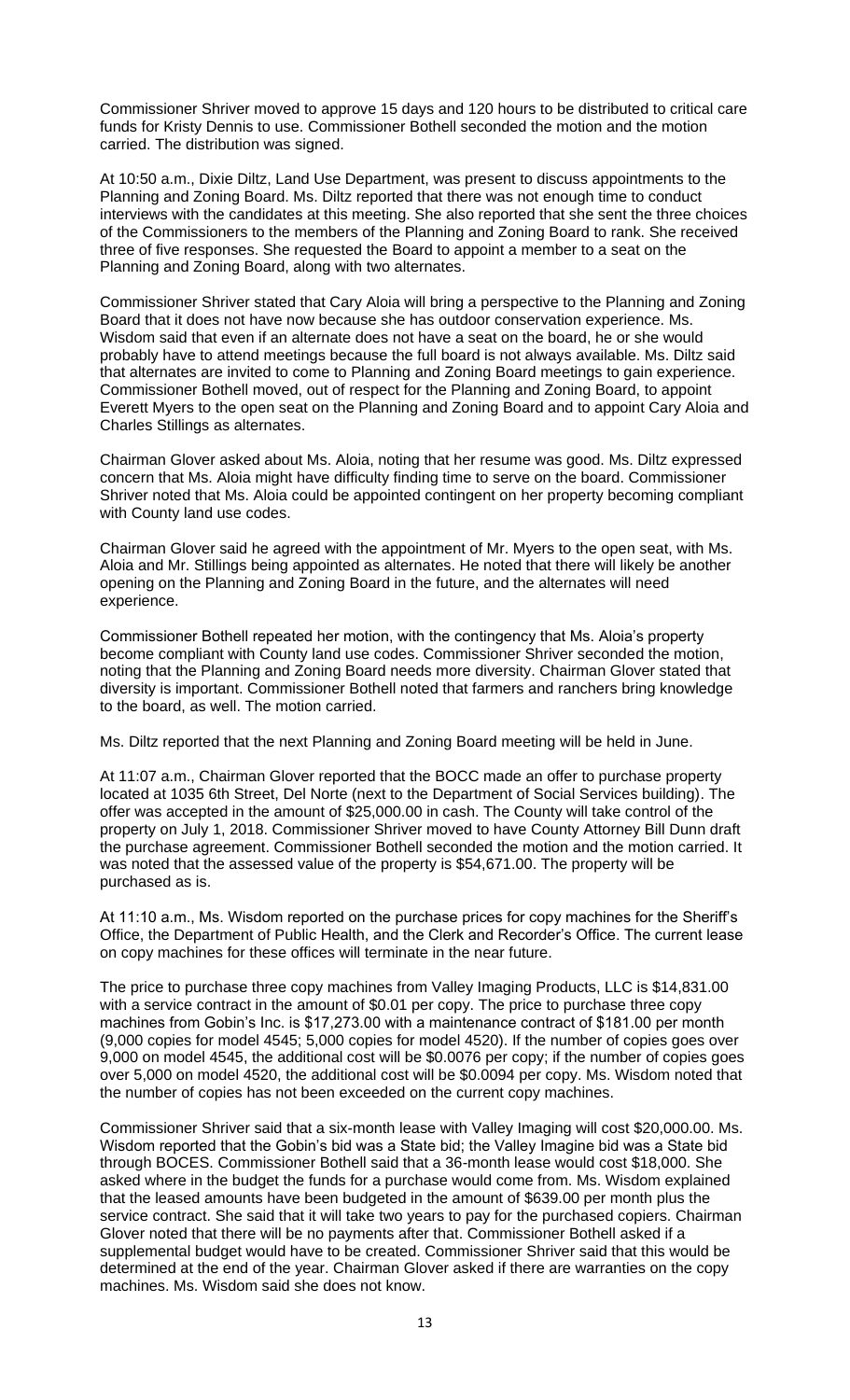Commissioner Shriver moved to approve 15 days and 120 hours to be distributed to critical care funds for Kristy Dennis to use. Commissioner Bothell seconded the motion and the motion carried. The distribution was signed.

At 10:50 a.m., Dixie Diltz, Land Use Department, was present to discuss appointments to the Planning and Zoning Board. Ms. Diltz reported that there was not enough time to conduct interviews with the candidates at this meeting. She also reported that she sent the three choices of the Commissioners to the members of the Planning and Zoning Board to rank. She received three of five responses. She requested the Board to appoint a member to a seat on the Planning and Zoning Board, along with two alternates.

Commissioner Shriver stated that Cary Aloia will bring a perspective to the Planning and Zoning Board that it does not have now because she has outdoor conservation experience. Ms. Wisdom said that even if an alternate does not have a seat on the board, he or she would probably have to attend meetings because the full board is not always available. Ms. Diltz said that alternates are invited to come to Planning and Zoning Board meetings to gain experience. Commissioner Bothell moved, out of respect for the Planning and Zoning Board, to appoint Everett Myers to the open seat on the Planning and Zoning Board and to appoint Cary Aloia and Charles Stillings as alternates.

Chairman Glover asked about Ms. Aloia, noting that her resume was good. Ms. Diltz expressed concern that Ms. Aloia might have difficulty finding time to serve on the board. Commissioner Shriver noted that Ms. Aloia could be appointed contingent on her property becoming compliant with County land use codes.

Chairman Glover said he agreed with the appointment of Mr. Myers to the open seat, with Ms. Aloia and Mr. Stillings being appointed as alternates. He noted that there will likely be another opening on the Planning and Zoning Board in the future, and the alternates will need experience.

Commissioner Bothell repeated her motion, with the contingency that Ms. Aloia's property become compliant with County land use codes. Commissioner Shriver seconded the motion, noting that the Planning and Zoning Board needs more diversity. Chairman Glover stated that diversity is important. Commissioner Bothell noted that farmers and ranchers bring knowledge to the board, as well. The motion carried.

Ms. Diltz reported that the next Planning and Zoning Board meeting will be held in June.

At 11:07 a.m., Chairman Glover reported that the BOCC made an offer to purchase property located at 1035 6th Street, Del Norte (next to the Department of Social Services building). The offer was accepted in the amount of \$25,000.00 in cash. The County will take control of the property on July 1, 2018. Commissioner Shriver moved to have County Attorney Bill Dunn draft the purchase agreement. Commissioner Bothell seconded the motion and the motion carried. It was noted that the assessed value of the property is \$54,671.00. The property will be purchased as is.

At 11:10 a.m., Ms. Wisdom reported on the purchase prices for copy machines for the Sheriff's Office, the Department of Public Health, and the Clerk and Recorder's Office. The current lease on copy machines for these offices will terminate in the near future.

The price to purchase three copy machines from Valley Imaging Products, LLC is \$14,831.00 with a service contract in the amount of \$0.01 per copy. The price to purchase three copy machines from Gobin's Inc. is \$17,273.00 with a maintenance contract of \$181.00 per month (9,000 copies for model 4545; 5,000 copies for model 4520). If the number of copies goes over 9,000 on model 4545, the additional cost will be \$0.0076 per copy; if the number of copies goes over 5,000 on model 4520, the additional cost will be \$0.0094 per copy. Ms. Wisdom noted that the number of copies has not been exceeded on the current copy machines.

Commissioner Shriver said that a six-month lease with Valley Imaging will cost \$20,000.00. Ms. Wisdom reported that the Gobin's bid was a State bid; the Valley Imagine bid was a State bid through BOCES. Commissioner Bothell said that a 36-month lease would cost \$18,000. She asked where in the budget the funds for a purchase would come from. Ms. Wisdom explained that the leased amounts have been budgeted in the amount of \$639.00 per month plus the service contract. She said that it will take two years to pay for the purchased copiers. Chairman Glover noted that there will be no payments after that. Commissioner Bothell asked if a supplemental budget would have to be created. Commissioner Shriver said that this would be determined at the end of the year. Chairman Glover asked if there are warranties on the copy machines. Ms. Wisdom said she does not know.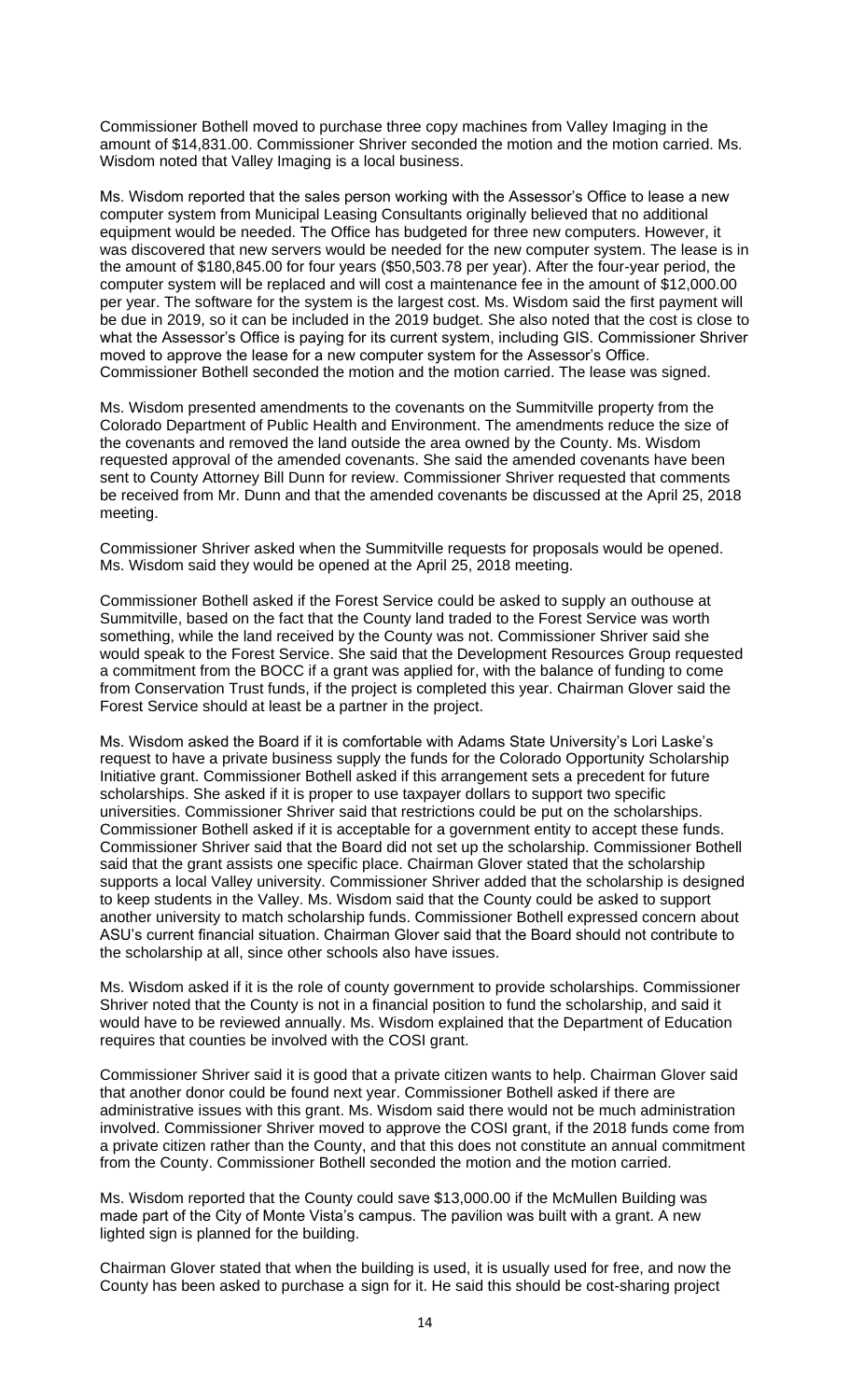Commissioner Bothell moved to purchase three copy machines from Valley Imaging in the amount of \$14,831.00. Commissioner Shriver seconded the motion and the motion carried. Ms. Wisdom noted that Valley Imaging is a local business.

Ms. Wisdom reported that the sales person working with the Assessor's Office to lease a new computer system from Municipal Leasing Consultants originally believed that no additional equipment would be needed. The Office has budgeted for three new computers. However, it was discovered that new servers would be needed for the new computer system. The lease is in the amount of \$180,845.00 for four years (\$50,503.78 per year). After the four-year period, the computer system will be replaced and will cost a maintenance fee in the amount of \$12,000.00 per year. The software for the system is the largest cost. Ms. Wisdom said the first payment will be due in 2019, so it can be included in the 2019 budget. She also noted that the cost is close to what the Assessor's Office is paying for its current system, including GIS. Commissioner Shriver moved to approve the lease for a new computer system for the Assessor's Office. Commissioner Bothell seconded the motion and the motion carried. The lease was signed.

Ms. Wisdom presented amendments to the covenants on the Summitville property from the Colorado Department of Public Health and Environment. The amendments reduce the size of the covenants and removed the land outside the area owned by the County. Ms. Wisdom requested approval of the amended covenants. She said the amended covenants have been sent to County Attorney Bill Dunn for review. Commissioner Shriver requested that comments be received from Mr. Dunn and that the amended covenants be discussed at the April 25, 2018 meeting.

Commissioner Shriver asked when the Summitville requests for proposals would be opened. Ms. Wisdom said they would be opened at the April 25, 2018 meeting.

Commissioner Bothell asked if the Forest Service could be asked to supply an outhouse at Summitville, based on the fact that the County land traded to the Forest Service was worth something, while the land received by the County was not. Commissioner Shriver said she would speak to the Forest Service. She said that the Development Resources Group requested a commitment from the BOCC if a grant was applied for, with the balance of funding to come from Conservation Trust funds, if the project is completed this year. Chairman Glover said the Forest Service should at least be a partner in the project.

Ms. Wisdom asked the Board if it is comfortable with Adams State University's Lori Laske's request to have a private business supply the funds for the Colorado Opportunity Scholarship Initiative grant. Commissioner Bothell asked if this arrangement sets a precedent for future scholarships. She asked if it is proper to use taxpayer dollars to support two specific universities. Commissioner Shriver said that restrictions could be put on the scholarships. Commissioner Bothell asked if it is acceptable for a government entity to accept these funds. Commissioner Shriver said that the Board did not set up the scholarship. Commissioner Bothell said that the grant assists one specific place. Chairman Glover stated that the scholarship supports a local Valley university. Commissioner Shriver added that the scholarship is designed to keep students in the Valley. Ms. Wisdom said that the County could be asked to support another university to match scholarship funds. Commissioner Bothell expressed concern about ASU's current financial situation. Chairman Glover said that the Board should not contribute to the scholarship at all, since other schools also have issues.

Ms. Wisdom asked if it is the role of county government to provide scholarships. Commissioner Shriver noted that the County is not in a financial position to fund the scholarship, and said it would have to be reviewed annually. Ms. Wisdom explained that the Department of Education requires that counties be involved with the COSI grant.

Commissioner Shriver said it is good that a private citizen wants to help. Chairman Glover said that another donor could be found next year. Commissioner Bothell asked if there are administrative issues with this grant. Ms. Wisdom said there would not be much administration involved. Commissioner Shriver moved to approve the COSI grant, if the 2018 funds come from a private citizen rather than the County, and that this does not constitute an annual commitment from the County. Commissioner Bothell seconded the motion and the motion carried.

Ms. Wisdom reported that the County could save \$13,000.00 if the McMullen Building was made part of the City of Monte Vista's campus. The pavilion was built with a grant. A new lighted sign is planned for the building.

Chairman Glover stated that when the building is used, it is usually used for free, and now the County has been asked to purchase a sign for it. He said this should be cost-sharing project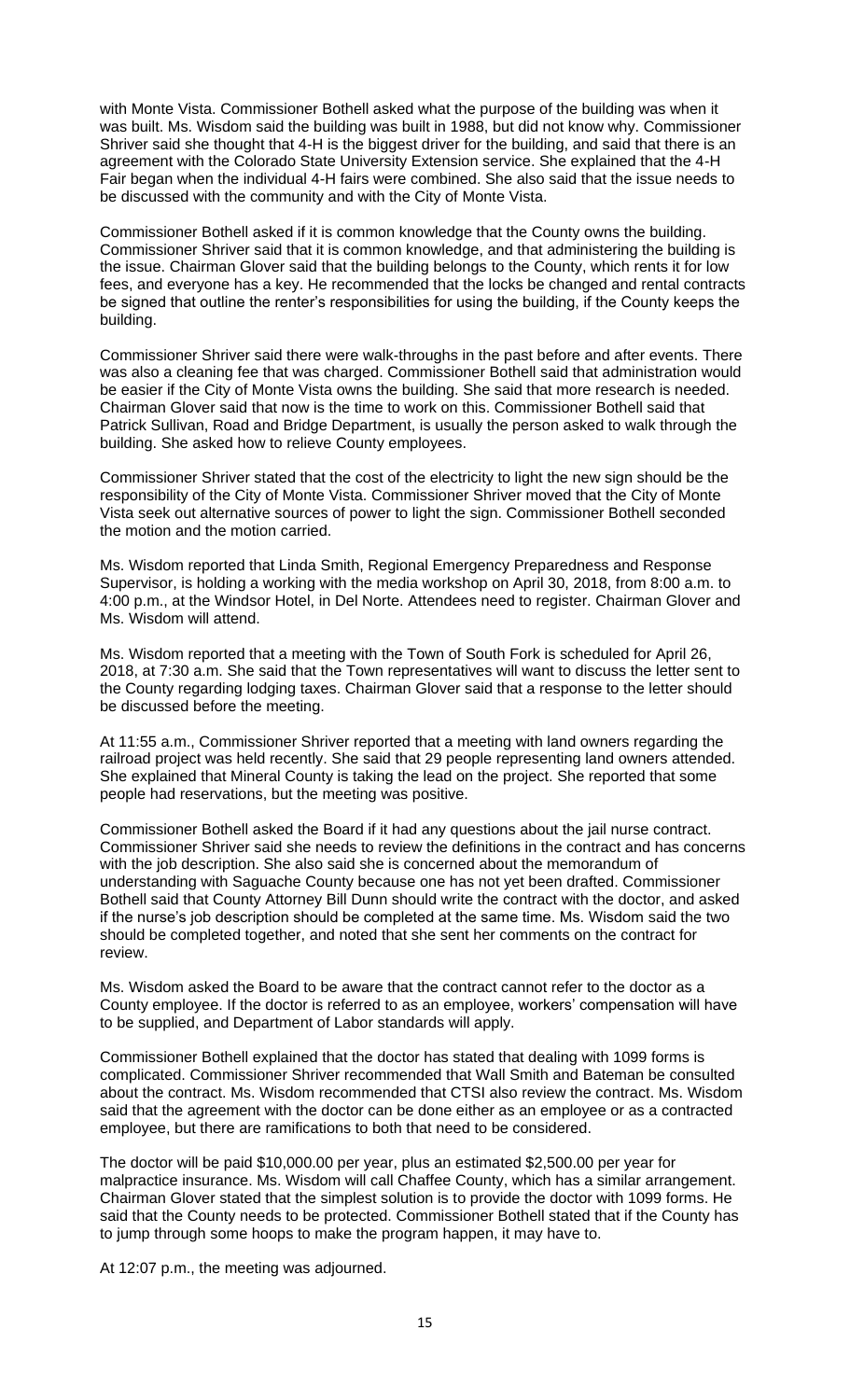with Monte Vista. Commissioner Bothell asked what the purpose of the building was when it was built. Ms. Wisdom said the building was built in 1988, but did not know why. Commissioner Shriver said she thought that 4-H is the biggest driver for the building, and said that there is an agreement with the Colorado State University Extension service. She explained that the 4-H Fair began when the individual 4-H fairs were combined. She also said that the issue needs to be discussed with the community and with the City of Monte Vista.

Commissioner Bothell asked if it is common knowledge that the County owns the building. Commissioner Shriver said that it is common knowledge, and that administering the building is the issue. Chairman Glover said that the building belongs to the County, which rents it for low fees, and everyone has a key. He recommended that the locks be changed and rental contracts be signed that outline the renter's responsibilities for using the building, if the County keeps the building.

Commissioner Shriver said there were walk-throughs in the past before and after events. There was also a cleaning fee that was charged. Commissioner Bothell said that administration would be easier if the City of Monte Vista owns the building. She said that more research is needed. Chairman Glover said that now is the time to work on this. Commissioner Bothell said that Patrick Sullivan, Road and Bridge Department, is usually the person asked to walk through the building. She asked how to relieve County employees.

Commissioner Shriver stated that the cost of the electricity to light the new sign should be the responsibility of the City of Monte Vista. Commissioner Shriver moved that the City of Monte Vista seek out alternative sources of power to light the sign. Commissioner Bothell seconded the motion and the motion carried.

Ms. Wisdom reported that Linda Smith, Regional Emergency Preparedness and Response Supervisor, is holding a working with the media workshop on April 30, 2018, from 8:00 a.m. to 4:00 p.m., at the Windsor Hotel, in Del Norte. Attendees need to register. Chairman Glover and Ms. Wisdom will attend.

Ms. Wisdom reported that a meeting with the Town of South Fork is scheduled for April 26, 2018, at 7:30 a.m. She said that the Town representatives will want to discuss the letter sent to the County regarding lodging taxes. Chairman Glover said that a response to the letter should be discussed before the meeting.

At 11:55 a.m., Commissioner Shriver reported that a meeting with land owners regarding the railroad project was held recently. She said that 29 people representing land owners attended. She explained that Mineral County is taking the lead on the project. She reported that some people had reservations, but the meeting was positive.

Commissioner Bothell asked the Board if it had any questions about the jail nurse contract. Commissioner Shriver said she needs to review the definitions in the contract and has concerns with the job description. She also said she is concerned about the memorandum of understanding with Saguache County because one has not yet been drafted. Commissioner Bothell said that County Attorney Bill Dunn should write the contract with the doctor, and asked if the nurse's job description should be completed at the same time. Ms. Wisdom said the two should be completed together, and noted that she sent her comments on the contract for review.

Ms. Wisdom asked the Board to be aware that the contract cannot refer to the doctor as a County employee. If the doctor is referred to as an employee, workers' compensation will have to be supplied, and Department of Labor standards will apply.

Commissioner Bothell explained that the doctor has stated that dealing with 1099 forms is complicated. Commissioner Shriver recommended that Wall Smith and Bateman be consulted about the contract. Ms. Wisdom recommended that CTSI also review the contract. Ms. Wisdom said that the agreement with the doctor can be done either as an employee or as a contracted employee, but there are ramifications to both that need to be considered.

The doctor will be paid \$10,000.00 per year, plus an estimated \$2,500.00 per year for malpractice insurance. Ms. Wisdom will call Chaffee County, which has a similar arrangement. Chairman Glover stated that the simplest solution is to provide the doctor with 1099 forms. He said that the County needs to be protected. Commissioner Bothell stated that if the County has to jump through some hoops to make the program happen, it may have to.

At 12:07 p.m., the meeting was adjourned.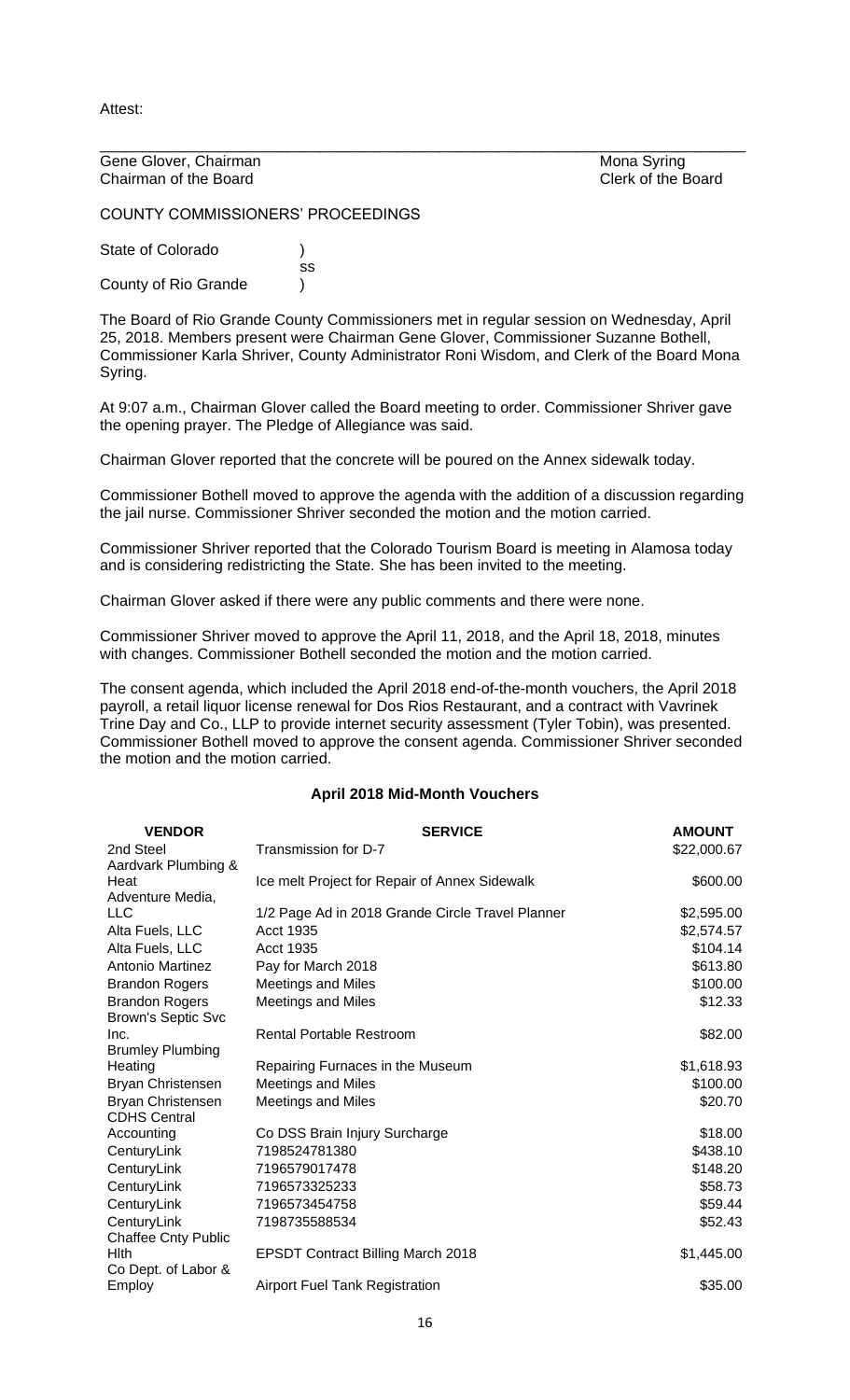Attest:

Gene Glover, Chairman Mona Syring<br>
Chairman of the Board<br>
Clerk of the Board Chairman of the Board

\_\_\_\_\_\_\_\_\_\_\_\_\_\_\_\_\_\_\_\_\_\_\_\_\_\_\_\_\_\_\_\_\_\_\_\_\_\_\_\_\_\_\_\_\_\_\_\_\_\_\_\_\_\_\_\_\_\_\_\_\_\_\_\_\_\_\_\_\_\_\_\_\_\_\_\_

COUNTY COMMISSIONERS' PROCEEDINGS

State of Colorado (a) ss County of Rio Grande (1)

The Board of Rio Grande County Commissioners met in regular session on Wednesday, April 25, 2018. Members present were Chairman Gene Glover, Commissioner Suzanne Bothell, Commissioner Karla Shriver, County Administrator Roni Wisdom, and Clerk of the Board Mona Syring.

At 9:07 a.m., Chairman Glover called the Board meeting to order. Commissioner Shriver gave the opening prayer. The Pledge of Allegiance was said.

Chairman Glover reported that the concrete will be poured on the Annex sidewalk today.

Commissioner Bothell moved to approve the agenda with the addition of a discussion regarding the jail nurse. Commissioner Shriver seconded the motion and the motion carried.

Commissioner Shriver reported that the Colorado Tourism Board is meeting in Alamosa today and is considering redistricting the State. She has been invited to the meeting.

Chairman Glover asked if there were any public comments and there were none.

Commissioner Shriver moved to approve the April 11, 2018, and the April 18, 2018, minutes with changes. Commissioner Bothell seconded the motion and the motion carried.

The consent agenda, which included the April 2018 end-of-the-month vouchers, the April 2018 payroll, a retail liquor license renewal for Dos Rios Restaurant, and a contract with Vavrinek Trine Day and Co., LLP to provide internet security assessment (Tyler Tobin), was presented. Commissioner Bothell moved to approve the consent agenda. Commissioner Shriver seconded the motion and the motion carried.

## **April 2018 Mid-Month Vouchers**

| <b>VENDOR</b>                                      | <b>SERVICE</b>                                   | <b>AMOUNT</b> |
|----------------------------------------------------|--------------------------------------------------|---------------|
| 2nd Steel                                          | Transmission for D-7                             | \$22,000.67   |
| Aardvark Plumbing &                                |                                                  |               |
| Heat                                               | Ice melt Project for Repair of Annex Sidewalk    | \$600.00      |
| Adventure Media,<br><b>LLC</b>                     |                                                  |               |
|                                                    | 1/2 Page Ad in 2018 Grande Circle Travel Planner | \$2,595.00    |
| Alta Fuels, LLC                                    | <b>Acct 1935</b>                                 | \$2,574.57    |
| Alta Fuels, LLC                                    | Acct 1935                                        | \$104.14      |
| Antonio Martinez                                   | Pay for March 2018                               | \$613.80      |
| <b>Brandon Rogers</b>                              | <b>Meetings and Miles</b>                        | \$100.00      |
| <b>Brandon Rogers</b><br><b>Brown's Septic Svc</b> | <b>Meetings and Miles</b>                        | \$12.33       |
| Inc.                                               | <b>Rental Portable Restroom</b>                  | \$82.00       |
| <b>Brumley Plumbing</b>                            |                                                  |               |
| Heating                                            | Repairing Furnaces in the Museum                 | \$1,618.93    |
| Bryan Christensen                                  | <b>Meetings and Miles</b>                        | \$100.00      |
| Bryan Christensen<br><b>CDHS Central</b>           | <b>Meetings and Miles</b>                        | \$20.70       |
| Accounting                                         | Co DSS Brain Injury Surcharge                    | \$18.00       |
| CenturyLink                                        | 7198524781380                                    | \$438.10      |
| CenturyLink                                        | 7196579017478                                    | \$148.20      |
| CenturyLink                                        | 7196573325233                                    | \$58.73       |
| CenturyLink                                        | 7196573454758                                    | \$59.44       |
| CenturyLink                                        | 7198735588534                                    | \$52.43       |
| <b>Chaffee Cnty Public</b><br><b>H</b> Ith         | <b>EPSDT Contract Billing March 2018</b>         | \$1,445.00    |
| Co Dept. of Labor &<br>Employ                      | <b>Airport Fuel Tank Registration</b>            | \$35.00       |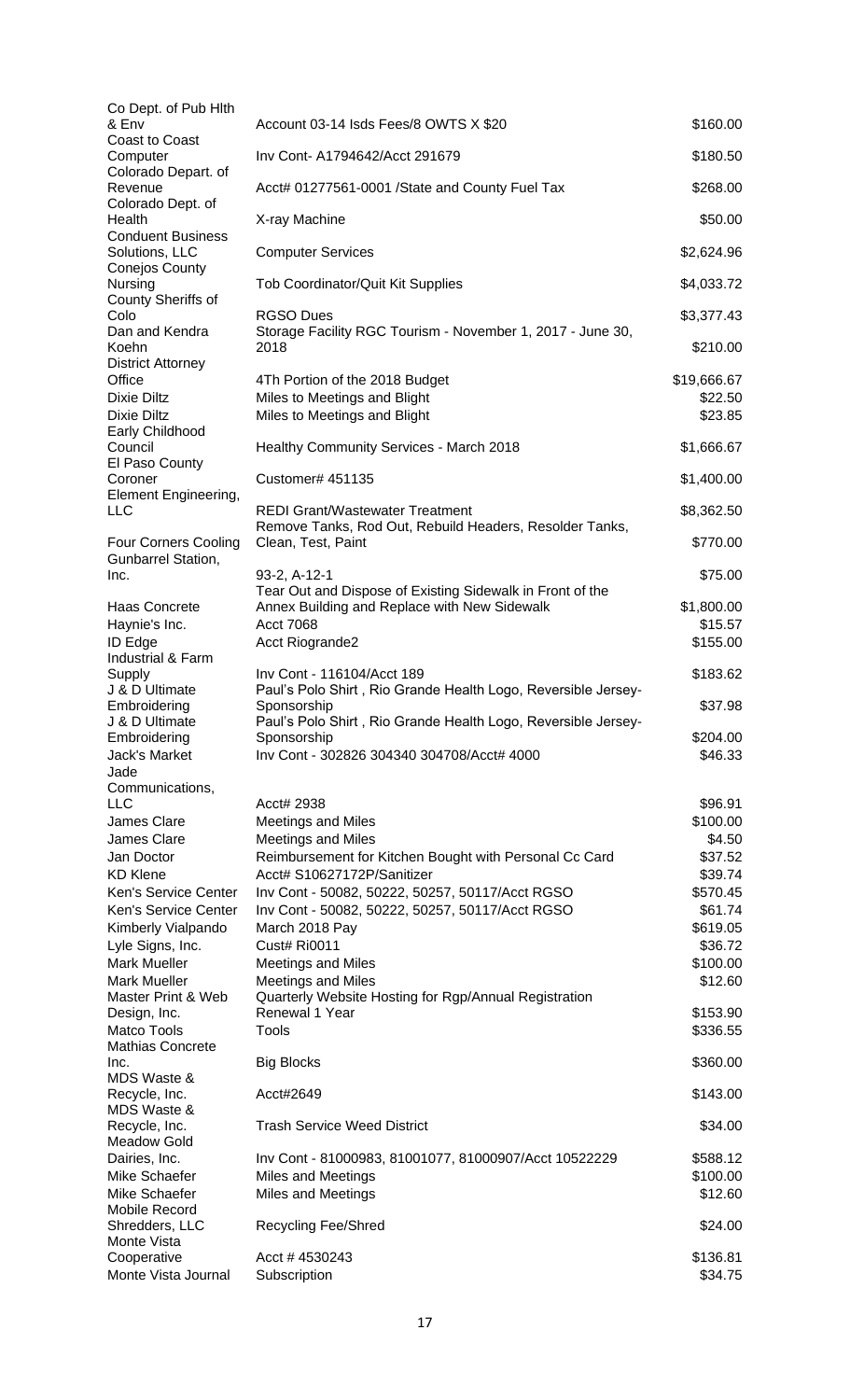| Co Dept. of Pub Hith                   |                                                                              |             |
|----------------------------------------|------------------------------------------------------------------------------|-------------|
| & Env<br><b>Coast to Coast</b>         | Account 03-14 Isds Fees/8 OWTS X \$20                                        | \$160.00    |
| Computer                               | Inv Cont- A1794642/Acct 291679                                               | \$180.50    |
| Colorado Depart. of                    |                                                                              |             |
| Revenue                                | Acct# 01277561-0001 /State and County Fuel Tax                               | \$268.00    |
| Colorado Dept. of<br>Health            | X-ray Machine                                                                | \$50.00     |
| <b>Conduent Business</b>               |                                                                              |             |
| Solutions, LLC                         | <b>Computer Services</b>                                                     | \$2,624.96  |
| Conejos County<br>Nursing              | Tob Coordinator/Quit Kit Supplies                                            | \$4,033.72  |
| County Sheriffs of                     |                                                                              |             |
| Colo                                   | <b>RGSO Dues</b>                                                             | \$3,377.43  |
| Dan and Kendra                         | Storage Facility RGC Tourism - November 1, 2017 - June 30,                   |             |
| Koehn                                  | 2018                                                                         | \$210.00    |
| <b>District Attorney</b><br>Office     | 4Th Portion of the 2018 Budget                                               | \$19,666.67 |
| Dixie Diltz                            | Miles to Meetings and Blight                                                 | \$22.50     |
| Dixie Diltz                            | Miles to Meetings and Blight                                                 | \$23.85     |
| Early Childhood                        |                                                                              |             |
| Council                                | Healthy Community Services - March 2018                                      | \$1,666.67  |
| El Paso County                         |                                                                              |             |
| Coroner<br>Element Engineering,        | Customer# 451135                                                             | \$1,400.00  |
| LLC                                    | <b>REDI Grant/Wastewater Treatment</b>                                       | \$8,362.50  |
|                                        | Remove Tanks, Rod Out, Rebuild Headers, Resolder Tanks,                      |             |
| <b>Four Corners Cooling</b>            | Clean, Test, Paint                                                           | \$770.00    |
| Gunbarrel Station,                     |                                                                              |             |
| Inc.                                   | 93-2, A-12-1<br>Tear Out and Dispose of Existing Sidewalk in Front of the    | \$75.00     |
| Haas Concrete                          | Annex Building and Replace with New Sidewalk                                 | \$1,800.00  |
| Haynie's Inc.                          | <b>Acct 7068</b>                                                             | \$15.57     |
| ID Edge                                | <b>Acct Riogrande2</b>                                                       | \$155.00    |
| Industrial & Farm                      |                                                                              |             |
| Supply                                 | Inv Cont - 116104/Acct 189                                                   | \$183.62    |
| J & D Ultimate<br>Embroidering         | Paul's Polo Shirt, Rio Grande Health Logo, Reversible Jersey-<br>Sponsorship | \$37.98     |
| J & D Ultimate                         | Paul's Polo Shirt, Rio Grande Health Logo, Reversible Jersey-                |             |
| Embroidering                           | Sponsorship                                                                  | \$204.00    |
| <b>Jack's Market</b>                   | Inv Cont - 302826 304340 304708/Acct# 4000                                   | \$46.33     |
| Jade                                   |                                                                              |             |
| Communications,<br>LLC                 | Acct# 2938                                                                   | \$96.91     |
| James Clare                            | <b>Meetings and Miles</b>                                                    | \$100.00    |
| James Clare                            | <b>Meetings and Miles</b>                                                    | \$4.50      |
| Jan Doctor                             | Reimbursement for Kitchen Bought with Personal Cc Card                       | \$37.52     |
| KD Klene                               | Acct# S10627172P/Sanitizer                                                   | \$39.74     |
| Ken's Service Center                   | Inv Cont - 50082, 50222, 50257, 50117/Acct RGSO                              | \$570.45    |
| Ken's Service Center                   | Inv Cont - 50082, 50222, 50257, 50117/Acct RGSO                              | \$61.74     |
| Kimberly Vialpando                     | March 2018 Pay                                                               | \$619.05    |
| Lyle Signs, Inc.                       | <b>Cust# Ri0011</b>                                                          | \$36.72     |
| <b>Mark Mueller</b>                    | <b>Meetings and Miles</b>                                                    | \$100.00    |
| <b>Mark Mueller</b>                    | <b>Meetings and Miles</b>                                                    | \$12.60     |
| Master Print & Web<br>Design, Inc.     | Quarterly Website Hosting for Rgp/Annual Registration<br>Renewal 1 Year      | \$153.90    |
| Matco Tools                            | Tools                                                                        | \$336.55    |
| Mathias Concrete                       |                                                                              |             |
| Inc.                                   | <b>Big Blocks</b>                                                            | \$360.00    |
| MDS Waste &                            |                                                                              |             |
| Recycle, Inc.<br>MDS Waste &           | Acct#2649                                                                    | \$143.00    |
| Recycle, Inc.                          | <b>Trash Service Weed District</b>                                           | \$34.00     |
| Meadow Gold                            |                                                                              |             |
| Dairies, Inc.                          | Inv Cont - 81000983, 81001077, 81000907/Acct 10522229                        | \$588.12    |
| Mike Schaefer                          | <b>Miles and Meetings</b>                                                    | \$100.00    |
| Mike Schaefer                          | <b>Miles and Meetings</b>                                                    | \$12.60     |
| <b>Mobile Record</b><br>Shredders, LLC | <b>Recycling Fee/Shred</b>                                                   | \$24.00     |
| Monte Vista                            |                                                                              |             |
| Cooperative                            | Acct #4530243                                                                | \$136.81    |
| Monte Vista Journal                    | Subscription                                                                 | \$34.75     |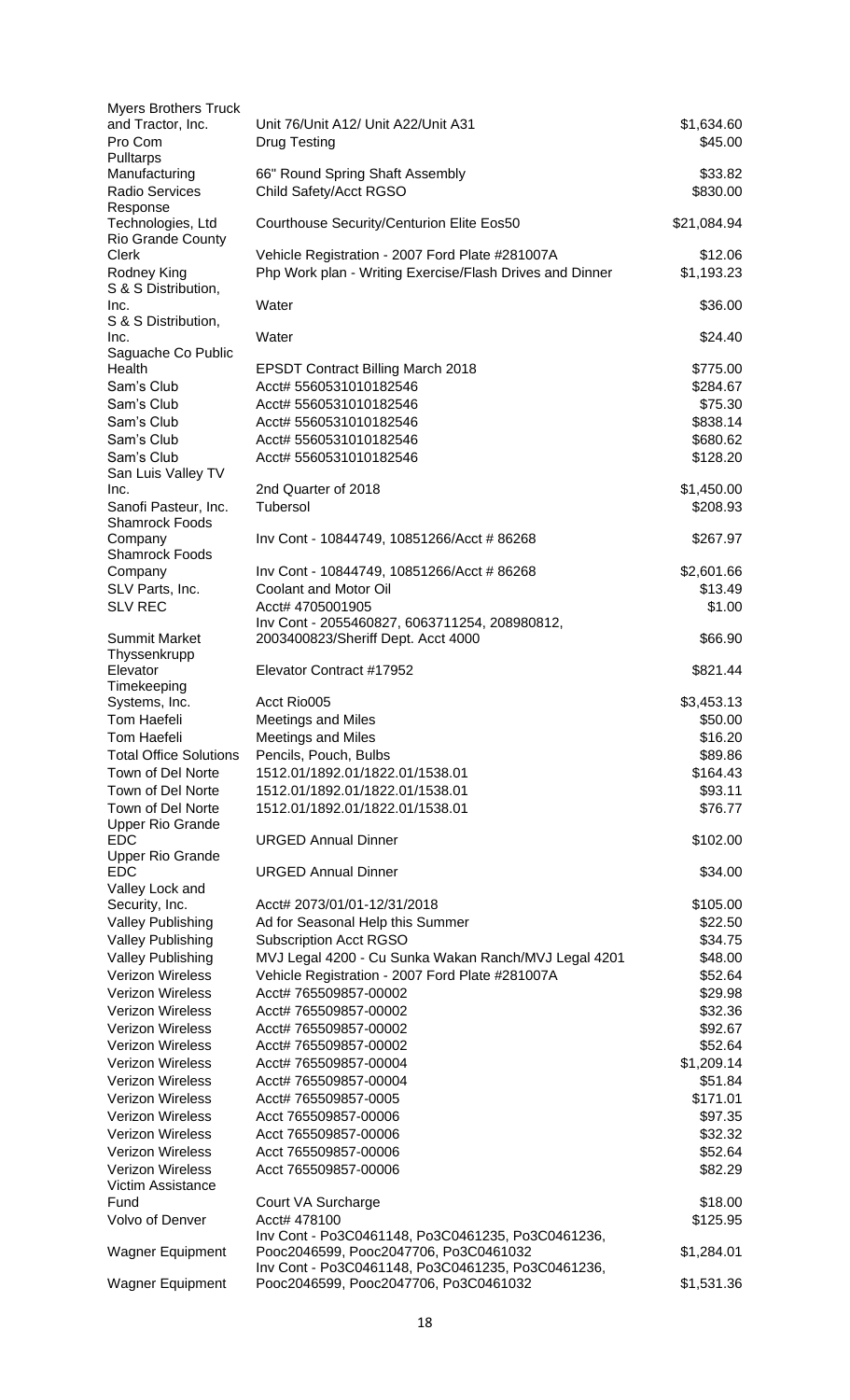| <b>Myers Brothers Truck</b>   |                                                          |             |
|-------------------------------|----------------------------------------------------------|-------------|
| and Tractor, Inc.             | Unit 76/Unit A12/ Unit A22/Unit A31                      | \$1,634.60  |
| Pro Com                       | <b>Drug Testing</b>                                      | \$45.00     |
| Pulltarps                     |                                                          |             |
| Manufacturing                 | 66" Round Spring Shaft Assembly                          | \$33.82     |
| Radio Services                | Child Safety/Acct RGSO                                   | \$830.00    |
| Response                      |                                                          |             |
| Technologies, Ltd             | Courthouse Security/Centurion Elite Eos50                | \$21,084.94 |
| Rio Grande County             |                                                          |             |
| <b>Clerk</b>                  | Vehicle Registration - 2007 Ford Plate #281007A          | \$12.06     |
| Rodney King                   | Php Work plan - Writing Exercise/Flash Drives and Dinner | \$1,193.23  |
| S & S Distribution,           |                                                          |             |
| Inc.                          | Water                                                    | \$36.00     |
| S & S Distribution,           |                                                          |             |
| Inc.                          | Water                                                    | \$24.40     |
| Saguache Co Public            |                                                          |             |
| Health                        | <b>EPSDT Contract Billing March 2018</b>                 | \$775.00    |
| Sam's Club                    | Acct# 5560531010182546                                   |             |
|                               |                                                          | \$284.67    |
| Sam's Club                    | Acct# 5560531010182546                                   | \$75.30     |
| Sam's Club                    | Acct# 5560531010182546                                   | \$838.14    |
| Sam's Club                    | Acct# 5560531010182546                                   | \$680.62    |
| Sam's Club                    | Acct# 5560531010182546                                   | \$128.20    |
| San Luis Valley TV            |                                                          |             |
| Inc.                          | 2nd Quarter of 2018                                      | \$1,450.00  |
| Sanofi Pasteur, Inc.          | Tubersol                                                 | \$208.93    |
| <b>Shamrock Foods</b>         |                                                          |             |
| Company                       | Inv Cont - 10844749, 10851266/Acct # 86268               | \$267.97    |
| <b>Shamrock Foods</b>         |                                                          |             |
| Company                       | Inv Cont - 10844749, 10851266/Acct # 86268               | \$2,601.66  |
| SLV Parts, Inc.               | <b>Coolant and Motor Oil</b>                             | \$13.49     |
| <b>SLV REC</b>                | Acct# 4705001905                                         | \$1.00      |
|                               | Inv Cont - 2055460827, 6063711254, 208980812,            |             |
| <b>Summit Market</b>          | 2003400823/Sheriff Dept. Acct 4000                       | \$66.90     |
| Thyssenkrupp                  |                                                          |             |
| Elevator                      | Elevator Contract #17952                                 | \$821.44    |
|                               |                                                          |             |
| Timekeeping                   | Acct Rio005                                              | \$3,453.13  |
| Systems, Inc.                 |                                                          |             |
| Tom Haefeli                   | Meetings and Miles                                       | \$50.00     |
| Tom Haefeli                   | <b>Meetings and Miles</b>                                | \$16.20     |
| <b>Total Office Solutions</b> | Pencils, Pouch, Bulbs                                    | \$89.86     |
| Town of Del Norte             | 1512.01/1892.01/1822.01/1538.01                          | \$164.43    |
| Town of Del Norte             | 1512.01/1892.01/1822.01/1538.01                          | \$93.11     |
| Town of Del Norte             | 1512.01/1892.01/1822.01/1538.01                          | \$76.77     |
| <b>Upper Rio Grande</b>       |                                                          |             |
| <b>EDC</b>                    | <b>URGED Annual Dinner</b>                               | \$102.00    |
| <b>Upper Rio Grande</b>       |                                                          |             |
| EDC.                          | <b>URGED Annual Dinner</b>                               | \$34.00     |
| Valley Lock and               |                                                          |             |
| Security, Inc.                | Acct# 2073/01/01-12/31/2018                              | \$105.00    |
| <b>Valley Publishing</b>      | Ad for Seasonal Help this Summer                         | \$22.50     |
|                               |                                                          |             |
| <b>Valley Publishing</b>      | <b>Subscription Acct RGSO</b>                            | \$34.75     |
| <b>Valley Publishing</b>      | MVJ Legal 4200 - Cu Sunka Wakan Ranch/MVJ Legal 4201     | \$48.00     |
| Verizon Wireless              | Vehicle Registration - 2007 Ford Plate #281007A          | \$52.64     |
| <b>Verizon Wireless</b>       | Acct# 765509857-00002                                    | \$29.98     |
| <b>Verizon Wireless</b>       | Acct# 765509857-00002                                    | \$32.36     |
| <b>Verizon Wireless</b>       | Acct# 765509857-00002                                    | \$92.67     |
| <b>Verizon Wireless</b>       | Acct# 765509857-00002                                    | \$52.64     |
| <b>Verizon Wireless</b>       | Acct# 765509857-00004                                    | \$1,209.14  |
| <b>Verizon Wireless</b>       |                                                          |             |
|                               | Acct# 765509857-00004                                    | \$51.84     |
| <b>Verizon Wireless</b>       | Acct# 765509857-0005                                     | \$171.01    |
| <b>Verizon Wireless</b>       | Acct 765509857-00006                                     | \$97.35     |
| <b>Verizon Wireless</b>       | Acct 765509857-00006                                     | \$32.32     |
| <b>Verizon Wireless</b>       | Acct 765509857-00006                                     | \$52.64     |
| <b>Verizon Wireless</b>       | Acct 765509857-00006                                     | \$82.29     |
| Victim Assistance             |                                                          |             |
| Fund                          | Court VA Surcharge                                       | \$18.00     |
| Volvo of Denver               | Acct# 478100                                             | \$125.95    |
|                               | Inv Cont - Po3C0461148, Po3C0461235, Po3C0461236,        |             |
| <b>Wagner Equipment</b>       | Pooc2046599, Pooc2047706, Po3C0461032                    | \$1,284.01  |
|                               | Inv Cont - Po3C0461148, Po3C0461235, Po3C0461236,        |             |
| <b>Wagner Equipment</b>       | Pooc2046599, Pooc2047706, Po3C0461032                    | \$1,531.36  |
|                               |                                                          |             |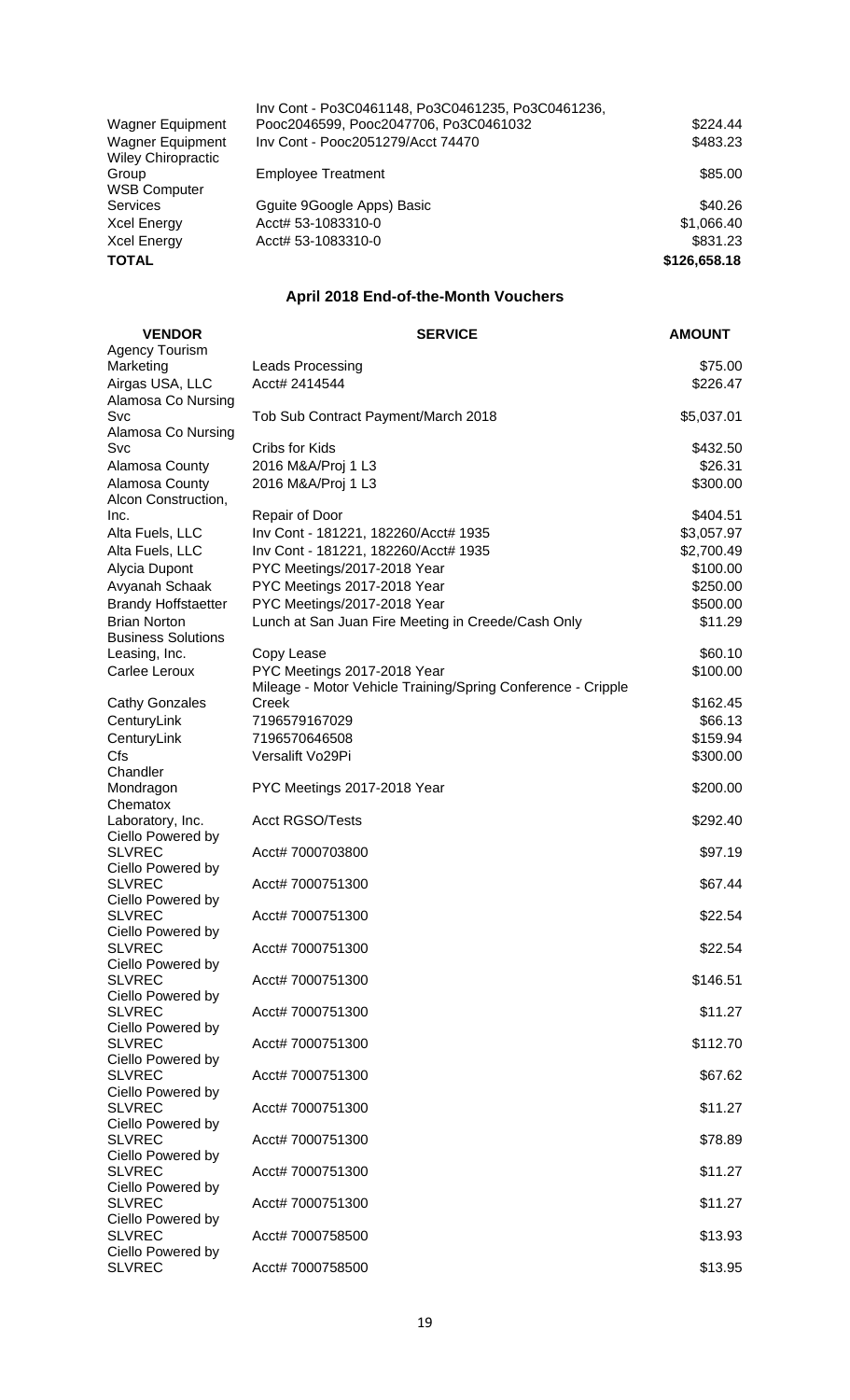|                                                      | Inv Cont - Po3C0461148, Po3C0461235, Po3C0461236, |              |
|------------------------------------------------------|---------------------------------------------------|--------------|
| Wagner Equipment                                     | Pooc2046599, Pooc2047706, Po3C0461032             | \$224.44     |
| <b>Wagner Equipment</b><br><b>Wiley Chiropractic</b> | Inv Cont - Pooc2051279/Acct 74470                 | \$483.23     |
| Group<br><b>WSB Computer</b>                         | <b>Employee Treatment</b>                         | \$85.00      |
| Services                                             | Gguite 9Google Apps) Basic                        | \$40.26      |
| Xcel Energy                                          | Acct# 53-1083310-0                                | \$1,066.40   |
| Xcel Energy                                          | Acct# 53-1083310-0                                | \$831.23     |
| TOTAL                                                |                                                   | \$126,658.18 |
|                                                      |                                                   |              |

# **April 2018 End-of-the-Month Vouchers**

| <b>VENDOR</b>                      | <b>SERVICE</b>                                                      | <b>AMOUNT</b>          |
|------------------------------------|---------------------------------------------------------------------|------------------------|
| <b>Agency Tourism</b>              |                                                                     |                        |
| Marketing                          | Leads Processing                                                    | \$75.00                |
| Airgas USA, LLC                    | Acct# 2414544                                                       | \$226.47               |
| Alamosa Co Nursing<br>Svc          | Tob Sub Contract Payment/March 2018                                 | \$5,037.01             |
| Alamosa Co Nursing                 |                                                                     |                        |
| Svc                                | Cribs for Kids                                                      | \$432.50               |
| Alamosa County                     | 2016 M&A/Proj 1 L3                                                  | \$26.31                |
| Alamosa County                     | 2016 M&A/Proj 1 L3                                                  | \$300.00               |
| Alcon Construction,                |                                                                     |                        |
| Inc.                               | Repair of Door                                                      | \$404.51               |
| Alta Fuels, LLC<br>Alta Fuels, LLC | Inv Cont - 181221, 182260/Acct# 1935                                | \$3,057.97             |
| Alycia Dupont                      | Inv Cont - 181221, 182260/Acct# 1935<br>PYC Meetings/2017-2018 Year | \$2,700.49<br>\$100.00 |
| Avyanah Schaak                     | PYC Meetings 2017-2018 Year                                         | \$250.00               |
| <b>Brandy Hoffstaetter</b>         | PYC Meetings/2017-2018 Year                                         | \$500.00               |
| <b>Brian Norton</b>                | Lunch at San Juan Fire Meeting in Creede/Cash Only                  | \$11.29                |
| <b>Business Solutions</b>          |                                                                     |                        |
| Leasing, Inc.                      | Copy Lease                                                          | \$60.10                |
| Carlee Leroux                      | PYC Meetings 2017-2018 Year                                         | \$100.00               |
|                                    | Mileage - Motor Vehicle Training/Spring Conference - Cripple        |                        |
| <b>Cathy Gonzales</b>              | Creek                                                               | \$162.45               |
| CenturyLink                        | 7196579167029                                                       | \$66.13                |
| CenturyLink<br>Cfs                 | 7196570646508                                                       | \$159.94               |
| Chandler                           | Versalift Vo29Pi                                                    | \$300.00               |
| Mondragon                          | PYC Meetings 2017-2018 Year                                         | \$200.00               |
| Chematox                           |                                                                     |                        |
| Laboratory, Inc.                   | <b>Acct RGSO/Tests</b>                                              | \$292.40               |
| Ciello Powered by                  |                                                                     |                        |
| <b>SLVREC</b><br>Ciello Powered by | Acct# 7000703800                                                    | \$97.19                |
| <b>SLVREC</b>                      | Acct# 7000751300                                                    | \$67.44                |
| Ciello Powered by                  |                                                                     |                        |
| <b>SLVREC</b>                      | Acct# 7000751300                                                    | \$22.54                |
| Ciello Powered by                  |                                                                     |                        |
| SI VRFC.                           | Acct# 7000751300                                                    | \$22.54                |
| Ciello Powered by<br><b>SLVREC</b> | Acct# 7000751300                                                    | \$146.51               |
| Ciello Powered by                  |                                                                     |                        |
| <b>SLVREC</b>                      | Acct# 7000751300                                                    | \$11.27                |
| Ciello Powered by                  |                                                                     |                        |
| <b>SLVREC</b>                      | Acct# 7000751300                                                    | \$112.70               |
| Ciello Powered by<br><b>SLVREC</b> | Acct# 7000751300                                                    |                        |
| Ciello Powered by                  |                                                                     | \$67.62                |
| <b>SLVREC</b>                      | Acct# 7000751300                                                    | \$11.27                |
| Ciello Powered by                  |                                                                     |                        |
| <b>SLVREC</b>                      | Acct# 7000751300                                                    | \$78.89                |
| Ciello Powered by                  |                                                                     |                        |
| <b>SLVREC</b><br>Ciello Powered by | Acct# 7000751300                                                    | \$11.27                |
| <b>SLVREC</b>                      | Acct# 7000751300                                                    | \$11.27                |
| Ciello Powered by                  |                                                                     |                        |
| <b>SLVREC</b>                      | Acct# 7000758500                                                    | \$13.93                |
| Ciello Powered by                  |                                                                     |                        |
| <b>SLVREC</b>                      | Acct# 7000758500                                                    | \$13.95                |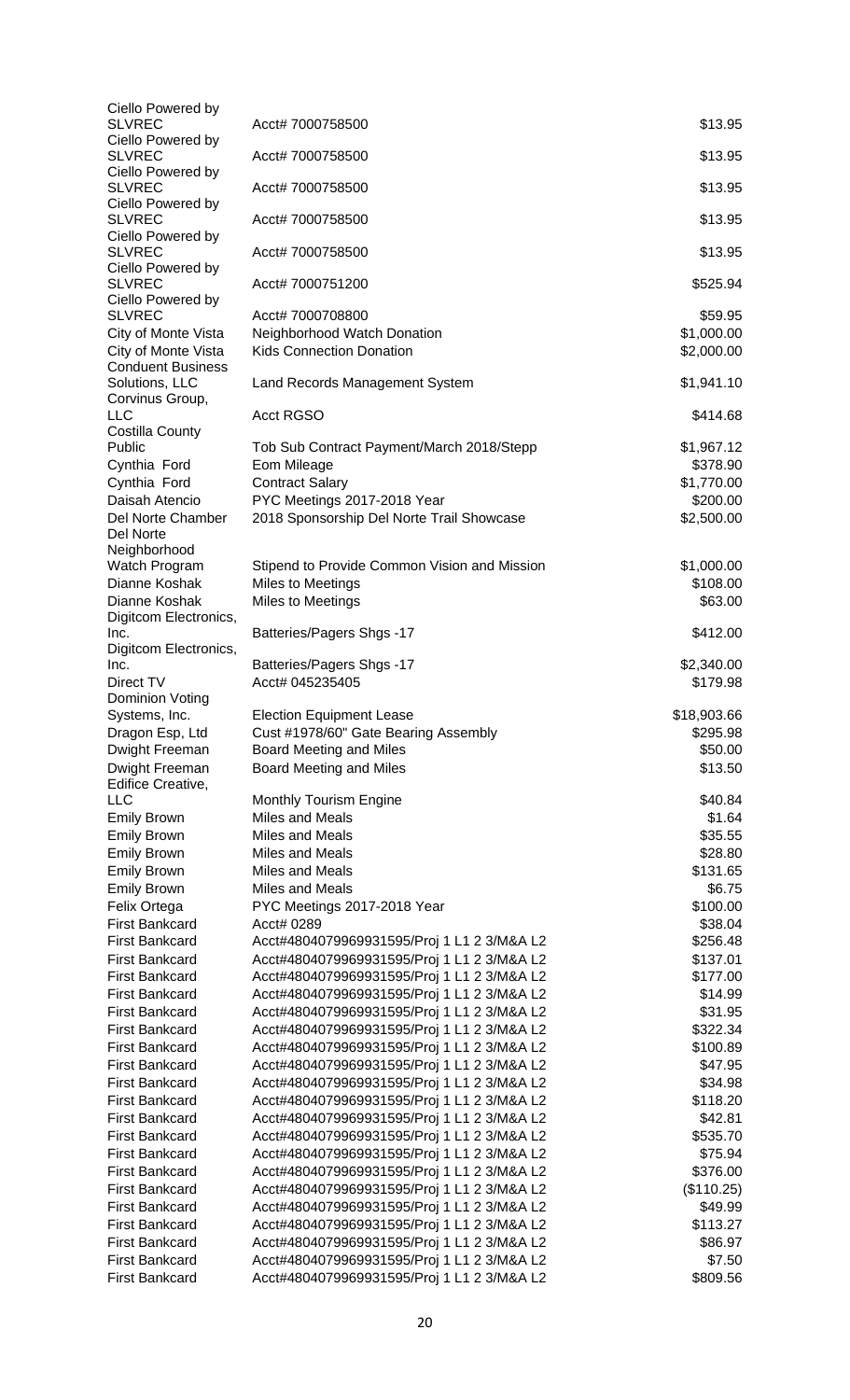| Ciello Powered by                               |                                                                                          |                        |
|-------------------------------------------------|------------------------------------------------------------------------------------------|------------------------|
| <b>SLVREC</b><br>Ciello Powered by              | Acct# 7000758500                                                                         | \$13.95                |
| SLVREC                                          | Acct# 7000758500                                                                         | \$13.95                |
| Ciello Powered by                               |                                                                                          |                        |
| <b>SLVREC</b>                                   | Acct# 7000758500                                                                         | \$13.95                |
| Ciello Powered by                               |                                                                                          |                        |
| <b>SLVREC</b><br>Ciello Powered by              | Acct# 7000758500                                                                         | \$13.95                |
| <b>SLVREC</b>                                   | Acct# 7000758500                                                                         | \$13.95                |
| Ciello Powered by                               |                                                                                          |                        |
| <b>SLVREC</b>                                   | Acct# 7000751200                                                                         | \$525.94               |
| Ciello Powered by                               |                                                                                          |                        |
| <b>SLVREC</b>                                   | Acct# 7000708800                                                                         | \$59.95                |
| City of Monte Vista                             | Neighborhood Watch Donation                                                              | \$1,000.00             |
| City of Monte Vista<br><b>Conduent Business</b> | <b>Kids Connection Donation</b>                                                          | \$2,000.00             |
| Solutions, LLC                                  | Land Records Management System                                                           | \$1,941.10             |
| Corvinus Group,                                 |                                                                                          |                        |
| LLC                                             | <b>Acct RGSO</b>                                                                         | \$414.68               |
| Costilla County                                 |                                                                                          |                        |
| Public                                          | Tob Sub Contract Payment/March 2018/Stepp                                                | \$1,967.12             |
| Cynthia Ford                                    | Eom Mileage                                                                              | \$378.90               |
| Cynthia Ford<br>Daisah Atencio                  | <b>Contract Salary</b>                                                                   | \$1,770.00             |
| Del Norte Chamber                               | PYC Meetings 2017-2018 Year<br>2018 Sponsorship Del Norte Trail Showcase                 | \$200.00<br>\$2,500.00 |
| Del Norte                                       |                                                                                          |                        |
| Neighborhood                                    |                                                                                          |                        |
| Watch Program                                   | Stipend to Provide Common Vision and Mission                                             | \$1,000.00             |
| Dianne Koshak                                   | Miles to Meetings                                                                        | \$108.00               |
| Dianne Koshak                                   | Miles to Meetings                                                                        | \$63.00                |
| Digitcom Electronics,                           |                                                                                          |                        |
| Inc.                                            | <b>Batteries/Pagers Shgs -17</b>                                                         | \$412.00               |
| Digitcom Electronics,<br>Inc.                   | Batteries/Pagers Shgs -17                                                                | \$2,340.00             |
| Direct TV                                       | Acct# 045235405                                                                          | \$179.98               |
| Dominion Voting                                 |                                                                                          |                        |
| Systems, Inc.                                   | <b>Election Equipment Lease</b>                                                          | \$18,903.66            |
| Dragon Esp, Ltd                                 | Cust #1978/60" Gate Bearing Assembly                                                     | \$295.98               |
| Dwight Freeman                                  | Board Meeting and Miles                                                                  | \$50.00                |
| Dwight Freeman                                  | Board Meeting and Miles                                                                  | \$13.50                |
| Edifice Creative,                               |                                                                                          |                        |
| LLC<br><b>Emily Brown</b>                       | Monthly Tourism Engine<br>Miles and Meals                                                | \$40.84<br>\$1.64      |
| <b>Emily Brown</b>                              | Miles and Meals                                                                          | \$35.55                |
| <b>Emily Brown</b>                              | Miles and Meals                                                                          | \$28.80                |
| <b>Emily Brown</b>                              | Miles and Meals                                                                          | \$131.65               |
| <b>Emily Brown</b>                              | Miles and Meals                                                                          | \$6.75                 |
| Felix Ortega                                    | PYC Meetings 2017-2018 Year                                                              | \$100.00               |
| <b>First Bankcard</b>                           | Acct# 0289                                                                               | \$38.04                |
| <b>First Bankcard</b>                           | Acct#4804079969931595/Proj 1 L1 2 3/M&A L2                                               | \$256.48               |
| <b>First Bankcard</b>                           | Acct#4804079969931595/Proj 1 L1 2 3/M&A L2                                               | \$137.01               |
| <b>First Bankcard</b>                           | Acct#4804079969931595/Proj 1 L1 2 3/M&A L2                                               | \$177.00               |
| <b>First Bankcard</b>                           | Acct#4804079969931595/Proj 1 L1 2 3/M&A L2                                               | \$14.99                |
| <b>First Bankcard</b>                           | Acct#4804079969931595/Proj 1 L1 2 3/M&A L2                                               | \$31.95                |
| <b>First Bankcard</b>                           | Acct#4804079969931595/Proj 1 L1 2 3/M&A L2                                               | \$322.34               |
| <b>First Bankcard</b>                           | Acct#4804079969931595/Proj 1 L1 2 3/M&A L2                                               | \$100.89               |
| <b>First Bankcard</b>                           | Acct#4804079969931595/Proj 1 L1 2 3/M&A L2                                               | \$47.95                |
| <b>First Bankcard</b>                           | Acct#4804079969931595/Proj 1 L1 2 3/M&A L2                                               | \$34.98                |
| <b>First Bankcard</b>                           | Acct#4804079969931595/Proj 1 L1 2 3/M&A L2                                               | \$118.20               |
| <b>First Bankcard</b>                           | Acct#4804079969931595/Proj 1 L1 2 3/M&A L2                                               | \$42.81                |
| <b>First Bankcard</b><br><b>First Bankcard</b>  | Acct#4804079969931595/Proj 1 L1 2 3/M&A L2<br>Acct#4804079969931595/Proj 1 L1 2 3/M&A L2 | \$535.70<br>\$75.94    |
| First Bankcard                                  | Acct#4804079969931595/Proj 1 L1 2 3/M&A L2                                               | \$376.00               |
| <b>First Bankcard</b>                           | Acct#4804079969931595/Proj 1 L1 2 3/M&A L2                                               | (\$110.25)             |
| <b>First Bankcard</b>                           | Acct#4804079969931595/Proj 1 L1 2 3/M&A L2                                               | \$49.99                |
| <b>First Bankcard</b>                           |                                                                                          |                        |
|                                                 |                                                                                          |                        |
|                                                 | Acct#4804079969931595/Proj 1 L1 2 3/M&A L2                                               | \$113.27               |
| <b>First Bankcard</b><br><b>First Bankcard</b>  | Acct#4804079969931595/Proj 1 L1 2 3/M&A L2<br>Acct#4804079969931595/Proj 1 L1 2 3/M&A L2 | \$86.97<br>\$7.50      |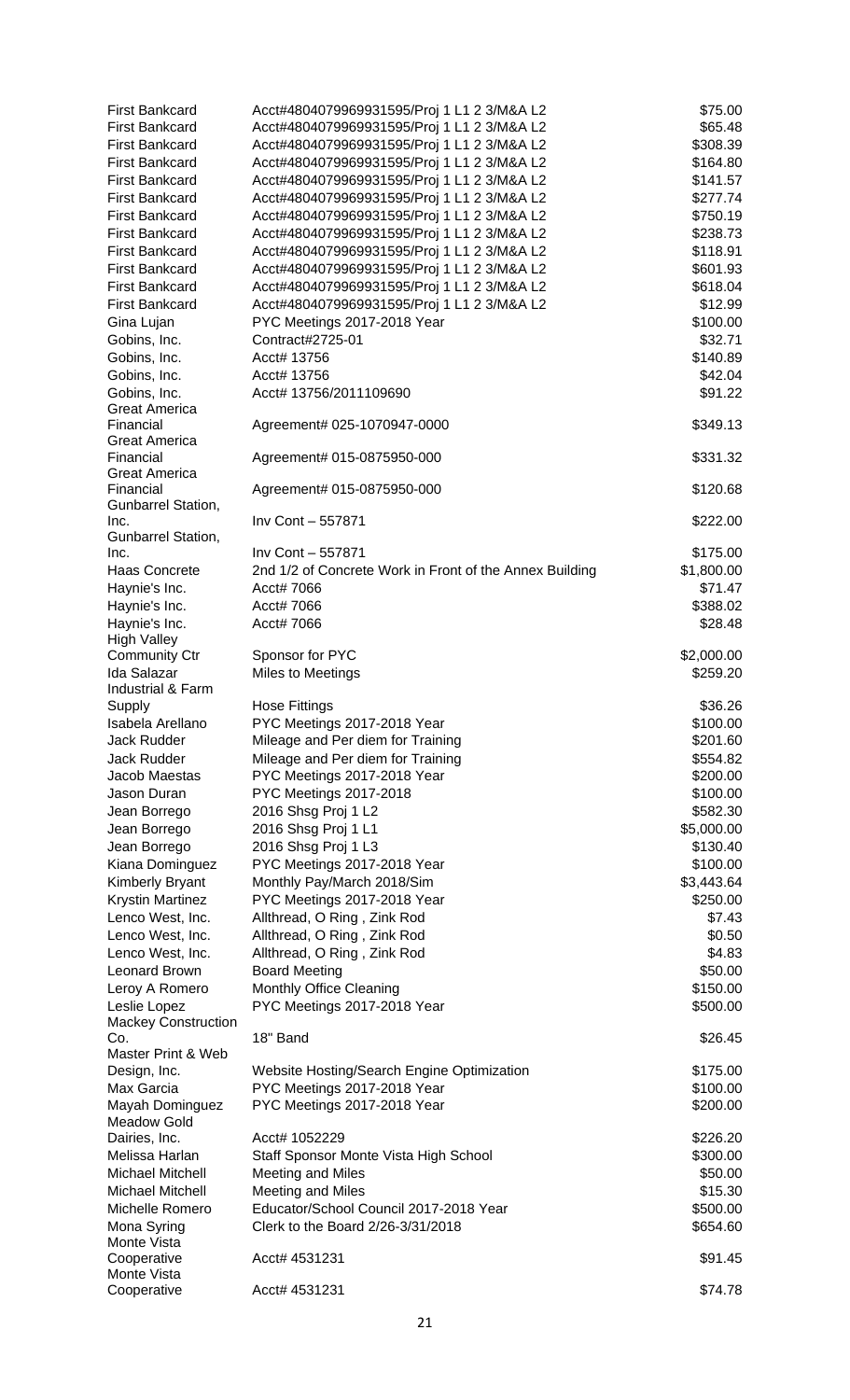| <b>First Bankcard</b>                             | Acct#4804079969931595/Proj 1 L1 2 3/M&A L2              | \$75.00              |
|---------------------------------------------------|---------------------------------------------------------|----------------------|
| <b>First Bankcard</b>                             | Acct#4804079969931595/Proj 1 L1 2 3/M&A L2              | \$65.48              |
| <b>First Bankcard</b>                             | Acct#4804079969931595/Proj 1 L1 2 3/M&A L2              | \$308.39             |
| <b>First Bankcard</b>                             | Acct#4804079969931595/Proj 1 L1 2 3/M&A L2              | \$164.80             |
| <b>First Bankcard</b>                             | Acct#4804079969931595/Proj 1 L1 2 3/M&A L2              | \$141.57             |
| <b>First Bankcard</b>                             | Acct#4804079969931595/Proj 1 L1 2 3/M&A L2              | \$277.74             |
| <b>First Bankcard</b>                             | Acct#4804079969931595/Proj 1 L1 2 3/M&A L2              | \$750.19             |
| <b>First Bankcard</b>                             | Acct#4804079969931595/Proj 1 L1 2 3/M&A L2              | \$238.73             |
| <b>First Bankcard</b>                             | Acct#4804079969931595/Proj 1 L1 2 3/M&A L2              | \$118.91             |
| <b>First Bankcard</b>                             | Acct#4804079969931595/Proj 1 L1 2 3/M&A L2              | \$601.93             |
| <b>First Bankcard</b>                             | Acct#4804079969931595/Proj 1 L1 2 3/M&A L2              | \$618.04             |
| <b>First Bankcard</b>                             | Acct#4804079969931595/Proj 1 L1 2 3/M&A L2              | \$12.99              |
| Gina Lujan                                        | PYC Meetings 2017-2018 Year                             | \$100.00             |
| Gobins, Inc.                                      | Contract#2725-01                                        | \$32.71              |
| Gobins, Inc.                                      | Acct# 13756                                             | \$140.89             |
| Gobins, Inc.                                      | Acct# 13756                                             | \$42.04              |
| Gobins, Inc.<br><b>Great America</b>              | Acct# 13756/2011109690                                  | \$91.22              |
| Financial                                         | Agreement# 025-1070947-0000                             | \$349.13             |
| Great America                                     |                                                         |                      |
| Financial                                         | Agreement# 015-0875950-000                              | \$331.32             |
| <b>Great America</b>                              |                                                         |                      |
| Financial                                         | Agreement# 015-0875950-000                              | \$120.68             |
| Gunbarrel Station,                                |                                                         |                      |
| Inc.                                              | Inv Cont - 557871                                       | \$222.00             |
| Gunbarrel Station,<br>Inc.                        | Inv Cont - 557871                                       | \$175.00             |
| <b>Haas Concrete</b>                              | 2nd 1/2 of Concrete Work in Front of the Annex Building | \$1,800.00           |
| Haynie's Inc.                                     | Acct# 7066                                              | \$71.47              |
| Haynie's Inc.                                     | Acct# 7066                                              | \$388.02             |
| Haynie's Inc.                                     | Acct# 7066                                              | \$28.48              |
| <b>High Valley</b>                                |                                                         |                      |
| <b>Community Ctr</b>                              | Sponsor for PYC                                         | \$2,000.00           |
| <b>Ida Salazar</b>                                | Miles to Meetings                                       | \$259.20             |
| Industrial & Farm                                 |                                                         |                      |
| Supply                                            | <b>Hose Fittings</b>                                    | \$36.26              |
| Isabela Arellano                                  | PYC Meetings 2017-2018 Year                             | \$100.00             |
| Jack Rudder                                       | Mileage and Per diem for Training                       | \$201.60             |
| Jack Rudder                                       | Mileage and Per diem for Training                       | \$554.82             |
| Jacob Maestas                                     | PYC Meetings 2017-2018 Year                             | \$200.00             |
| Jason Duran                                       | PYC Meetings 2017-2018                                  | \$100.00             |
| Jean Borrego                                      | 2016 Shsg Proj 1 L2                                     | \$582.30             |
| Jean Borrego                                      | 2016 Shsg Proj 1 L1                                     | \$5,000.00           |
| Jean Borrego                                      | 2016 Shsg Proj 1 L3<br>PYC Meetings 2017-2018 Year      | \$130.40<br>\$100.00 |
| Kiana Dominguez                                   | Monthly Pay/March 2018/Sim                              | \$3,443.64           |
| <b>Kimberly Bryant</b><br><b>Krystin Martinez</b> | PYC Meetings 2017-2018 Year                             | \$250.00             |
| Lenco West, Inc.                                  | Allthread, O Ring, Zink Rod                             | \$7.43               |
| Lenco West, Inc.                                  | Allthread, O Ring, Zink Rod                             | \$0.50               |
| Lenco West, Inc.                                  | Allthread, O Ring, Zink Rod                             | \$4.83               |
| Leonard Brown                                     | <b>Board Meeting</b>                                    | \$50.00              |
| Leroy A Romero                                    | Monthly Office Cleaning                                 | \$150.00             |
| Leslie Lopez                                      | PYC Meetings 2017-2018 Year                             | \$500.00             |
| <b>Mackey Construction</b>                        |                                                         |                      |
| Co.                                               | 18" Band                                                | \$26.45              |
| Master Print & Web                                |                                                         |                      |
| Design, Inc.                                      | Website Hosting/Search Engine Optimization              | \$175.00             |
| Max Garcia                                        | PYC Meetings 2017-2018 Year                             | \$100.00             |
| Mayah Dominguez                                   | PYC Meetings 2017-2018 Year                             | \$200.00             |
| Meadow Gold                                       |                                                         |                      |
| Dairies, Inc.                                     | Acct# 1052229                                           | \$226.20             |
| Melissa Harlan<br>Michael Mitchell                | Staff Sponsor Monte Vista High School                   | \$300.00             |
| Michael Mitchell                                  | Meeting and Miles<br>Meeting and Miles                  | \$50.00<br>\$15.30   |
| Michelle Romero                                   | Educator/School Council 2017-2018 Year                  | \$500.00             |
| Mona Syring                                       | Clerk to the Board 2/26-3/31/2018                       | \$654.60             |
| Monte Vista                                       |                                                         |                      |
| Cooperative                                       | Acct# 4531231                                           | \$91.45              |
| Monte Vista                                       |                                                         |                      |
| Cooperative                                       | Acct# 4531231                                           | \$74.78              |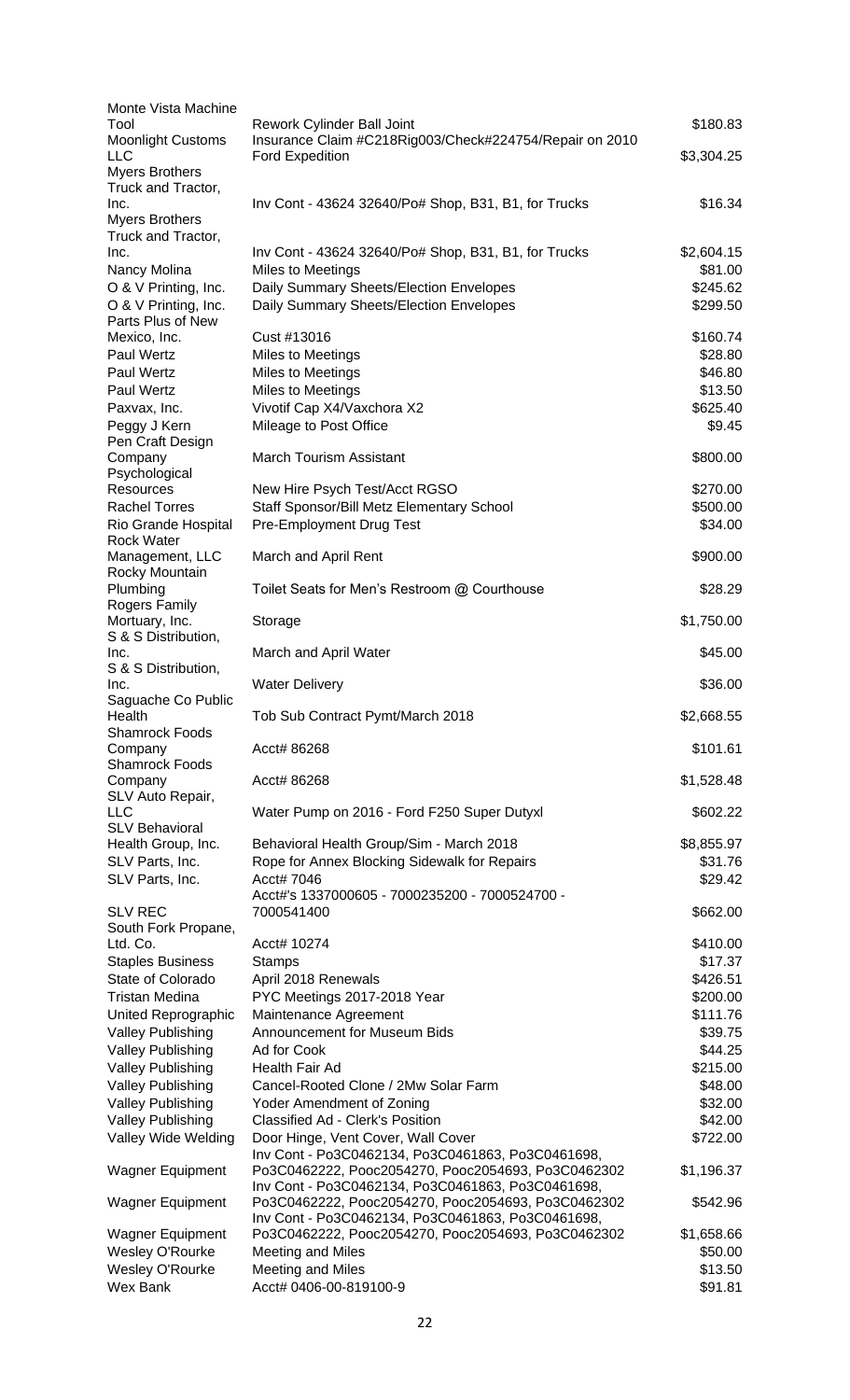| Monte Vista Machine                                  |                                                                                                         |                     |
|------------------------------------------------------|---------------------------------------------------------------------------------------------------------|---------------------|
| Tool<br><b>Moonlight Customs</b>                     | Rework Cylinder Ball Joint<br>Insurance Claim #C218Rig003/Check#224754/Repair on 2010                   | \$180.83            |
| LLC                                                  | <b>Ford Expedition</b>                                                                                  | \$3,304.25          |
| <b>Myers Brothers</b>                                |                                                                                                         |                     |
| Truck and Tractor,<br>Inc.                           | Inv Cont - 43624 32640/Po# Shop, B31, B1, for Trucks                                                    | \$16.34             |
| <b>Myers Brothers</b>                                |                                                                                                         |                     |
| Truck and Tractor,                                   |                                                                                                         |                     |
| Inc.                                                 | Inv Cont - 43624 32640/Po# Shop, B31, B1, for Trucks                                                    | \$2,604.15          |
| Nancy Molina                                         | <b>Miles to Meetings</b>                                                                                | \$81.00<br>\$245.62 |
| O & V Printing, Inc.<br>O & V Printing, Inc.         | Daily Summary Sheets/Election Envelopes<br>Daily Summary Sheets/Election Envelopes                      | \$299.50            |
| Parts Plus of New                                    |                                                                                                         |                     |
| Mexico, Inc.                                         | Cust #13016                                                                                             | \$160.74            |
| Paul Wertz                                           | Miles to Meetings                                                                                       | \$28.80             |
| Paul Wertz                                           | Miles to Meetings                                                                                       | \$46.80             |
| Paul Wertz<br>Paxvax, Inc.                           | Miles to Meetings<br>Vivotif Cap X4/Vaxchora X2                                                         | \$13.50<br>\$625.40 |
| Peggy J Kern                                         | Mileage to Post Office                                                                                  | \$9.45              |
| Pen Craft Design                                     |                                                                                                         |                     |
| Company                                              | <b>March Tourism Assistant</b>                                                                          | \$800.00            |
| Psychological<br><b>Resources</b>                    | New Hire Psych Test/Acct RGSO                                                                           | \$270.00            |
| <b>Rachel Torres</b>                                 | Staff Sponsor/Bill Metz Elementary School                                                               | \$500.00            |
| Rio Grande Hospital                                  | Pre-Employment Drug Test                                                                                | \$34.00             |
| <b>Rock Water</b>                                    |                                                                                                         |                     |
| Management, LLC                                      | March and April Rent                                                                                    | \$900.00            |
| Rocky Mountain<br>Plumbing                           | Toilet Seats for Men's Restroom @ Courthouse                                                            | \$28.29             |
| Rogers Family                                        |                                                                                                         |                     |
| Mortuary, Inc.                                       | Storage                                                                                                 | \$1,750.00          |
| S & S Distribution,<br>Inc.                          | March and April Water                                                                                   | \$45.00             |
| S & S Distribution,                                  |                                                                                                         |                     |
| Inc.                                                 | <b>Water Delivery</b>                                                                                   | \$36.00             |
| Saguache Co Public                                   |                                                                                                         |                     |
| Health<br><b>Shamrock Foods</b>                      | Tob Sub Contract Pymt/March 2018                                                                        | \$2,668.55          |
| Company                                              | Acct# 86268                                                                                             | \$101.61            |
| <b>Shamrock Foods</b>                                |                                                                                                         |                     |
| Company<br>SLV Auto Repair,                          | Acct# 86268                                                                                             | \$1,528.48          |
| <b>LLC</b>                                           | Water Pump on 2016 - Ford F250 Super Dutyxl                                                             | \$602.22            |
| <b>SLV Behavioral</b>                                |                                                                                                         |                     |
| Health Group, Inc.                                   | Behavioral Health Group/Sim - March 2018                                                                | \$8,855.97          |
| SLV Parts, Inc.                                      | Rope for Annex Blocking Sidewalk for Repairs                                                            | \$31.76             |
| SLV Parts, Inc.                                      | Acct# 7046<br>Acct#'s 1337000605 - 7000235200 - 7000524700 -                                            | \$29.42             |
| <b>SLV REC</b>                                       | 7000541400                                                                                              | \$662.00            |
| South Fork Propane,                                  |                                                                                                         |                     |
| Ltd. Co.                                             | Acct# 10274                                                                                             | \$410.00            |
| <b>Staples Business</b><br>State of Colorado         | <b>Stamps</b><br>April 2018 Renewals                                                                    | \$17.37<br>\$426.51 |
| Tristan Medina                                       | PYC Meetings 2017-2018 Year                                                                             | \$200.00            |
| United Reprographic                                  | Maintenance Agreement                                                                                   | \$111.76            |
| <b>Valley Publishing</b>                             | Announcement for Museum Bids                                                                            | \$39.75             |
| <b>Valley Publishing</b>                             | Ad for Cook                                                                                             | \$44.25             |
| <b>Valley Publishing</b>                             | Health Fair Ad                                                                                          | \$215.00            |
| <b>Valley Publishing</b>                             | Cancel-Rooted Clone / 2Mw Solar Farm                                                                    | \$48.00             |
| <b>Valley Publishing</b><br><b>Valley Publishing</b> | Yoder Amendment of Zoning<br>Classified Ad - Clerk's Position                                           | \$32.00<br>\$42.00  |
| Valley Wide Welding                                  | Door Hinge, Vent Cover, Wall Cover                                                                      | \$722.00            |
|                                                      | Inv Cont - Po3C0462134, Po3C0461863, Po3C0461698,                                                       |                     |
| Wagner Equipment                                     | Po3C0462222, Pooc2054270, Pooc2054693, Po3C0462302                                                      | \$1,196.37          |
| <b>Wagner Equipment</b>                              | Inv Cont - Po3C0462134, Po3C0461863, Po3C0461698,<br>Po3C0462222, Pooc2054270, Pooc2054693, Po3C0462302 | \$542.96            |
|                                                      | Inv Cont - Po3C0462134, Po3C0461863, Po3C0461698,                                                       |                     |
| Wagner Equipment                                     | Po3C0462222, Pooc2054270, Pooc2054693, Po3C0462302                                                      | \$1,658.66          |
| <b>Wesley O'Rourke</b>                               | Meeting and Miles                                                                                       | \$50.00             |
| <b>Wesley O'Rourke</b>                               | Meeting and Miles                                                                                       | \$13.50             |
| Wex Bank                                             | Acct# 0406-00-819100-9                                                                                  | \$91.81             |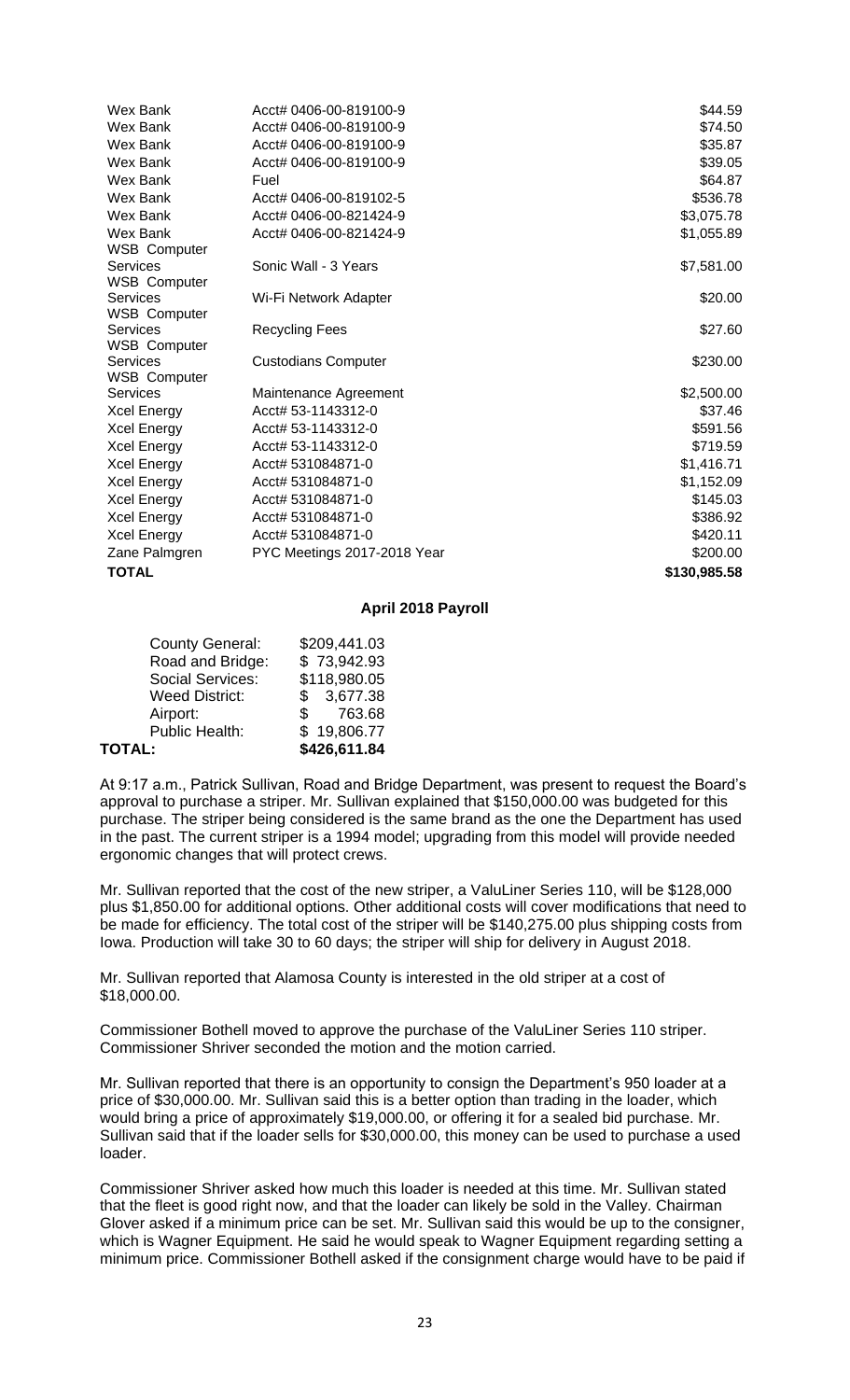| Wex Bank                        | Acct# 0406-00-819100-9      | \$44.59      |
|---------------------------------|-----------------------------|--------------|
| Wex Bank                        | Acct# 0406-00-819100-9      | \$74.50      |
| Wex Bank                        | Acct# 0406-00-819100-9      | \$35.87      |
| Wex Bank                        | Acct# 0406-00-819100-9      | \$39.05      |
| Wex Bank                        | Fuel                        | \$64.87      |
| Wex Bank                        | Acct# 0406-00-819102-5      | \$536.78     |
| Wex Bank                        | Acct# 0406-00-821424-9      | \$3,075.78   |
| Wex Bank                        | Acct# 0406-00-821424-9      | \$1,055.89   |
| <b>WSB Computer</b>             |                             |              |
| Services                        | Sonic Wall - 3 Years        | \$7,581.00   |
| <b>WSB Computer</b>             |                             |              |
| Services                        | Wi-Fi Network Adapter       | \$20.00      |
| <b>WSB Computer</b>             |                             |              |
| Services                        | <b>Recycling Fees</b>       | \$27.60      |
| <b>WSB Computer</b><br>Services |                             | \$230.00     |
| <b>WSB Computer</b>             | <b>Custodians Computer</b>  |              |
| Services                        | Maintenance Agreement       | \$2,500.00   |
| Xcel Energy                     | Acct# 53-1143312-0          | \$37.46      |
| Xcel Energy                     | Acct# 53-1143312-0          | \$591.56     |
| Xcel Energy                     | Acct# 53-1143312-0          | \$719.59     |
| Xcel Energy                     | Acct# 531084871-0           | \$1,416.71   |
| Xcel Energy                     | Acct# 531084871-0           | \$1,152.09   |
| Xcel Energy                     | Acct# 531084871-0           | \$145.03     |
| Xcel Energy                     | Acct# 531084871-0           | \$386.92     |
| Xcel Energy                     | Acct# 531084871-0           | \$420.11     |
| Zane Palmgren                   | PYC Meetings 2017-2018 Year | \$200.00     |
| TOTAL                           |                             | \$130,985.58 |
|                                 |                             |              |

### **April 2018 Payroll**

| <b>County General:</b> | \$209,441.03 |
|------------------------|--------------|
| Road and Bridge:       | \$73,942.93  |
| Social Services:       | \$118,980.05 |
| <b>Weed District:</b>  | \$3,677.38   |
| Airport:               | 763.68<br>S. |
| Public Health:         | \$19,806.77  |
| TOTAL:                 | \$426,611.84 |

At 9:17 a.m., Patrick Sullivan, Road and Bridge Department, was present to request the Board's approval to purchase a striper. Mr. Sullivan explained that \$150,000.00 was budgeted for this purchase. The striper being considered is the same brand as the one the Department has used in the past. The current striper is a 1994 model; upgrading from this model will provide needed ergonomic changes that will protect crews.

Mr. Sullivan reported that the cost of the new striper, a ValuLiner Series 110, will be \$128,000 plus \$1,850.00 for additional options. Other additional costs will cover modifications that need to be made for efficiency. The total cost of the striper will be \$140,275.00 plus shipping costs from Iowa. Production will take 30 to 60 days; the striper will ship for delivery in August 2018.

Mr. Sullivan reported that Alamosa County is interested in the old striper at a cost of \$18,000.00.

Commissioner Bothell moved to approve the purchase of the ValuLiner Series 110 striper. Commissioner Shriver seconded the motion and the motion carried.

Mr. Sullivan reported that there is an opportunity to consign the Department's 950 loader at a price of \$30,000.00. Mr. Sullivan said this is a better option than trading in the loader, which would bring a price of approximately \$19,000.00, or offering it for a sealed bid purchase. Mr. Sullivan said that if the loader sells for \$30,000.00, this money can be used to purchase a used loader.

Commissioner Shriver asked how much this loader is needed at this time. Mr. Sullivan stated that the fleet is good right now, and that the loader can likely be sold in the Valley. Chairman Glover asked if a minimum price can be set. Mr. Sullivan said this would be up to the consigner, which is Wagner Equipment. He said he would speak to Wagner Equipment regarding setting a minimum price. Commissioner Bothell asked if the consignment charge would have to be paid if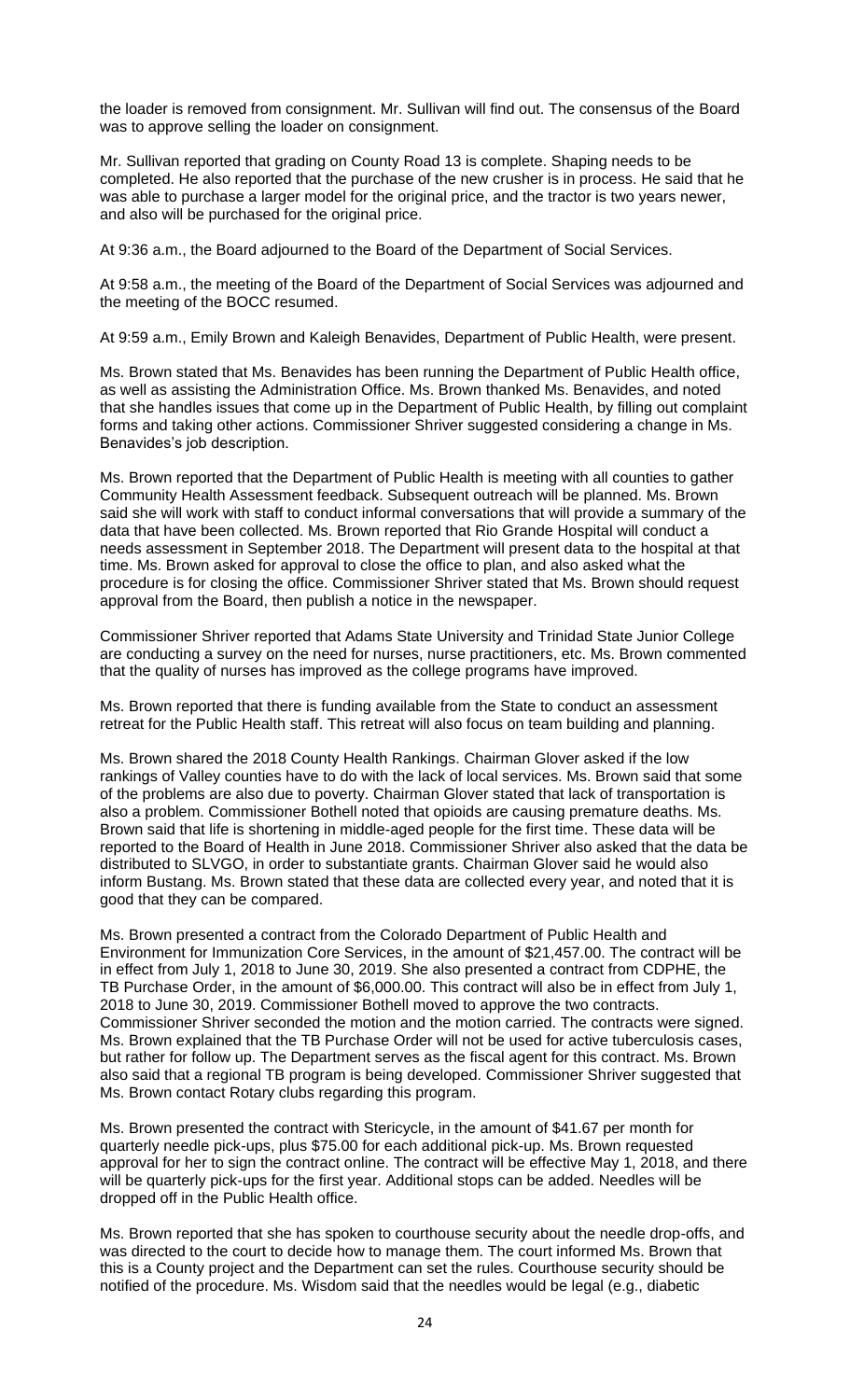the loader is removed from consignment. Mr. Sullivan will find out. The consensus of the Board was to approve selling the loader on consignment.

Mr. Sullivan reported that grading on County Road 13 is complete. Shaping needs to be completed. He also reported that the purchase of the new crusher is in process. He said that he was able to purchase a larger model for the original price, and the tractor is two years newer, and also will be purchased for the original price.

At 9:36 a.m., the Board adjourned to the Board of the Department of Social Services.

At 9:58 a.m., the meeting of the Board of the Department of Social Services was adjourned and the meeting of the BOCC resumed.

At 9:59 a.m., Emily Brown and Kaleigh Benavides, Department of Public Health, were present.

Ms. Brown stated that Ms. Benavides has been running the Department of Public Health office, as well as assisting the Administration Office. Ms. Brown thanked Ms. Benavides, and noted that she handles issues that come up in the Department of Public Health, by filling out complaint forms and taking other actions. Commissioner Shriver suggested considering a change in Ms. Benavides's job description.

Ms. Brown reported that the Department of Public Health is meeting with all counties to gather Community Health Assessment feedback. Subsequent outreach will be planned. Ms. Brown said she will work with staff to conduct informal conversations that will provide a summary of the data that have been collected. Ms. Brown reported that Rio Grande Hospital will conduct a needs assessment in September 2018. The Department will present data to the hospital at that time. Ms. Brown asked for approval to close the office to plan, and also asked what the procedure is for closing the office. Commissioner Shriver stated that Ms. Brown should request approval from the Board, then publish a notice in the newspaper.

Commissioner Shriver reported that Adams State University and Trinidad State Junior College are conducting a survey on the need for nurses, nurse practitioners, etc. Ms. Brown commented that the quality of nurses has improved as the college programs have improved.

Ms. Brown reported that there is funding available from the State to conduct an assessment retreat for the Public Health staff. This retreat will also focus on team building and planning.

Ms. Brown shared the 2018 County Health Rankings. Chairman Glover asked if the low rankings of Valley counties have to do with the lack of local services. Ms. Brown said that some of the problems are also due to poverty. Chairman Glover stated that lack of transportation is also a problem. Commissioner Bothell noted that opioids are causing premature deaths. Ms. Brown said that life is shortening in middle-aged people for the first time. These data will be reported to the Board of Health in June 2018. Commissioner Shriver also asked that the data be distributed to SLVGO, in order to substantiate grants. Chairman Glover said he would also inform Bustang. Ms. Brown stated that these data are collected every year, and noted that it is good that they can be compared.

Ms. Brown presented a contract from the Colorado Department of Public Health and Environment for Immunization Core Services, in the amount of \$21,457.00. The contract will be in effect from July 1, 2018 to June 30, 2019. She also presented a contract from CDPHE, the TB Purchase Order, in the amount of \$6,000.00. This contract will also be in effect from July 1, 2018 to June 30, 2019. Commissioner Bothell moved to approve the two contracts. Commissioner Shriver seconded the motion and the motion carried. The contracts were signed. Ms. Brown explained that the TB Purchase Order will not be used for active tuberculosis cases, but rather for follow up. The Department serves as the fiscal agent for this contract. Ms. Brown also said that a regional TB program is being developed. Commissioner Shriver suggested that Ms. Brown contact Rotary clubs regarding this program.

Ms. Brown presented the contract with Stericycle, in the amount of \$41.67 per month for quarterly needle pick-ups, plus \$75.00 for each additional pick-up. Ms. Brown requested approval for her to sign the contract online. The contract will be effective May 1, 2018, and there will be quarterly pick-ups for the first year. Additional stops can be added. Needles will be dropped off in the Public Health office.

Ms. Brown reported that she has spoken to courthouse security about the needle drop-offs, and was directed to the court to decide how to manage them. The court informed Ms. Brown that this is a County project and the Department can set the rules. Courthouse security should be notified of the procedure. Ms. Wisdom said that the needles would be legal (e.g., diabetic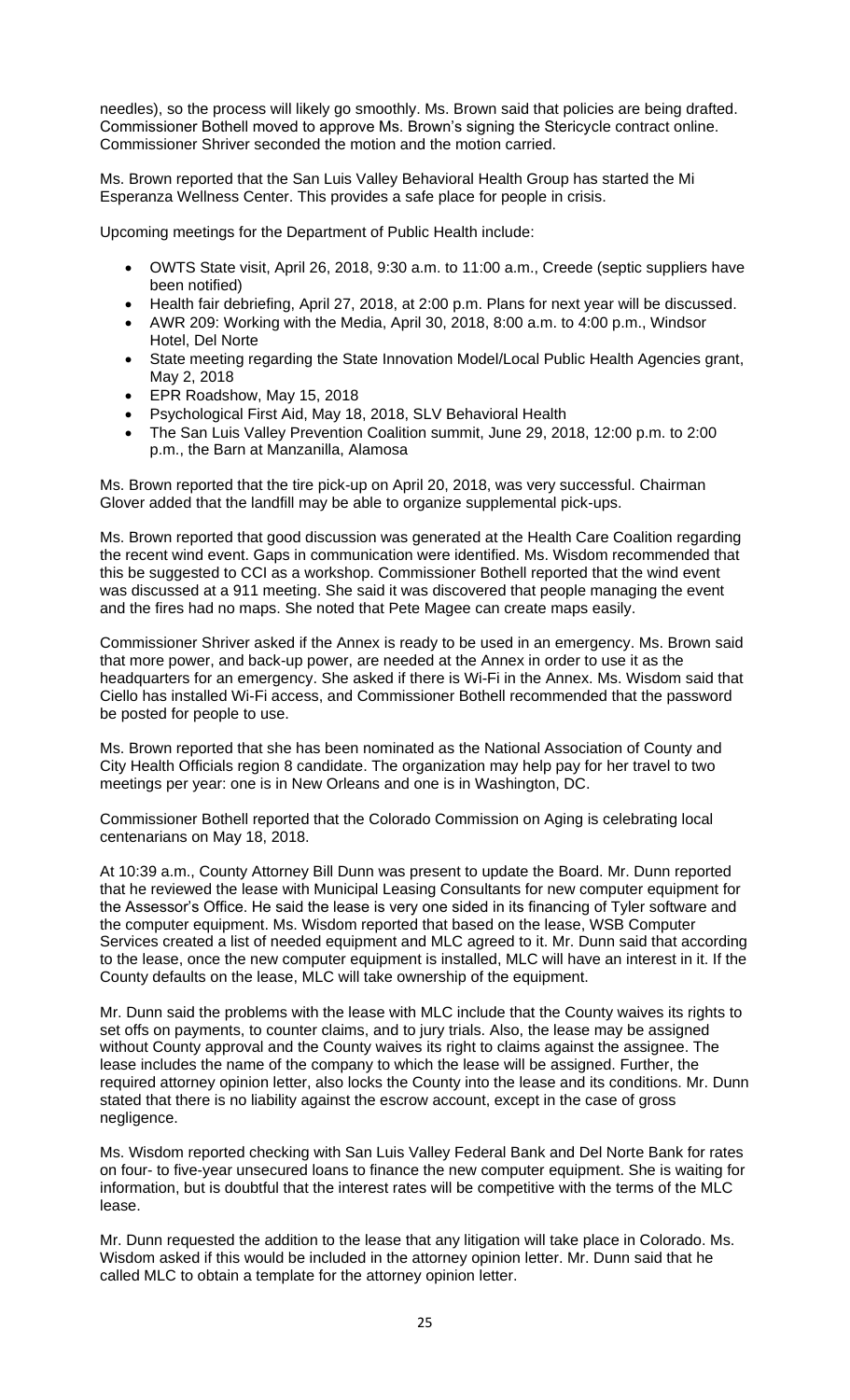needles), so the process will likely go smoothly. Ms. Brown said that policies are being drafted. Commissioner Bothell moved to approve Ms. Brown's signing the Stericycle contract online. Commissioner Shriver seconded the motion and the motion carried.

Ms. Brown reported that the San Luis Valley Behavioral Health Group has started the Mi Esperanza Wellness Center. This provides a safe place for people in crisis.

Upcoming meetings for the Department of Public Health include:

- OWTS State visit, April 26, 2018, 9:30 a.m. to 11:00 a.m., Creede (septic suppliers have been notified)
- Health fair debriefing, April 27, 2018, at 2:00 p.m. Plans for next year will be discussed.
- AWR 209: Working with the Media, April 30, 2018, 8:00 a.m. to 4:00 p.m., Windsor Hotel, Del Norte
- State meeting regarding the State Innovation Model/Local Public Health Agencies grant, May 2, 2018
- EPR Roadshow, May 15, 2018
- Psychological First Aid, May 18, 2018, SLV Behavioral Health
- The San Luis Valley Prevention Coalition summit, June 29, 2018, 12:00 p.m. to 2:00 p.m., the Barn at Manzanilla, Alamosa

Ms. Brown reported that the tire pick-up on April 20, 2018, was very successful. Chairman Glover added that the landfill may be able to organize supplemental pick-ups.

Ms. Brown reported that good discussion was generated at the Health Care Coalition regarding the recent wind event. Gaps in communication were identified. Ms. Wisdom recommended that this be suggested to CCI as a workshop. Commissioner Bothell reported that the wind event was discussed at a 911 meeting. She said it was discovered that people managing the event and the fires had no maps. She noted that Pete Magee can create maps easily.

Commissioner Shriver asked if the Annex is ready to be used in an emergency. Ms. Brown said that more power, and back-up power, are needed at the Annex in order to use it as the headquarters for an emergency. She asked if there is Wi-Fi in the Annex. Ms. Wisdom said that Ciello has installed Wi-Fi access, and Commissioner Bothell recommended that the password be posted for people to use.

Ms. Brown reported that she has been nominated as the National Association of County and City Health Officials region 8 candidate. The organization may help pay for her travel to two meetings per year: one is in New Orleans and one is in Washington, DC.

Commissioner Bothell reported that the Colorado Commission on Aging is celebrating local centenarians on May 18, 2018.

At 10:39 a.m., County Attorney Bill Dunn was present to update the Board. Mr. Dunn reported that he reviewed the lease with Municipal Leasing Consultants for new computer equipment for the Assessor's Office. He said the lease is very one sided in its financing of Tyler software and the computer equipment. Ms. Wisdom reported that based on the lease, WSB Computer Services created a list of needed equipment and MLC agreed to it. Mr. Dunn said that according to the lease, once the new computer equipment is installed, MLC will have an interest in it. If the County defaults on the lease, MLC will take ownership of the equipment.

Mr. Dunn said the problems with the lease with MLC include that the County waives its rights to set offs on payments, to counter claims, and to jury trials. Also, the lease may be assigned without County approval and the County waives its right to claims against the assignee. The lease includes the name of the company to which the lease will be assigned. Further, the required attorney opinion letter, also locks the County into the lease and its conditions. Mr. Dunn stated that there is no liability against the escrow account, except in the case of gross negligence.

Ms. Wisdom reported checking with San Luis Valley Federal Bank and Del Norte Bank for rates on four- to five-year unsecured loans to finance the new computer equipment. She is waiting for information, but is doubtful that the interest rates will be competitive with the terms of the MLC lease.

Mr. Dunn requested the addition to the lease that any litigation will take place in Colorado. Ms. Wisdom asked if this would be included in the attorney opinion letter. Mr. Dunn said that he called MLC to obtain a template for the attorney opinion letter.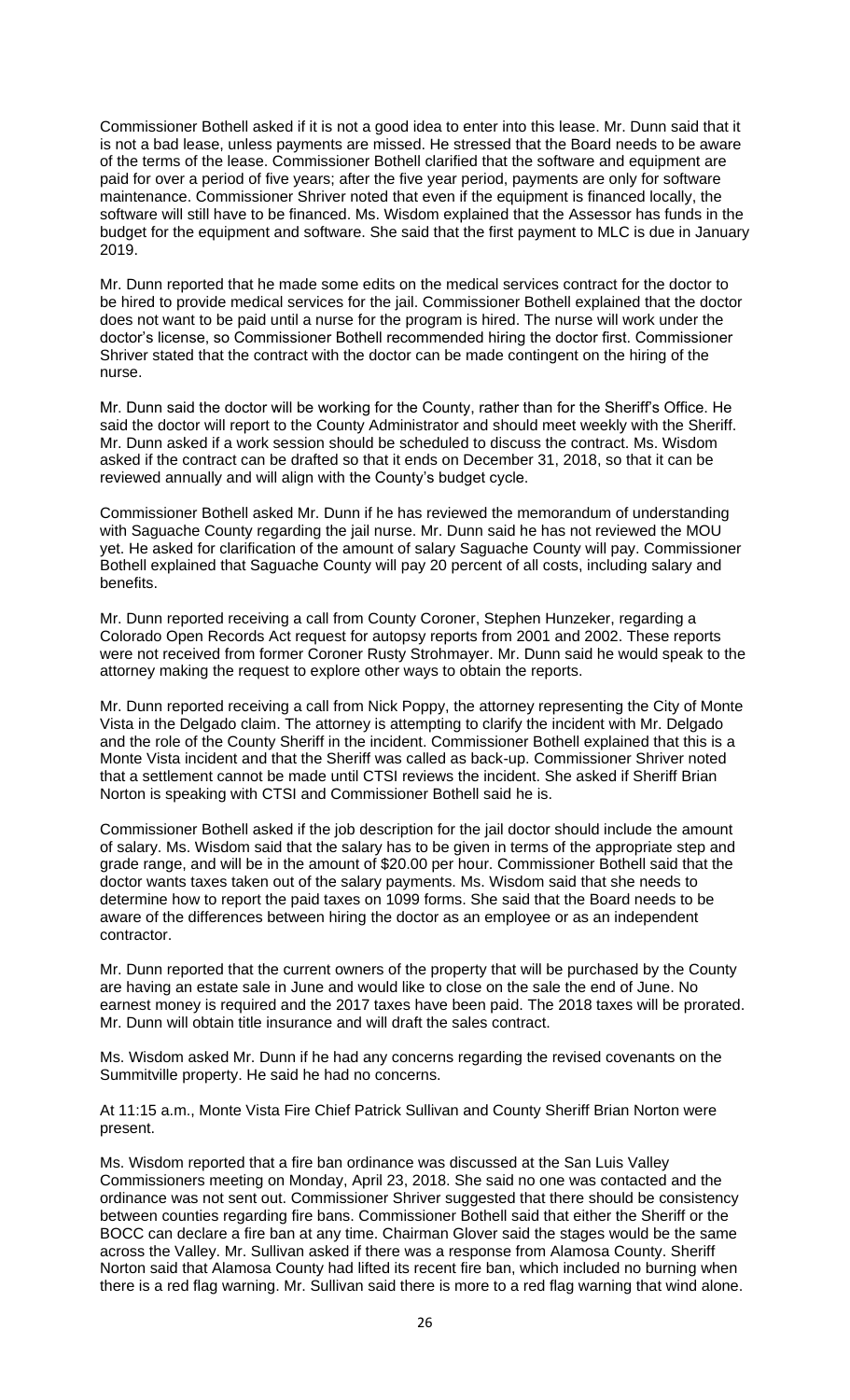Commissioner Bothell asked if it is not a good idea to enter into this lease. Mr. Dunn said that it is not a bad lease, unless payments are missed. He stressed that the Board needs to be aware of the terms of the lease. Commissioner Bothell clarified that the software and equipment are paid for over a period of five years; after the five year period, payments are only for software maintenance. Commissioner Shriver noted that even if the equipment is financed locally, the software will still have to be financed. Ms. Wisdom explained that the Assessor has funds in the budget for the equipment and software. She said that the first payment to MLC is due in January 2019.

Mr. Dunn reported that he made some edits on the medical services contract for the doctor to be hired to provide medical services for the jail. Commissioner Bothell explained that the doctor does not want to be paid until a nurse for the program is hired. The nurse will work under the doctor's license, so Commissioner Bothell recommended hiring the doctor first. Commissioner Shriver stated that the contract with the doctor can be made contingent on the hiring of the nurse.

Mr. Dunn said the doctor will be working for the County, rather than for the Sheriff's Office. He said the doctor will report to the County Administrator and should meet weekly with the Sheriff. Mr. Dunn asked if a work session should be scheduled to discuss the contract. Ms. Wisdom asked if the contract can be drafted so that it ends on December 31, 2018, so that it can be reviewed annually and will align with the County's budget cycle.

Commissioner Bothell asked Mr. Dunn if he has reviewed the memorandum of understanding with Saguache County regarding the jail nurse. Mr. Dunn said he has not reviewed the MOU yet. He asked for clarification of the amount of salary Saguache County will pay. Commissioner Bothell explained that Saguache County will pay 20 percent of all costs, including salary and benefits.

Mr. Dunn reported receiving a call from County Coroner, Stephen Hunzeker, regarding a Colorado Open Records Act request for autopsy reports from 2001 and 2002. These reports were not received from former Coroner Rusty Strohmayer. Mr. Dunn said he would speak to the attorney making the request to explore other ways to obtain the reports.

Mr. Dunn reported receiving a call from Nick Poppy, the attorney representing the City of Monte Vista in the Delgado claim. The attorney is attempting to clarify the incident with Mr. Delgado and the role of the County Sheriff in the incident. Commissioner Bothell explained that this is a Monte Vista incident and that the Sheriff was called as back-up. Commissioner Shriver noted that a settlement cannot be made until CTSI reviews the incident. She asked if Sheriff Brian Norton is speaking with CTSI and Commissioner Bothell said he is.

Commissioner Bothell asked if the job description for the jail doctor should include the amount of salary. Ms. Wisdom said that the salary has to be given in terms of the appropriate step and grade range, and will be in the amount of \$20.00 per hour. Commissioner Bothell said that the doctor wants taxes taken out of the salary payments. Ms. Wisdom said that she needs to determine how to report the paid taxes on 1099 forms. She said that the Board needs to be aware of the differences between hiring the doctor as an employee or as an independent contractor.

Mr. Dunn reported that the current owners of the property that will be purchased by the County are having an estate sale in June and would like to close on the sale the end of June. No earnest money is required and the 2017 taxes have been paid. The 2018 taxes will be prorated. Mr. Dunn will obtain title insurance and will draft the sales contract.

Ms. Wisdom asked Mr. Dunn if he had any concerns regarding the revised covenants on the Summitville property. He said he had no concerns.

At 11:15 a.m., Monte Vista Fire Chief Patrick Sullivan and County Sheriff Brian Norton were present.

Ms. Wisdom reported that a fire ban ordinance was discussed at the San Luis Valley Commissioners meeting on Monday, April 23, 2018. She said no one was contacted and the ordinance was not sent out. Commissioner Shriver suggested that there should be consistency between counties regarding fire bans. Commissioner Bothell said that either the Sheriff or the BOCC can declare a fire ban at any time. Chairman Glover said the stages would be the same across the Valley. Mr. Sullivan asked if there was a response from Alamosa County. Sheriff Norton said that Alamosa County had lifted its recent fire ban, which included no burning when there is a red flag warning. Mr. Sullivan said there is more to a red flag warning that wind alone.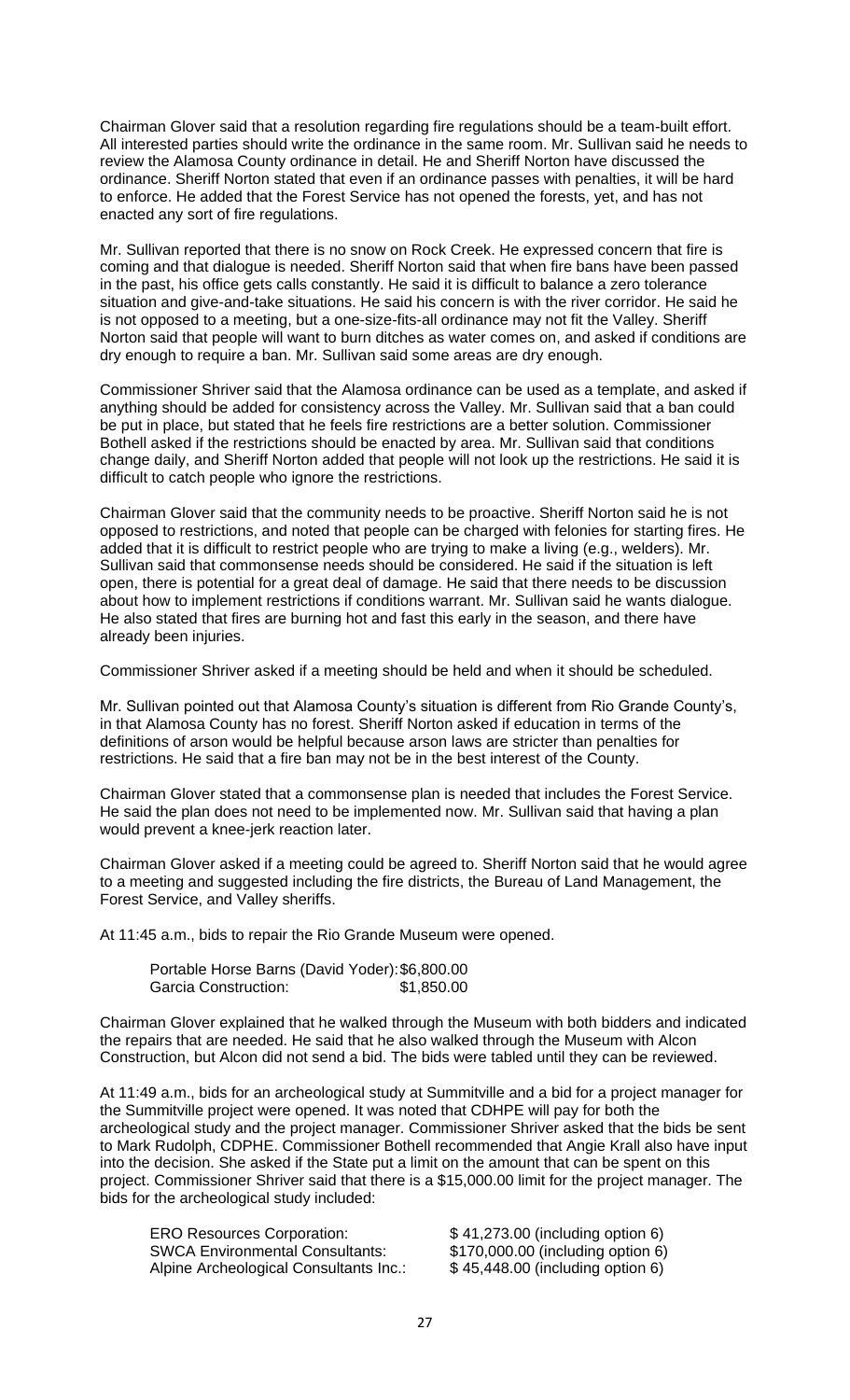Chairman Glover said that a resolution regarding fire regulations should be a team-built effort. All interested parties should write the ordinance in the same room. Mr. Sullivan said he needs to review the Alamosa County ordinance in detail. He and Sheriff Norton have discussed the ordinance. Sheriff Norton stated that even if an ordinance passes with penalties, it will be hard to enforce. He added that the Forest Service has not opened the forests, yet, and has not enacted any sort of fire regulations.

Mr. Sullivan reported that there is no snow on Rock Creek. He expressed concern that fire is coming and that dialogue is needed. Sheriff Norton said that when fire bans have been passed in the past, his office gets calls constantly. He said it is difficult to balance a zero tolerance situation and give-and-take situations. He said his concern is with the river corridor. He said he is not opposed to a meeting, but a one-size-fits-all ordinance may not fit the Valley. Sheriff Norton said that people will want to burn ditches as water comes on, and asked if conditions are dry enough to require a ban. Mr. Sullivan said some areas are dry enough.

Commissioner Shriver said that the Alamosa ordinance can be used as a template, and asked if anything should be added for consistency across the Valley. Mr. Sullivan said that a ban could be put in place, but stated that he feels fire restrictions are a better solution. Commissioner Bothell asked if the restrictions should be enacted by area. Mr. Sullivan said that conditions change daily, and Sheriff Norton added that people will not look up the restrictions. He said it is difficult to catch people who ignore the restrictions.

Chairman Glover said that the community needs to be proactive. Sheriff Norton said he is not opposed to restrictions, and noted that people can be charged with felonies for starting fires. He added that it is difficult to restrict people who are trying to make a living (e.g., welders). Mr. Sullivan said that commonsense needs should be considered. He said if the situation is left open, there is potential for a great deal of damage. He said that there needs to be discussion about how to implement restrictions if conditions warrant. Mr. Sullivan said he wants dialogue. He also stated that fires are burning hot and fast this early in the season, and there have already been injuries.

Commissioner Shriver asked if a meeting should be held and when it should be scheduled.

Mr. Sullivan pointed out that Alamosa County's situation is different from Rio Grande County's, in that Alamosa County has no forest. Sheriff Norton asked if education in terms of the definitions of arson would be helpful because arson laws are stricter than penalties for restrictions. He said that a fire ban may not be in the best interest of the County.

Chairman Glover stated that a commonsense plan is needed that includes the Forest Service. He said the plan does not need to be implemented now. Mr. Sullivan said that having a plan would prevent a knee-jerk reaction later.

Chairman Glover asked if a meeting could be agreed to. Sheriff Norton said that he would agree to a meeting and suggested including the fire districts, the Bureau of Land Management, the Forest Service, and Valley sheriffs.

At 11:45 a.m., bids to repair the Rio Grande Museum were opened.

| Portable Horse Barns (David Yoder): \$6,800.00 |            |
|------------------------------------------------|------------|
| Garcia Construction:                           | \$1,850.00 |

Chairman Glover explained that he walked through the Museum with both bidders and indicated the repairs that are needed. He said that he also walked through the Museum with Alcon Construction, but Alcon did not send a bid. The bids were tabled until they can be reviewed.

At 11:49 a.m., bids for an archeological study at Summitville and a bid for a project manager for the Summitville project were opened. It was noted that CDHPE will pay for both the archeological study and the project manager. Commissioner Shriver asked that the bids be sent to Mark Rudolph, CDPHE. Commissioner Bothell recommended that Angie Krall also have input into the decision. She asked if the State put a limit on the amount that can be spent on this project. Commissioner Shriver said that there is a \$15,000.00 limit for the project manager. The bids for the archeological study included:

SWCA Environmental Consultants: \$170,000.00 (including option 6) Alpine Archeological Consultants Inc.: \$ 45,448.00 (including option 6)

ERO Resources Corporation:  $$41,273.00$  (including option 6)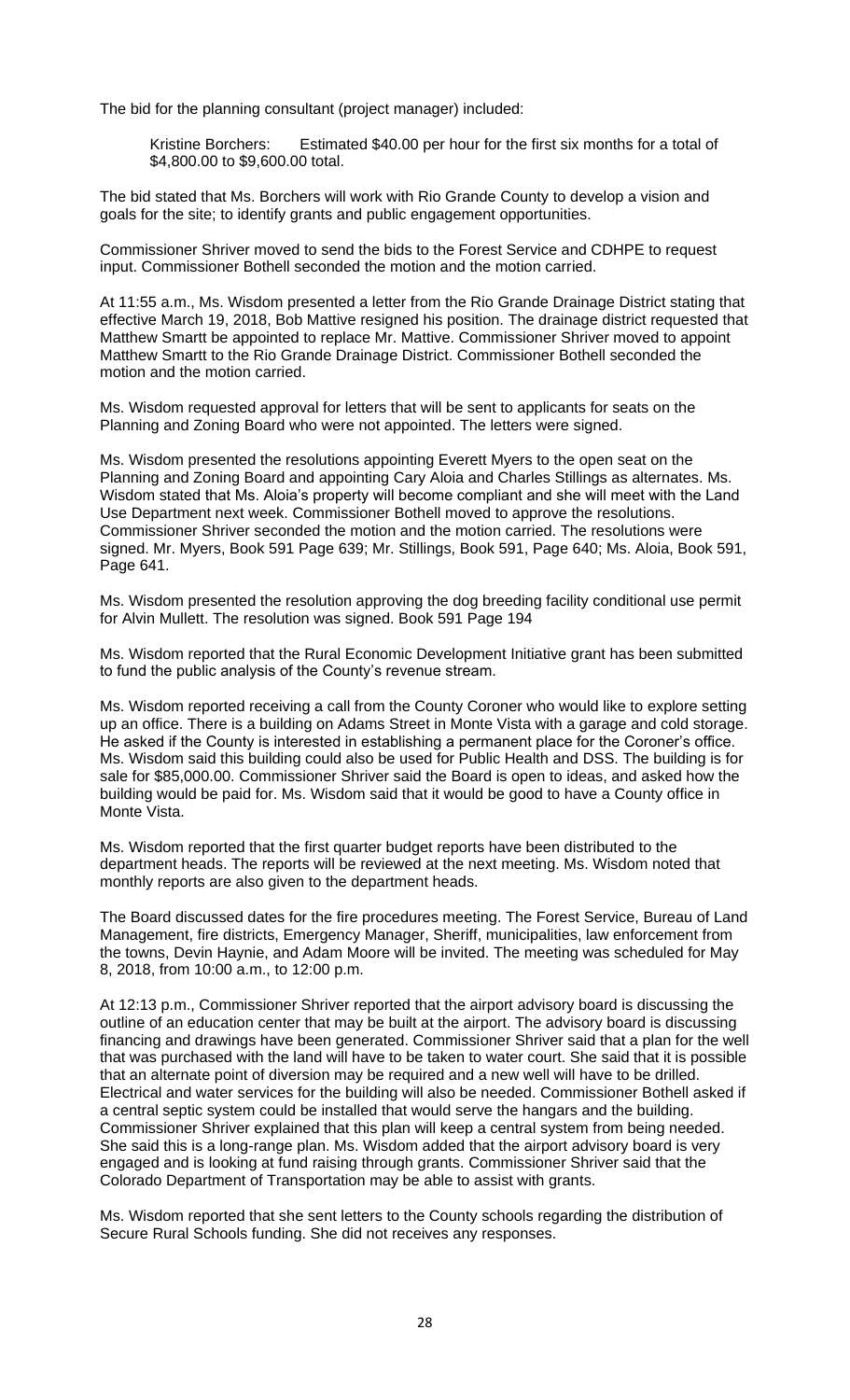The bid for the planning consultant (project manager) included:

Kristine Borchers: Estimated \$40.00 per hour for the first six months for a total of \$4,800.00 to \$9,600.00 total.

The bid stated that Ms. Borchers will work with Rio Grande County to develop a vision and goals for the site; to identify grants and public engagement opportunities.

Commissioner Shriver moved to send the bids to the Forest Service and CDHPE to request input. Commissioner Bothell seconded the motion and the motion carried.

At 11:55 a.m., Ms. Wisdom presented a letter from the Rio Grande Drainage District stating that effective March 19, 2018, Bob Mattive resigned his position. The drainage district requested that Matthew Smartt be appointed to replace Mr. Mattive. Commissioner Shriver moved to appoint Matthew Smartt to the Rio Grande Drainage District. Commissioner Bothell seconded the motion and the motion carried.

Ms. Wisdom requested approval for letters that will be sent to applicants for seats on the Planning and Zoning Board who were not appointed. The letters were signed.

Ms. Wisdom presented the resolutions appointing Everett Myers to the open seat on the Planning and Zoning Board and appointing Cary Aloia and Charles Stillings as alternates. Ms. Wisdom stated that Ms. Aloia's property will become compliant and she will meet with the Land Use Department next week. Commissioner Bothell moved to approve the resolutions. Commissioner Shriver seconded the motion and the motion carried. The resolutions were signed. Mr. Myers, Book 591 Page 639; Mr. Stillings, Book 591, Page 640; Ms. Aloia, Book 591, Page 641.

Ms. Wisdom presented the resolution approving the dog breeding facility conditional use permit for Alvin Mullett. The resolution was signed. Book 591 Page 194

Ms. Wisdom reported that the Rural Economic Development Initiative grant has been submitted to fund the public analysis of the County's revenue stream.

Ms. Wisdom reported receiving a call from the County Coroner who would like to explore setting up an office. There is a building on Adams Street in Monte Vista with a garage and cold storage. He asked if the County is interested in establishing a permanent place for the Coroner's office. Ms. Wisdom said this building could also be used for Public Health and DSS. The building is for sale for \$85,000.00. Commissioner Shriver said the Board is open to ideas, and asked how the building would be paid for. Ms. Wisdom said that it would be good to have a County office in Monte Vista.

Ms. Wisdom reported that the first quarter budget reports have been distributed to the department heads. The reports will be reviewed at the next meeting. Ms. Wisdom noted that monthly reports are also given to the department heads.

The Board discussed dates for the fire procedures meeting. The Forest Service, Bureau of Land Management, fire districts, Emergency Manager, Sheriff, municipalities, law enforcement from the towns, Devin Haynie, and Adam Moore will be invited. The meeting was scheduled for May 8, 2018, from 10:00 a.m., to 12:00 p.m.

At 12:13 p.m., Commissioner Shriver reported that the airport advisory board is discussing the outline of an education center that may be built at the airport. The advisory board is discussing financing and drawings have been generated. Commissioner Shriver said that a plan for the well that was purchased with the land will have to be taken to water court. She said that it is possible that an alternate point of diversion may be required and a new well will have to be drilled. Electrical and water services for the building will also be needed. Commissioner Bothell asked if a central septic system could be installed that would serve the hangars and the building. Commissioner Shriver explained that this plan will keep a central system from being needed. She said this is a long-range plan. Ms. Wisdom added that the airport advisory board is very engaged and is looking at fund raising through grants. Commissioner Shriver said that the Colorado Department of Transportation may be able to assist with grants.

Ms. Wisdom reported that she sent letters to the County schools regarding the distribution of Secure Rural Schools funding. She did not receives any responses.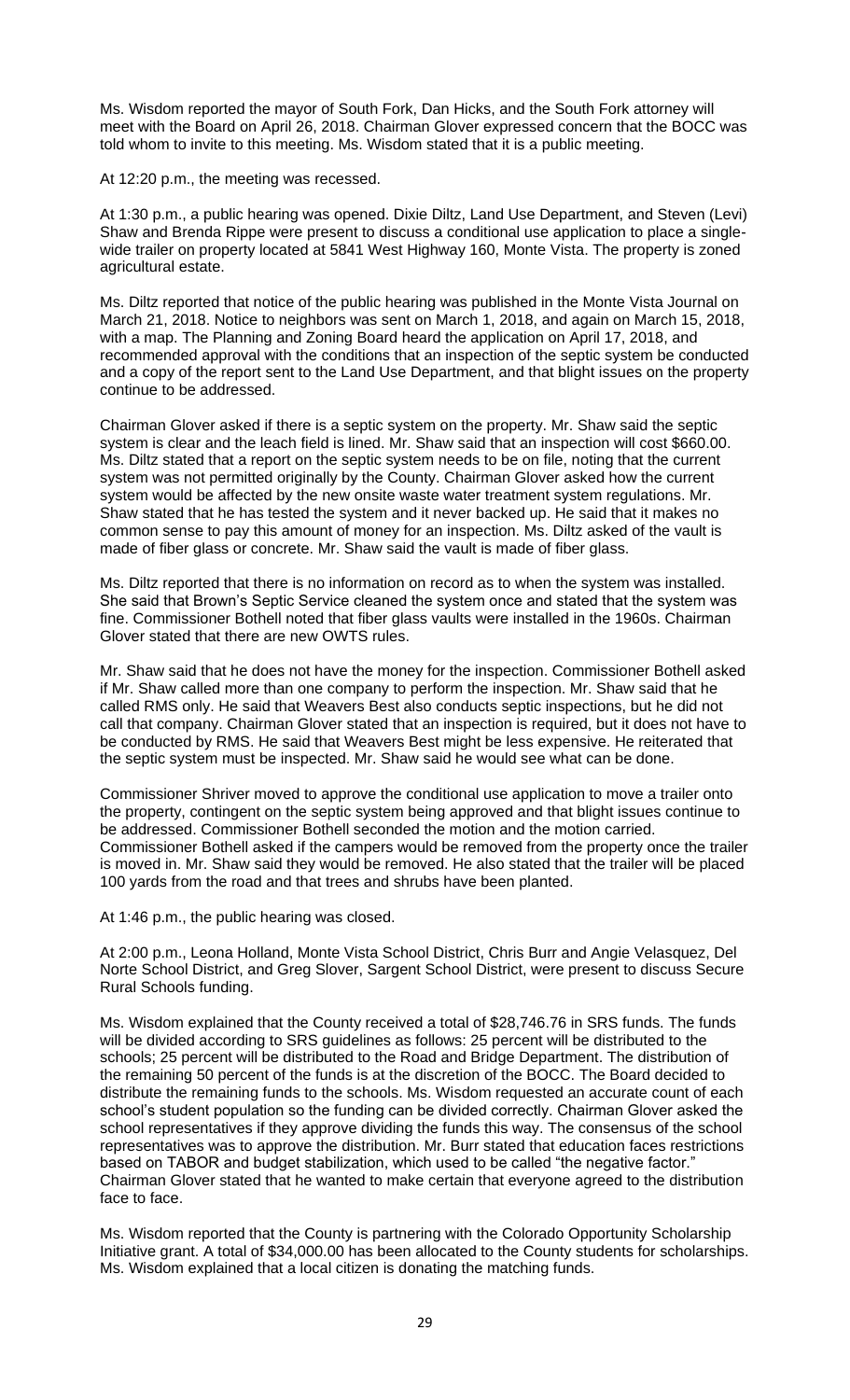Ms. Wisdom reported the mayor of South Fork, Dan Hicks, and the South Fork attorney will meet with the Board on April 26, 2018. Chairman Glover expressed concern that the BOCC was told whom to invite to this meeting. Ms. Wisdom stated that it is a public meeting.

At 12:20 p.m., the meeting was recessed.

At 1:30 p.m., a public hearing was opened. Dixie Diltz, Land Use Department, and Steven (Levi) Shaw and Brenda Rippe were present to discuss a conditional use application to place a singlewide trailer on property located at 5841 West Highway 160, Monte Vista. The property is zoned agricultural estate.

Ms. Diltz reported that notice of the public hearing was published in the Monte Vista Journal on March 21, 2018. Notice to neighbors was sent on March 1, 2018, and again on March 15, 2018, with a map. The Planning and Zoning Board heard the application on April 17, 2018, and recommended approval with the conditions that an inspection of the septic system be conducted and a copy of the report sent to the Land Use Department, and that blight issues on the property continue to be addressed.

Chairman Glover asked if there is a septic system on the property. Mr. Shaw said the septic system is clear and the leach field is lined. Mr. Shaw said that an inspection will cost \$660.00. Ms. Diltz stated that a report on the septic system needs to be on file, noting that the current system was not permitted originally by the County. Chairman Glover asked how the current system would be affected by the new onsite waste water treatment system regulations. Mr. Shaw stated that he has tested the system and it never backed up. He said that it makes no common sense to pay this amount of money for an inspection. Ms. Diltz asked of the vault is made of fiber glass or concrete. Mr. Shaw said the vault is made of fiber glass.

Ms. Diltz reported that there is no information on record as to when the system was installed. She said that Brown's Septic Service cleaned the system once and stated that the system was fine. Commissioner Bothell noted that fiber glass vaults were installed in the 1960s. Chairman Glover stated that there are new OWTS rules.

Mr. Shaw said that he does not have the money for the inspection. Commissioner Bothell asked if Mr. Shaw called more than one company to perform the inspection. Mr. Shaw said that he called RMS only. He said that Weavers Best also conducts septic inspections, but he did not call that company. Chairman Glover stated that an inspection is required, but it does not have to be conducted by RMS. He said that Weavers Best might be less expensive. He reiterated that the septic system must be inspected. Mr. Shaw said he would see what can be done.

Commissioner Shriver moved to approve the conditional use application to move a trailer onto the property, contingent on the septic system being approved and that blight issues continue to be addressed. Commissioner Bothell seconded the motion and the motion carried. Commissioner Bothell asked if the campers would be removed from the property once the trailer is moved in. Mr. Shaw said they would be removed. He also stated that the trailer will be placed 100 yards from the road and that trees and shrubs have been planted.

At 1:46 p.m., the public hearing was closed.

At 2:00 p.m., Leona Holland, Monte Vista School District, Chris Burr and Angie Velasquez, Del Norte School District, and Greg Slover, Sargent School District, were present to discuss Secure Rural Schools funding.

Ms. Wisdom explained that the County received a total of \$28,746.76 in SRS funds. The funds will be divided according to SRS guidelines as follows: 25 percent will be distributed to the schools; 25 percent will be distributed to the Road and Bridge Department. The distribution of the remaining 50 percent of the funds is at the discretion of the BOCC. The Board decided to distribute the remaining funds to the schools. Ms. Wisdom requested an accurate count of each school's student population so the funding can be divided correctly. Chairman Glover asked the school representatives if they approve dividing the funds this way. The consensus of the school representatives was to approve the distribution. Mr. Burr stated that education faces restrictions based on TABOR and budget stabilization, which used to be called "the negative factor." Chairman Glover stated that he wanted to make certain that everyone agreed to the distribution face to face.

Ms. Wisdom reported that the County is partnering with the Colorado Opportunity Scholarship Initiative grant. A total of \$34,000.00 has been allocated to the County students for scholarships. Ms. Wisdom explained that a local citizen is donating the matching funds.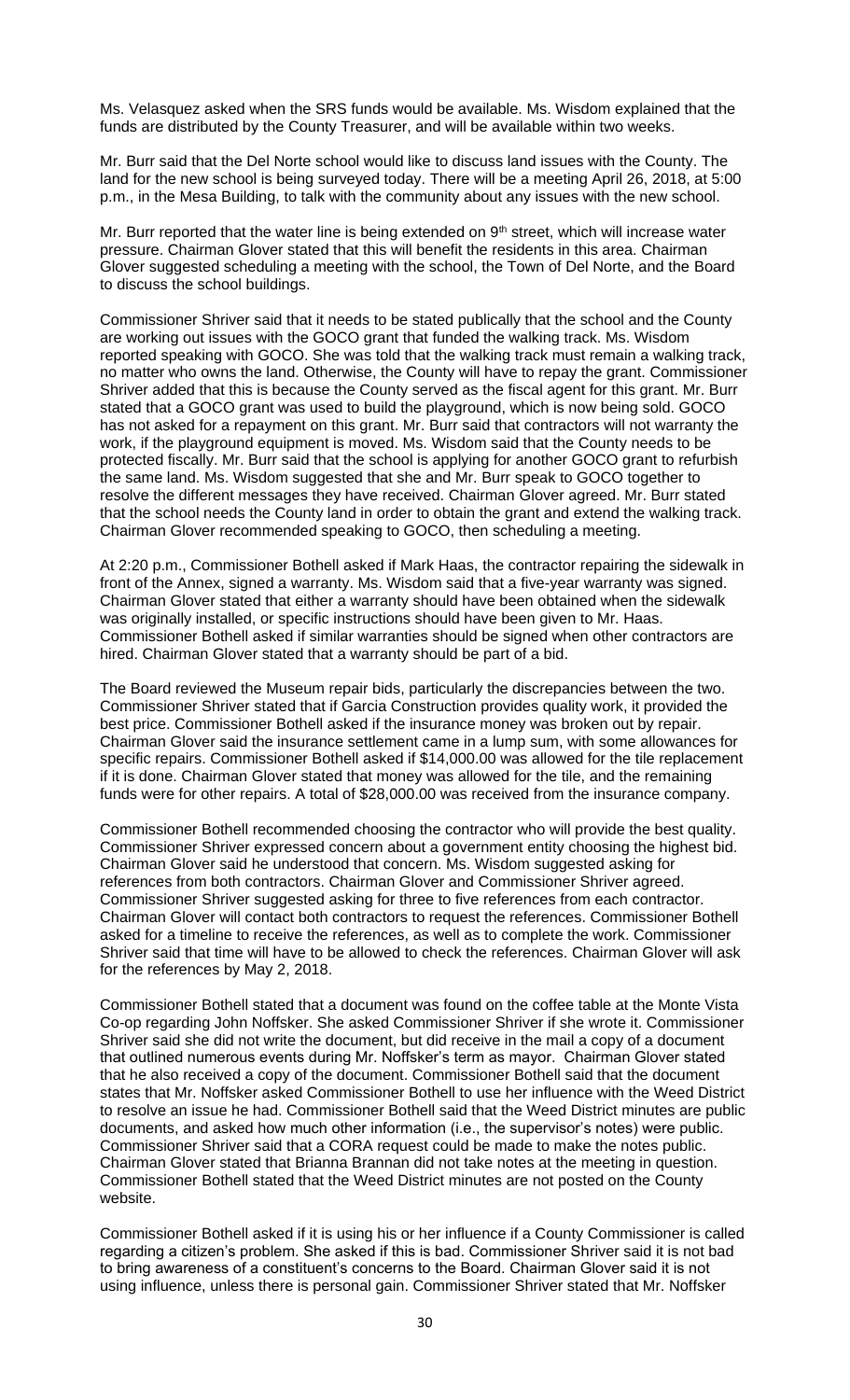Ms. Velasquez asked when the SRS funds would be available. Ms. Wisdom explained that the funds are distributed by the County Treasurer, and will be available within two weeks.

Mr. Burr said that the Del Norte school would like to discuss land issues with the County. The land for the new school is being surveyed today. There will be a meeting April 26, 2018, at 5:00 p.m., in the Mesa Building, to talk with the community about any issues with the new school.

Mr. Burr reported that the water line is being extended on  $9<sup>th</sup>$  street, which will increase water pressure. Chairman Glover stated that this will benefit the residents in this area. Chairman Glover suggested scheduling a meeting with the school, the Town of Del Norte, and the Board to discuss the school buildings.

Commissioner Shriver said that it needs to be stated publically that the school and the County are working out issues with the GOCO grant that funded the walking track. Ms. Wisdom reported speaking with GOCO. She was told that the walking track must remain a walking track, no matter who owns the land. Otherwise, the County will have to repay the grant. Commissioner Shriver added that this is because the County served as the fiscal agent for this grant. Mr. Burr stated that a GOCO grant was used to build the playground, which is now being sold. GOCO has not asked for a repayment on this grant. Mr. Burr said that contractors will not warranty the work, if the playground equipment is moved. Ms. Wisdom said that the County needs to be protected fiscally. Mr. Burr said that the school is applying for another GOCO grant to refurbish the same land. Ms. Wisdom suggested that she and Mr. Burr speak to GOCO together to resolve the different messages they have received. Chairman Glover agreed. Mr. Burr stated that the school needs the County land in order to obtain the grant and extend the walking track. Chairman Glover recommended speaking to GOCO, then scheduling a meeting.

At 2:20 p.m., Commissioner Bothell asked if Mark Haas, the contractor repairing the sidewalk in front of the Annex, signed a warranty. Ms. Wisdom said that a five-year warranty was signed. Chairman Glover stated that either a warranty should have been obtained when the sidewalk was originally installed, or specific instructions should have been given to Mr. Haas. Commissioner Bothell asked if similar warranties should be signed when other contractors are hired. Chairman Glover stated that a warranty should be part of a bid.

The Board reviewed the Museum repair bids, particularly the discrepancies between the two. Commissioner Shriver stated that if Garcia Construction provides quality work, it provided the best price. Commissioner Bothell asked if the insurance money was broken out by repair. Chairman Glover said the insurance settlement came in a lump sum, with some allowances for specific repairs. Commissioner Bothell asked if \$14,000.00 was allowed for the tile replacement if it is done. Chairman Glover stated that money was allowed for the tile, and the remaining funds were for other repairs. A total of \$28,000.00 was received from the insurance company.

Commissioner Bothell recommended choosing the contractor who will provide the best quality. Commissioner Shriver expressed concern about a government entity choosing the highest bid. Chairman Glover said he understood that concern. Ms. Wisdom suggested asking for references from both contractors. Chairman Glover and Commissioner Shriver agreed. Commissioner Shriver suggested asking for three to five references from each contractor. Chairman Glover will contact both contractors to request the references. Commissioner Bothell asked for a timeline to receive the references, as well as to complete the work. Commissioner Shriver said that time will have to be allowed to check the references. Chairman Glover will ask for the references by May 2, 2018.

Commissioner Bothell stated that a document was found on the coffee table at the Monte Vista Co-op regarding John Noffsker. She asked Commissioner Shriver if she wrote it. Commissioner Shriver said she did not write the document, but did receive in the mail a copy of a document that outlined numerous events during Mr. Noffsker's term as mayor. Chairman Glover stated that he also received a copy of the document. Commissioner Bothell said that the document states that Mr. Noffsker asked Commissioner Bothell to use her influence with the Weed District to resolve an issue he had. Commissioner Bothell said that the Weed District minutes are public documents, and asked how much other information (i.e., the supervisor's notes) were public. Commissioner Shriver said that a CORA request could be made to make the notes public. Chairman Glover stated that Brianna Brannan did not take notes at the meeting in question. Commissioner Bothell stated that the Weed District minutes are not posted on the County website.

Commissioner Bothell asked if it is using his or her influence if a County Commissioner is called regarding a citizen's problem. She asked if this is bad. Commissioner Shriver said it is not bad to bring awareness of a constituent's concerns to the Board. Chairman Glover said it is not using influence, unless there is personal gain. Commissioner Shriver stated that Mr. Noffsker